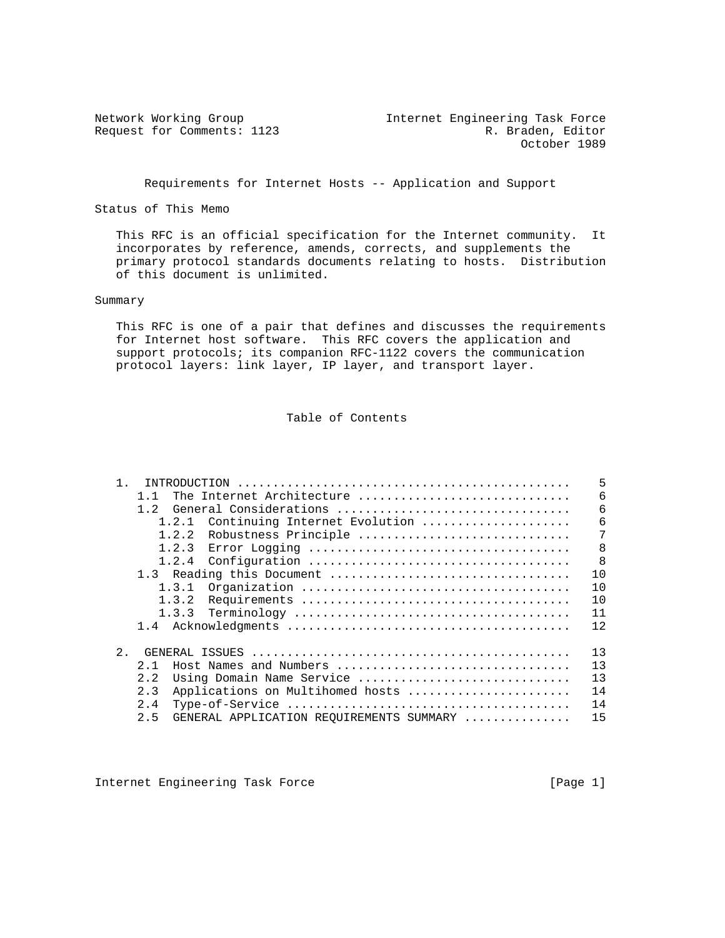Network Working Group<br>
Request for Comments: 1123<br>
R. Braden, Editor Request for Comments: 1123 R. Braden, Editor October 1989

Requirements for Internet Hosts -- Application and Support

Status of This Memo

 This RFC is an official specification for the Internet community. It incorporates by reference, amends, corrects, and supplements the primary protocol standards documents relating to hosts. Distribution of this document is unlimited.

# Summary

 This RFC is one of a pair that defines and discusses the requirements for Internet host software. This RFC covers the application and support protocols; its companion RFC-1122 covers the communication protocol layers: link layer, IP layer, and transport layer.

Table of Contents

| 5                                        |
|------------------------------------------|
| 6<br>The Internet Architecture           |
| 6<br>General Considerations              |
| 6<br>Continuing Internet Evolution       |
| 7<br>Robustness Principle                |
| 8                                        |
| 8                                        |
| 10<br>1.3 Reading this Document          |
| 10                                       |
| 10                                       |
| 11                                       |
| 12                                       |
| 13                                       |
| 13<br>Host Names and Numbers             |
| 13<br>Using Domain Name Service          |
| 14<br>Applications on Multihomed hosts   |
| 14                                       |
| 15                                       |
| GENERAL APPLICATION REQUIREMENTS SUMMARY |

Internet Engineering Task Force entitled and the set of the set of Page 1]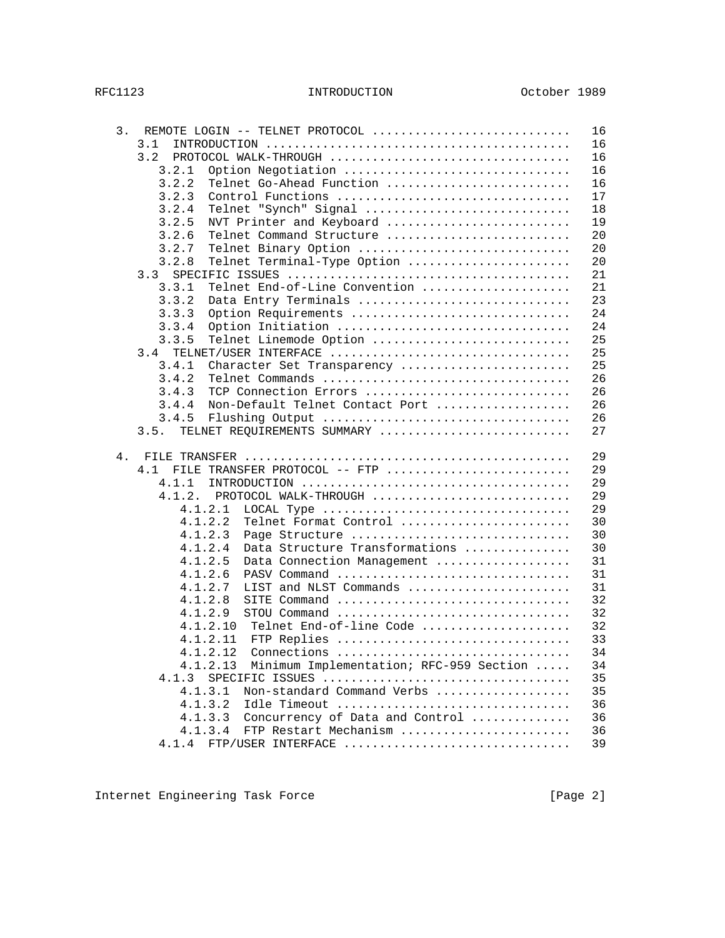| 3. |       |          | REMOTE LOGIN -- TELNET PROTOCOL         | 16     |
|----|-------|----------|-----------------------------------------|--------|
|    | 3.1   |          |                                         | 16     |
|    | 3.2   |          | PROTOCOL WALK-THROUGH                   | 16     |
|    | 3.2.1 |          | Option Negotiation                      | 16     |
|    | 3.2.2 |          | Telnet Go-Ahead Function                | 16     |
|    | 3.2.3 |          | Control Functions                       | $17\,$ |
|    | 3.2.4 |          | Telnet "Synch" Signal                   | 18     |
|    | 3.2.5 |          | NVT Printer and Keyboard                | 19     |
|    | 3.2.6 |          | Telnet Command Structure                | 20     |
|    | 3.2.7 |          | Telnet Binary Option                    | 20     |
|    | 3.2.8 |          | Telnet Terminal-Type Option             | 20     |
|    |       |          |                                         | 21     |
|    | 3.3.1 |          | Telnet End-of-Line Convention           | 21     |
|    | 3.3.2 |          | Data Entry Terminals                    | 23     |
|    | 3.3.3 |          | Option Requirements                     | 24     |
|    | 3.3.4 |          | Option Initiation                       | 24     |
|    | 3.3.5 |          | Telnet Linemode Option                  | 25     |
|    | 3.4   |          | TELNET/USER INTERFACE                   | 25     |
|    | 3.4.1 |          | Character Set Transparency              | 25     |
|    | 3.4.2 |          | Telnet Commands                         | 26     |
|    | 3.4.3 |          | TCP Connection Errors                   | 26     |
|    | 3.4.4 |          | Non-Default Telnet Contact Port         | 26     |
|    | 3.4.5 |          |                                         | 26     |
|    | 3.5.  |          | TELNET REQUIREMENTS SUMMARY             | 27     |
|    |       |          |                                         |        |
| 4. |       |          |                                         | 29     |
|    | 4.1   |          | FILE TRANSFER PROTOCOL -- FTP           | 29     |
|    | 4.1.1 |          |                                         | 29     |
|    |       | 4.1.2.   | PROTOCOL WALK-THROUGH                   | 29     |
|    |       | 4.1.2.1  | LOCAL Type                              | 29     |
|    |       | 4.1.2.2  | Telnet Format Control                   | 30     |
|    |       | 4.1.2.3  | Page Structure                          | 30     |
|    |       | 4.1.2.4  | Data Structure Transformations          | 30     |
|    |       | 4.1.2.5  | Data Connection Management              | 31     |
|    |       | 4.1.2.6  | PASV Command                            | 31     |
|    |       | 4.1.2.7  | LIST and NLST Commands                  | 31     |
|    |       | 4.1.2.8  | SITE Command                            | 32     |
|    |       | 4.1.2.9  | $STOU$ Command                          | 32     |
|    |       | 4.1.2.10 | Telnet End-of-line Code                 | 32     |
|    |       | 4.1.2.11 | FTP Replies                             | 33     |
|    |       | 4.1.2.12 | Connections                             | 34     |
|    |       | 4.1.2.13 | Minimum Implementation; RFC-959 Section | 34     |
|    |       | 4.1.3    |                                         | 35     |
|    |       | 4.1.3.1  | Non-standard Command Verbs              | 35     |
|    |       | 4.1.3.2  | Idle Timeout                            | 36     |
|    |       | 4.1.3.3  | Concurrency of Data and Control         | 36     |
|    |       | 4.1.3.4  | FTP Restart Mechanism                   | 36     |
|    |       |          |                                         |        |
|    | 4.1.4 |          | FTP/USER INTERFACE                      | 39     |

Internet Engineering Task Force [Page 2]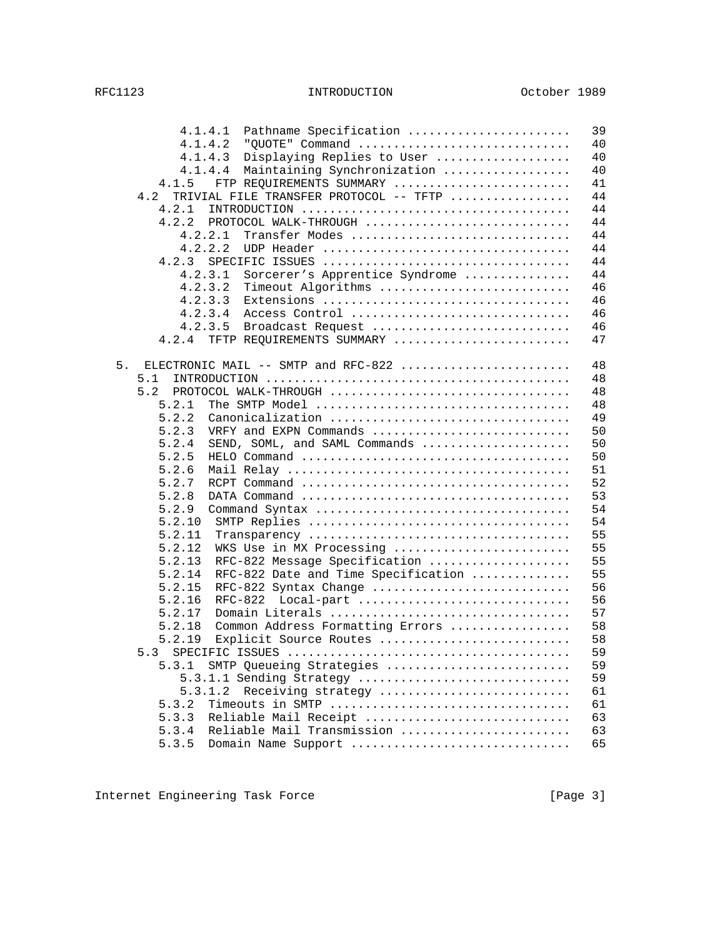| Pathname Specification<br>4.1.4.1             | 39 |
|-----------------------------------------------|----|
| 4.1.4.2<br>"QUOTE" Command                    | 40 |
| Displaying Replies to User<br>4.1.4.3         | 40 |
| 4.1.4.4<br>Maintaining Synchronization        | 40 |
| 4.1.5<br>FTP REQUIREMENTS SUMMARY             | 41 |
| TRIVIAL FILE TRANSFER PROTOCOL -- TFTP<br>4.2 | 44 |
| 4.2.1                                         | 44 |
| 4.2.2<br>PROTOCOL WALK-THROUGH                | 44 |
|                                               |    |
| Transfer Modes<br>4.2.2.1                     | 44 |
| 4.2.2.2<br>UDP Header                         | 44 |
| 4.2.3                                         | 44 |
| Sorcerer's Apprentice Syndrome<br>4.2.3.1     | 44 |
| 4.2.3.2<br>Timeout Algorithms                 | 46 |
| 4.2.3.3<br>Extensions                         | 46 |
| 4.2.3.4<br>Access Control                     | 46 |
| 4.2.3.5<br>Broadcast Request                  | 46 |
| 4.2.4<br>TFTP REQUIREMENTS SUMMARY            | 47 |
|                                               |    |
| ELECTRONIC MAIL -- SMTP and RFC-822<br>5.     | 48 |
| 5.1                                           | 48 |
| 5.2<br>PROTOCOL WALK-THROUGH                  | 48 |
| 5.2.1                                         | 48 |
| 5.2.2<br>Canonicalization                     | 49 |
| 5.2.3<br>VRFY and EXPN Commands               | 50 |
| 5.2.4                                         | 50 |
| SEND, SOML, and SAML Commands<br>5.2.5        |    |
|                                               | 50 |
| 5.2.6                                         | 51 |
| 5.2.7                                         | 52 |
| 5.2.8                                         | 53 |
| 5.2.9                                         | 54 |
| 5.2.10                                        | 54 |
| 5.2.11                                        | 55 |
| 5.2.12<br>WKS Use in MX Processing            | 55 |
| 5.2.13<br>RFC-822 Message Specification       | 55 |
| RFC-822 Date and Time Specification<br>5.2.14 | 55 |
| 5.2.15<br>RFC-822 Syntax Change               | 56 |
| 5.2.16<br>RFC-822 Local-part                  | 56 |
| 5.2.17<br>Domain Literals                     | 57 |
| 5.2.18<br>Common Address Formatting Errors    | 58 |
| 5.2.19<br>Explicit Source Routes              | 58 |
|                                               | 59 |
| SMTP Queueing Strategies<br>5.3.1             | 59 |
| 5.3.1.1 Sending Strategy                      | 59 |
|                                               |    |
| 5.3.1.2<br>Receiving strategy                 | 61 |
| Timeouts in SMTP<br>5.3.2                     | 61 |
| Reliable Mail Receipt<br>5.3.3                | 63 |
| Reliable Mail Transmission<br>5.3.4           | 63 |
| 5.3.5<br>Domain Name Support                  | 65 |

Internet Engineering Task Force [Page 3]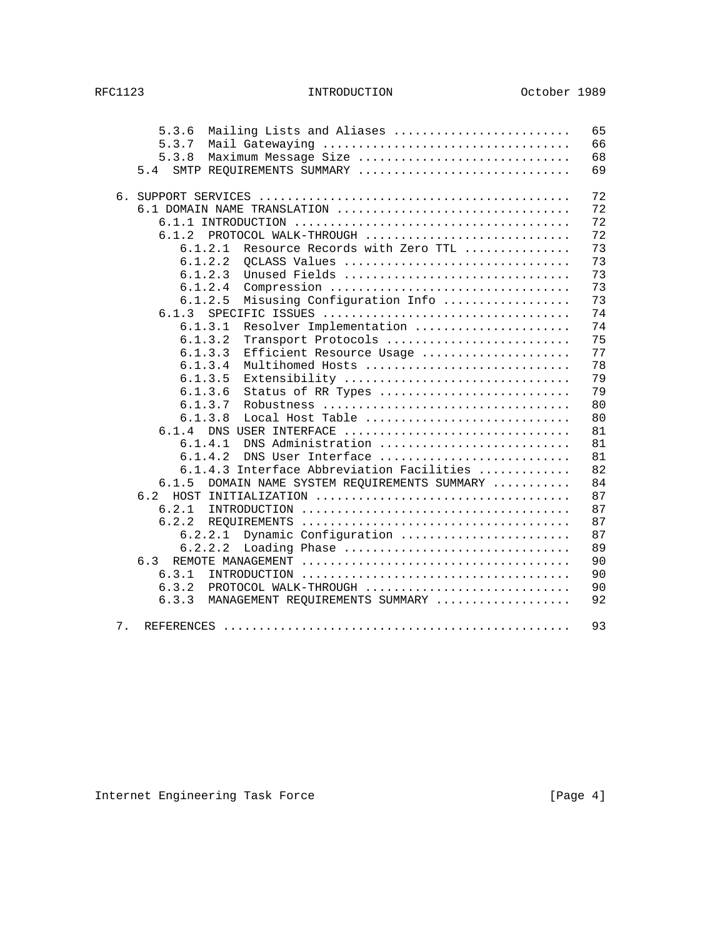| Mailing Lists and Aliases<br>5.3.6               | 65 |
|--------------------------------------------------|----|
| 5.3.7<br>Mail Gatewaying                         | 66 |
| 5.3.8<br>Maximum Message Size                    | 68 |
| SMTP REOUIREMENTS SUMMARY<br>5.4                 | 69 |
| SUPPORT SERVICES<br>რ.                           | 72 |
| 6.1 DOMAIN NAME TRANSLATION                      | 72 |
|                                                  | 72 |
|                                                  |    |
| PROTOCOL WALK-THROUGH<br>6.1.2                   | 72 |
| Resource Records with Zero TTL<br>6.1.2.1        | 73 |
| 6.1.2.2<br>QCLASS Values                         | 73 |
| 6.1.2.3<br>Unused Fields                         | 73 |
| 6.1.2.4<br>Compression                           | 73 |
| 6.1.2.5<br>Misusing Configuration Info           | 73 |
| 6.1.3                                            | 74 |
| Resolver Implementation<br>6.1.3.1               | 74 |
| 6.1.3.2<br>Transport Protocols                   | 75 |
| 6.1.3.3<br>Efficient Resource Usage              | 77 |
| 6.1.3.4<br>Multihomed Hosts                      | 78 |
| 6.1.3.5<br>Extensibility                         | 79 |
| 6.1.3.6<br>Status of RR Types                    | 79 |
| 6.1.3.7                                          | 80 |
| 6.1.3.8<br>Local Host Table                      | 80 |
| 6.1.4 DNS USER INTERFACE                         | 81 |
| DNS Administration<br>6.1.4.1                    | 81 |
| 6.1.4.2<br>DNS User Interface                    | 81 |
| 6.1.4.3 Interface Abbreviation Facilities        | 82 |
| 6.1.5<br>DOMAIN NAME SYSTEM REOUIREMENTS SUMMARY | 84 |
| 6.2                                              | 87 |
| 6.2.1                                            | 87 |
| 6.2.2                                            | 87 |
| Dynamic Configuration<br>6.2.2.1                 | 87 |
| 6.2.2.2<br>Loading Phase                         | 89 |
|                                                  | 90 |
| 6.3.1                                            | 90 |
| 6.3.2<br>$PROTOCOL WALK-THROUGH$                 | 90 |
| 6.3.3<br>MANAGEMENT REQUIREMENTS SUMMARY         | 92 |
|                                                  |    |
| 7.                                               | 93 |
|                                                  |    |

Internet Engineering Task Force [Page 4]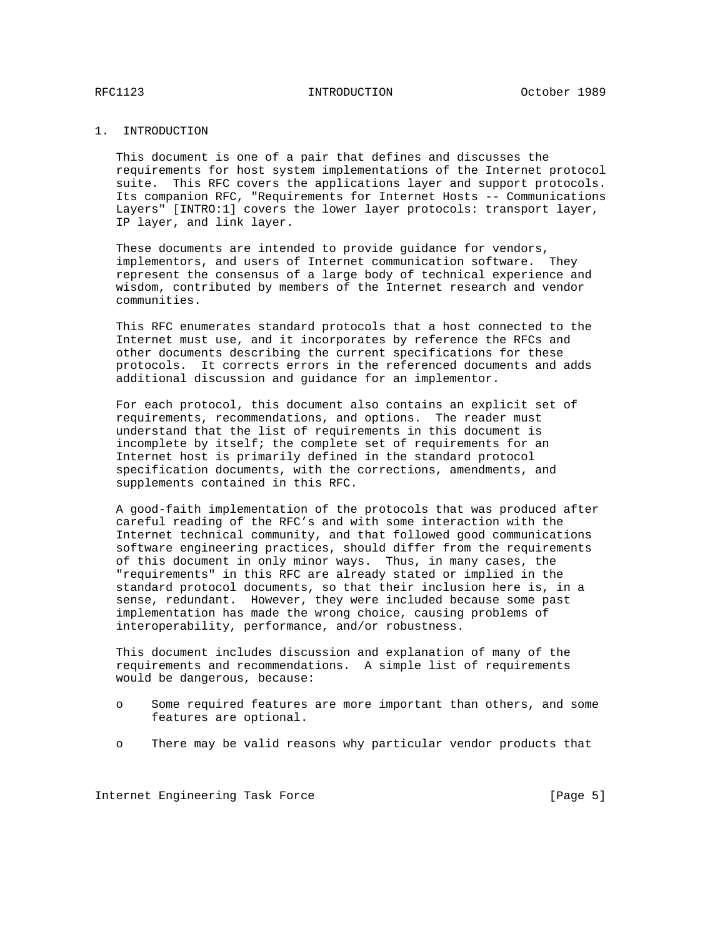#### 1. INTRODUCTION

 This document is one of a pair that defines and discusses the requirements for host system implementations of the Internet protocol suite. This RFC covers the applications layer and support protocols. Its companion RFC, "Requirements for Internet Hosts -- Communications Layers" [INTRO:1] covers the lower layer protocols: transport layer, IP layer, and link layer.

 These documents are intended to provide guidance for vendors, implementors, and users of Internet communication software. They represent the consensus of a large body of technical experience and wisdom, contributed by members of the Internet research and vendor communities.

 This RFC enumerates standard protocols that a host connected to the Internet must use, and it incorporates by reference the RFCs and other documents describing the current specifications for these protocols. It corrects errors in the referenced documents and adds additional discussion and guidance for an implementor.

 For each protocol, this document also contains an explicit set of requirements, recommendations, and options. The reader must understand that the list of requirements in this document is incomplete by itself; the complete set of requirements for an Internet host is primarily defined in the standard protocol specification documents, with the corrections, amendments, and supplements contained in this RFC.

 A good-faith implementation of the protocols that was produced after careful reading of the RFC's and with some interaction with the Internet technical community, and that followed good communications software engineering practices, should differ from the requirements of this document in only minor ways. Thus, in many cases, the "requirements" in this RFC are already stated or implied in the standard protocol documents, so that their inclusion here is, in a sense, redundant. However, they were included because some past implementation has made the wrong choice, causing problems of interoperability, performance, and/or robustness.

 This document includes discussion and explanation of many of the requirements and recommendations. A simple list of requirements would be dangerous, because:

- o Some required features are more important than others, and some features are optional.
- o There may be valid reasons why particular vendor products that

Internet Engineering Task Force [Page 5]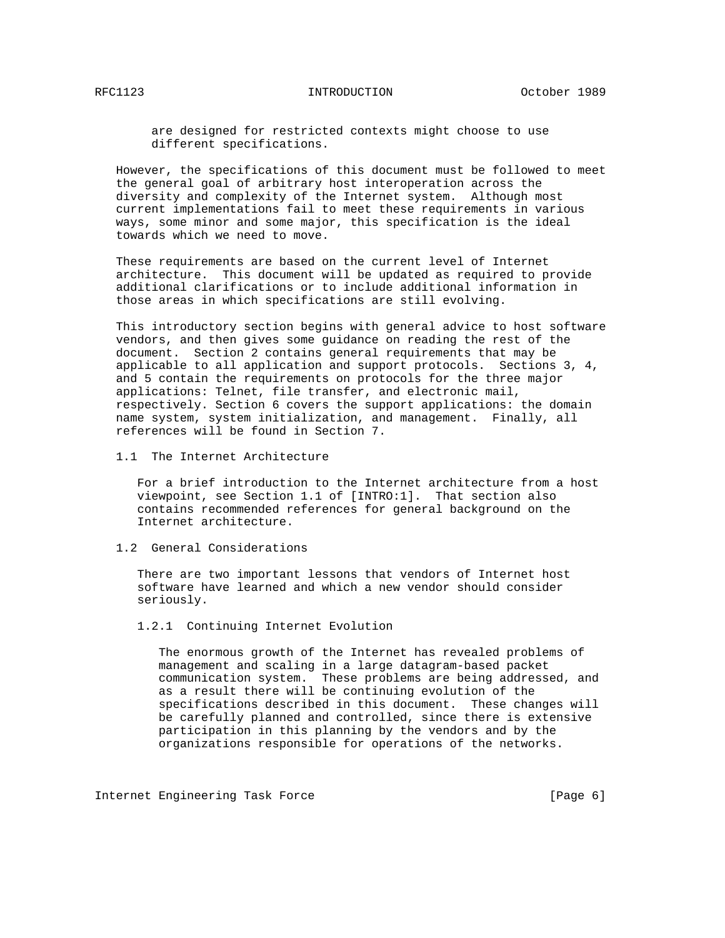are designed for restricted contexts might choose to use different specifications.

 However, the specifications of this document must be followed to meet the general goal of arbitrary host interoperation across the diversity and complexity of the Internet system. Although most current implementations fail to meet these requirements in various ways, some minor and some major, this specification is the ideal towards which we need to move.

 These requirements are based on the current level of Internet architecture. This document will be updated as required to provide additional clarifications or to include additional information in those areas in which specifications are still evolving.

 This introductory section begins with general advice to host software vendors, and then gives some guidance on reading the rest of the document. Section 2 contains general requirements that may be applicable to all application and support protocols. Sections 3, 4, and 5 contain the requirements on protocols for the three major applications: Telnet, file transfer, and electronic mail, respectively. Section 6 covers the support applications: the domain name system, system initialization, and management. Finally, all references will be found in Section 7.

1.1 The Internet Architecture

 For a brief introduction to the Internet architecture from a host viewpoint, see Section 1.1 of [INTRO:1]. That section also contains recommended references for general background on the Internet architecture.

1.2 General Considerations

 There are two important lessons that vendors of Internet host software have learned and which a new vendor should consider seriously.

1.2.1 Continuing Internet Evolution

 The enormous growth of the Internet has revealed problems of management and scaling in a large datagram-based packet communication system. These problems are being addressed, and as a result there will be continuing evolution of the specifications described in this document. These changes will be carefully planned and controlled, since there is extensive participation in this planning by the vendors and by the organizations responsible for operations of the networks.

Internet Engineering Task Force [Page 6]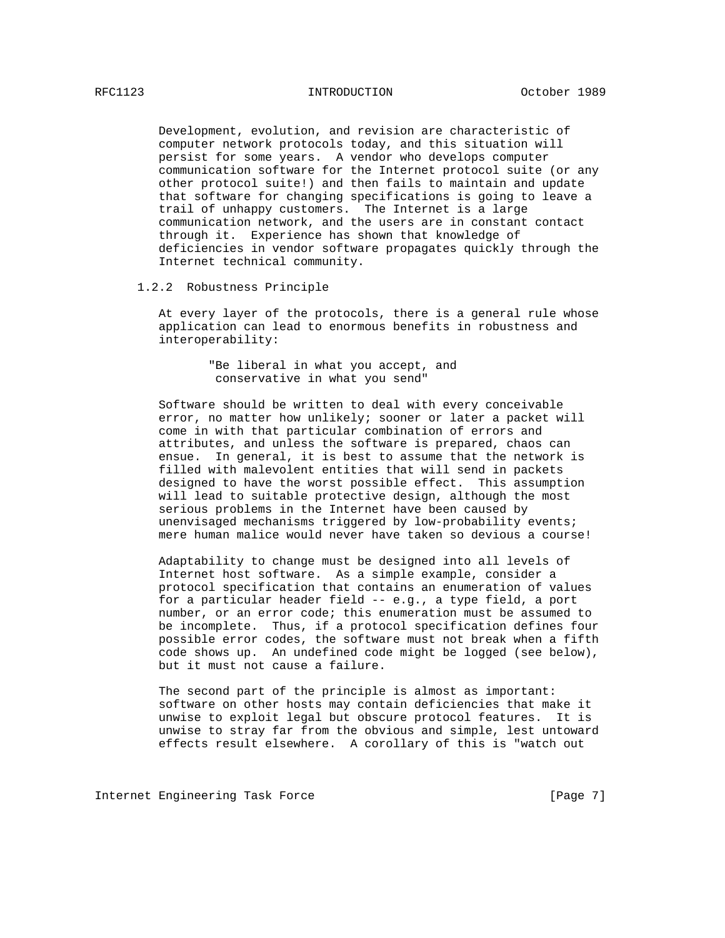Development, evolution, and revision are characteristic of computer network protocols today, and this situation will persist for some years. A vendor who develops computer communication software for the Internet protocol suite (or any other protocol suite!) and then fails to maintain and update that software for changing specifications is going to leave a trail of unhappy customers. The Internet is a large communication network, and the users are in constant contact through it. Experience has shown that knowledge of deficiencies in vendor software propagates quickly through the Internet technical community.

1.2.2 Robustness Principle

 At every layer of the protocols, there is a general rule whose application can lead to enormous benefits in robustness and interoperability:

> "Be liberal in what you accept, and conservative in what you send"

 Software should be written to deal with every conceivable error, no matter how unlikely; sooner or later a packet will come in with that particular combination of errors and attributes, and unless the software is prepared, chaos can ensue. In general, it is best to assume that the network is filled with malevolent entities that will send in packets designed to have the worst possible effect. This assumption will lead to suitable protective design, although the most serious problems in the Internet have been caused by unenvisaged mechanisms triggered by low-probability events; mere human malice would never have taken so devious a course!

 Adaptability to change must be designed into all levels of Internet host software. As a simple example, consider a protocol specification that contains an enumeration of values for a particular header field -- e.g., a type field, a port number, or an error code; this enumeration must be assumed to be incomplete. Thus, if a protocol specification defines four possible error codes, the software must not break when a fifth code shows up. An undefined code might be logged (see below), but it must not cause a failure.

 The second part of the principle is almost as important: software on other hosts may contain deficiencies that make it unwise to exploit legal but obscure protocol features. It is unwise to stray far from the obvious and simple, lest untoward effects result elsewhere. A corollary of this is "watch out

Internet Engineering Task Force [Page 7]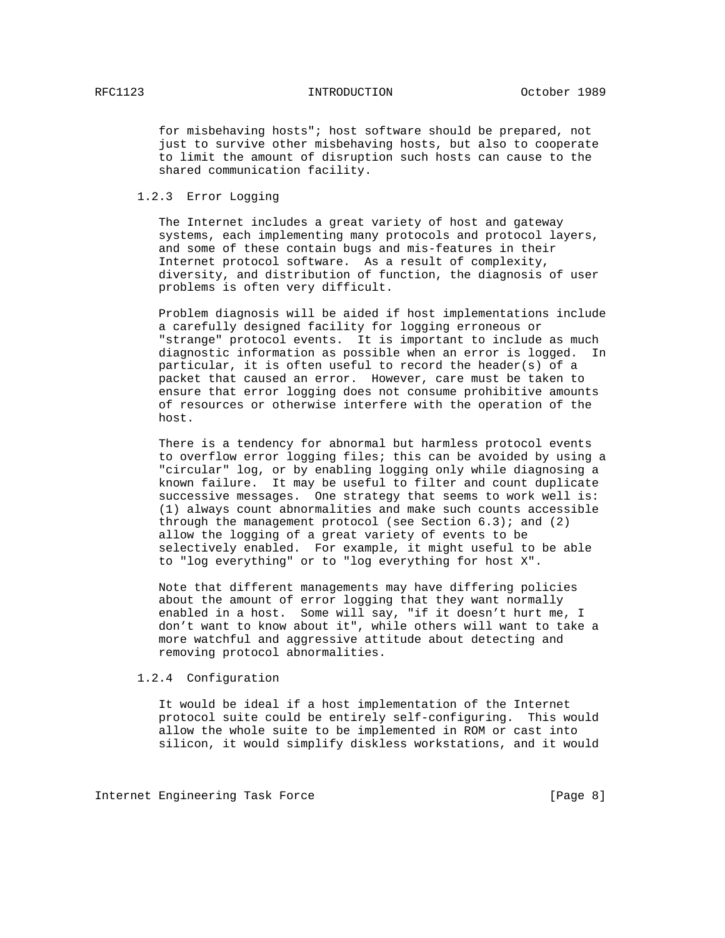for misbehaving hosts"; host software should be prepared, not just to survive other misbehaving hosts, but also to cooperate to limit the amount of disruption such hosts can cause to the shared communication facility.

# 1.2.3 Error Logging

 The Internet includes a great variety of host and gateway systems, each implementing many protocols and protocol layers, and some of these contain bugs and mis-features in their Internet protocol software. As a result of complexity, diversity, and distribution of function, the diagnosis of user problems is often very difficult.

 Problem diagnosis will be aided if host implementations include a carefully designed facility for logging erroneous or "strange" protocol events. It is important to include as much diagnostic information as possible when an error is logged. In particular, it is often useful to record the header(s) of a packet that caused an error. However, care must be taken to ensure that error logging does not consume prohibitive amounts of resources or otherwise interfere with the operation of the host.

 There is a tendency for abnormal but harmless protocol events to overflow error logging files; this can be avoided by using a "circular" log, or by enabling logging only while diagnosing a known failure. It may be useful to filter and count duplicate successive messages. One strategy that seems to work well is: (1) always count abnormalities and make such counts accessible through the management protocol (see Section  $6.3$ ); and (2) allow the logging of a great variety of events to be selectively enabled. For example, it might useful to be able to "log everything" or to "log everything for host X".

 Note that different managements may have differing policies about the amount of error logging that they want normally enabled in a host. Some will say, "if it doesn't hurt me, I don't want to know about it", while others will want to take a more watchful and aggressive attitude about detecting and removing protocol abnormalities.

### 1.2.4 Configuration

 It would be ideal if a host implementation of the Internet protocol suite could be entirely self-configuring. This would allow the whole suite to be implemented in ROM or cast into silicon, it would simplify diskless workstations, and it would

Internet Engineering Task Force [Page 8]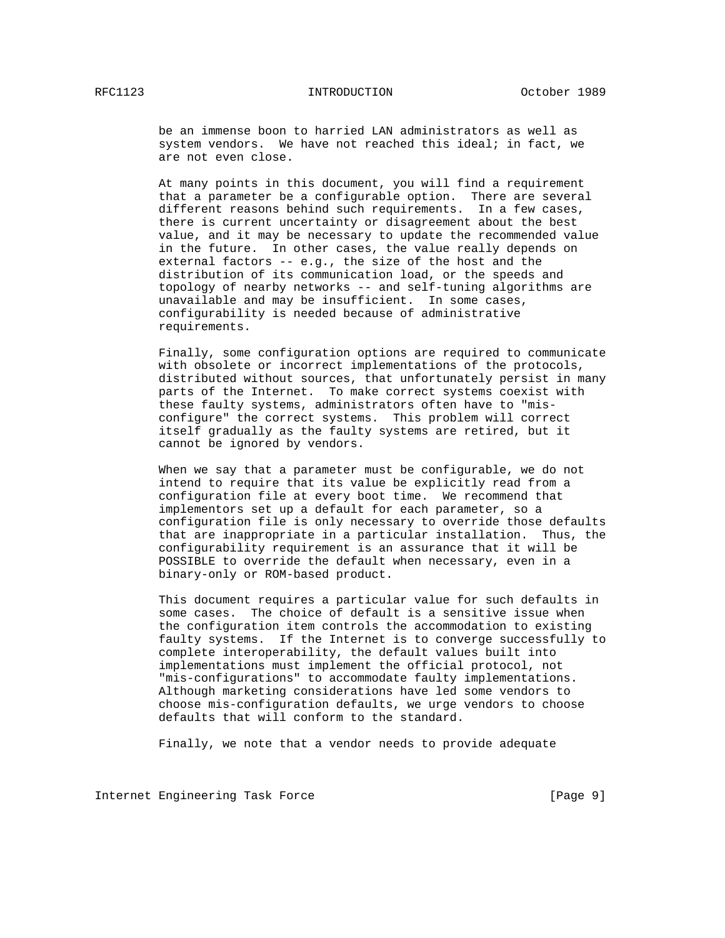be an immense boon to harried LAN administrators as well as system vendors. We have not reached this ideal; in fact, we are not even close.

 At many points in this document, you will find a requirement that a parameter be a configurable option. There are several different reasons behind such requirements. In a few cases, there is current uncertainty or disagreement about the best value, and it may be necessary to update the recommended value in the future. In other cases, the value really depends on external factors  $- - e.g.,$  the size of the host and the distribution of its communication load, or the speeds and topology of nearby networks -- and self-tuning algorithms are unavailable and may be insufficient. In some cases, configurability is needed because of administrative requirements.

 Finally, some configuration options are required to communicate with obsolete or incorrect implementations of the protocols, distributed without sources, that unfortunately persist in many parts of the Internet. To make correct systems coexist with these faulty systems, administrators often have to "mis configure" the correct systems. This problem will correct itself gradually as the faulty systems are retired, but it cannot be ignored by vendors.

 When we say that a parameter must be configurable, we do not intend to require that its value be explicitly read from a configuration file at every boot time. We recommend that implementors set up a default for each parameter, so a configuration file is only necessary to override those defaults that are inappropriate in a particular installation. Thus, the configurability requirement is an assurance that it will be POSSIBLE to override the default when necessary, even in a binary-only or ROM-based product.

 This document requires a particular value for such defaults in some cases. The choice of default is a sensitive issue when the configuration item controls the accommodation to existing faulty systems. If the Internet is to converge successfully to complete interoperability, the default values built into implementations must implement the official protocol, not "mis-configurations" to accommodate faulty implementations. Although marketing considerations have led some vendors to choose mis-configuration defaults, we urge vendors to choose defaults that will conform to the standard.

Finally, we note that a vendor needs to provide adequate

Internet Engineering Task Force [Page 9]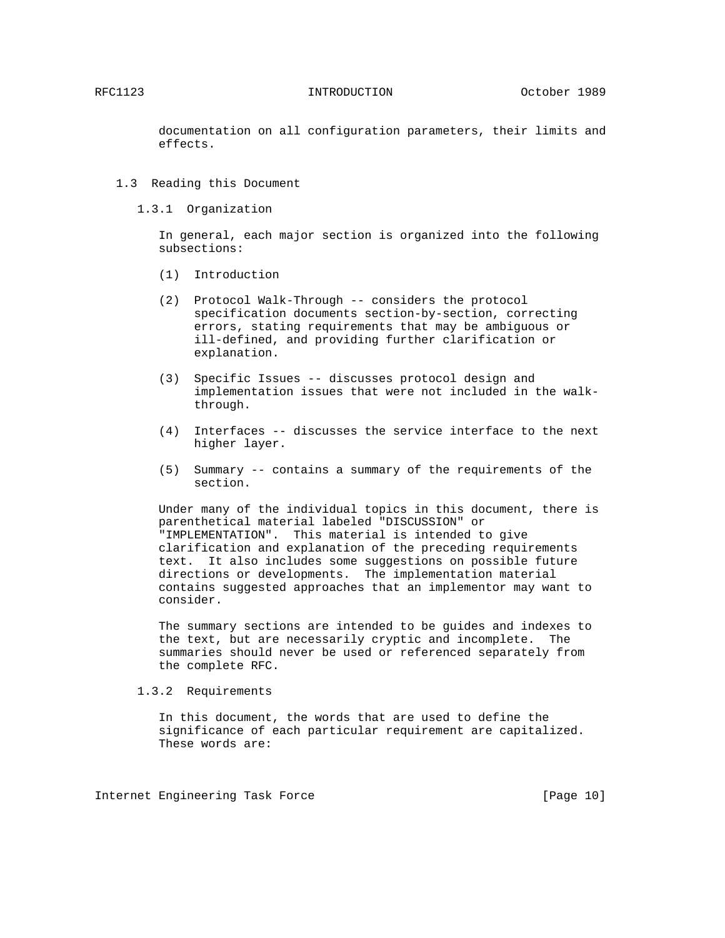documentation on all configuration parameters, their limits and effects.

- 1.3 Reading this Document
	- 1.3.1 Organization

 In general, each major section is organized into the following subsections:

- (1) Introduction
- (2) Protocol Walk-Through -- considers the protocol specification documents section-by-section, correcting errors, stating requirements that may be ambiguous or ill-defined, and providing further clarification or explanation.
- (3) Specific Issues -- discusses protocol design and implementation issues that were not included in the walk through.
- (4) Interfaces -- discusses the service interface to the next higher layer.
- (5) Summary -- contains a summary of the requirements of the section.

 Under many of the individual topics in this document, there is parenthetical material labeled "DISCUSSION" or "IMPLEMENTATION". This material is intended to give clarification and explanation of the preceding requirements text. It also includes some suggestions on possible future directions or developments. The implementation material contains suggested approaches that an implementor may want to consider.

 The summary sections are intended to be guides and indexes to the text, but are necessarily cryptic and incomplete. The summaries should never be used or referenced separately from the complete RFC.

1.3.2 Requirements

 In this document, the words that are used to define the significance of each particular requirement are capitalized. These words are:

Internet Engineering Task Force [Page 10]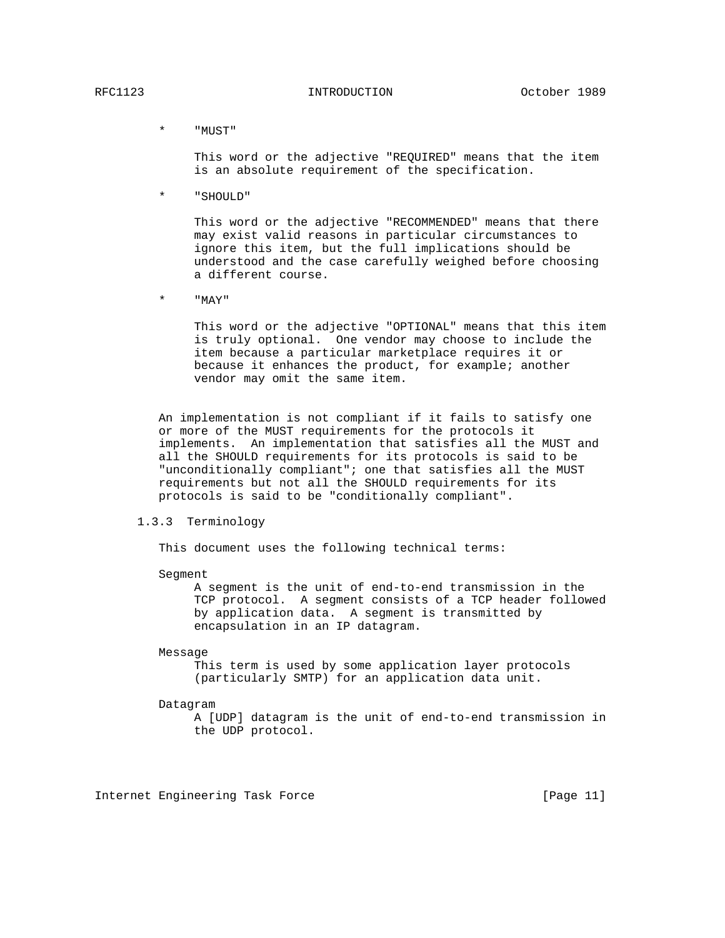\* "MUST"

 This word or the adjective "REQUIRED" means that the item is an absolute requirement of the specification.

\* "SHOULD"

 This word or the adjective "RECOMMENDED" means that there may exist valid reasons in particular circumstances to ignore this item, but the full implications should be understood and the case carefully weighed before choosing a different course.

\* "MAY"

 This word or the adjective "OPTIONAL" means that this item is truly optional. One vendor may choose to include the item because a particular marketplace requires it or because it enhances the product, for example; another vendor may omit the same item.

 An implementation is not compliant if it fails to satisfy one or more of the MUST requirements for the protocols it implements. An implementation that satisfies all the MUST and all the SHOULD requirements for its protocols is said to be "unconditionally compliant"; one that satisfies all the MUST requirements but not all the SHOULD requirements for its protocols is said to be "conditionally compliant".

## 1.3.3 Terminology

This document uses the following technical terms:

#### Segment

 A segment is the unit of end-to-end transmission in the TCP protocol. A segment consists of a TCP header followed by application data. A segment is transmitted by encapsulation in an IP datagram.

#### Message

 This term is used by some application layer protocols (particularly SMTP) for an application data unit.

Datagram

 A [UDP] datagram is the unit of end-to-end transmission in the UDP protocol.

Internet Engineering Task Force [Page 11]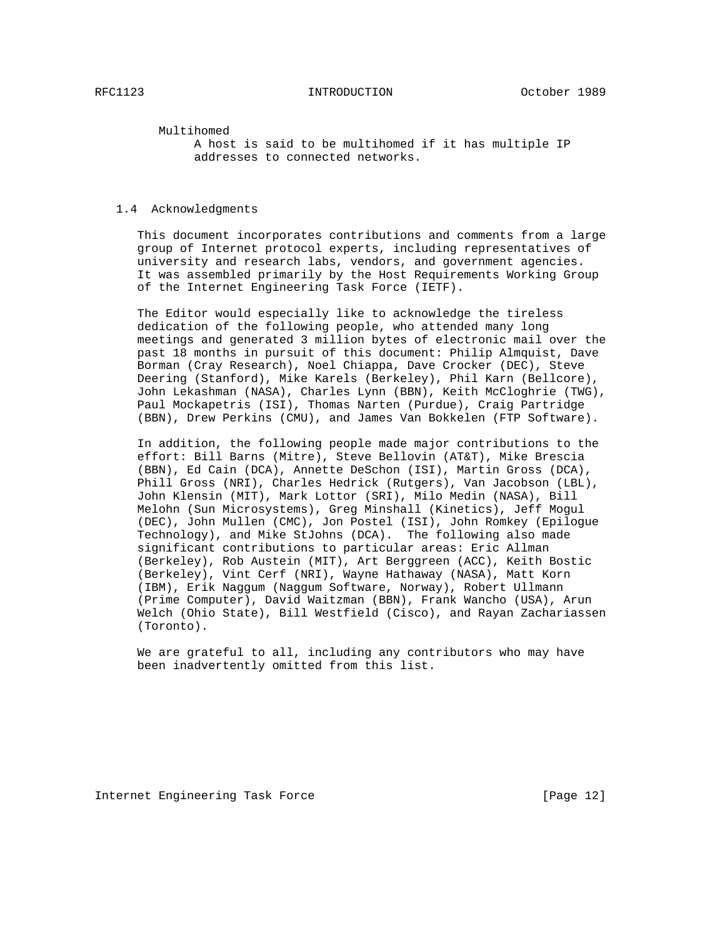Multihomed

 A host is said to be multihomed if it has multiple IP addresses to connected networks.

#### 1.4 Acknowledgments

 This document incorporates contributions and comments from a large group of Internet protocol experts, including representatives of university and research labs, vendors, and government agencies. It was assembled primarily by the Host Requirements Working Group of the Internet Engineering Task Force (IETF).

 The Editor would especially like to acknowledge the tireless dedication of the following people, who attended many long meetings and generated 3 million bytes of electronic mail over the past 18 months in pursuit of this document: Philip Almquist, Dave Borman (Cray Research), Noel Chiappa, Dave Crocker (DEC), Steve Deering (Stanford), Mike Karels (Berkeley), Phil Karn (Bellcore), John Lekashman (NASA), Charles Lynn (BBN), Keith McCloghrie (TWG), Paul Mockapetris (ISI), Thomas Narten (Purdue), Craig Partridge (BBN), Drew Perkins (CMU), and James Van Bokkelen (FTP Software).

 In addition, the following people made major contributions to the effort: Bill Barns (Mitre), Steve Bellovin (AT&T), Mike Brescia (BBN), Ed Cain (DCA), Annette DeSchon (ISI), Martin Gross (DCA), Phill Gross (NRI), Charles Hedrick (Rutgers), Van Jacobson (LBL), John Klensin (MIT), Mark Lottor (SRI), Milo Medin (NASA), Bill Melohn (Sun Microsystems), Greg Minshall (Kinetics), Jeff Mogul (DEC), John Mullen (CMC), Jon Postel (ISI), John Romkey (Epilogue Technology), and Mike StJohns (DCA). The following also made significant contributions to particular areas: Eric Allman (Berkeley), Rob Austein (MIT), Art Berggreen (ACC), Keith Bostic (Berkeley), Vint Cerf (NRI), Wayne Hathaway (NASA), Matt Korn (IBM), Erik Naggum (Naggum Software, Norway), Robert Ullmann (Prime Computer), David Waitzman (BBN), Frank Wancho (USA), Arun Welch (Ohio State), Bill Westfield (Cisco), and Rayan Zachariassen (Toronto).

 We are grateful to all, including any contributors who may have been inadvertently omitted from this list.

Internet Engineering Task Force [Page 12]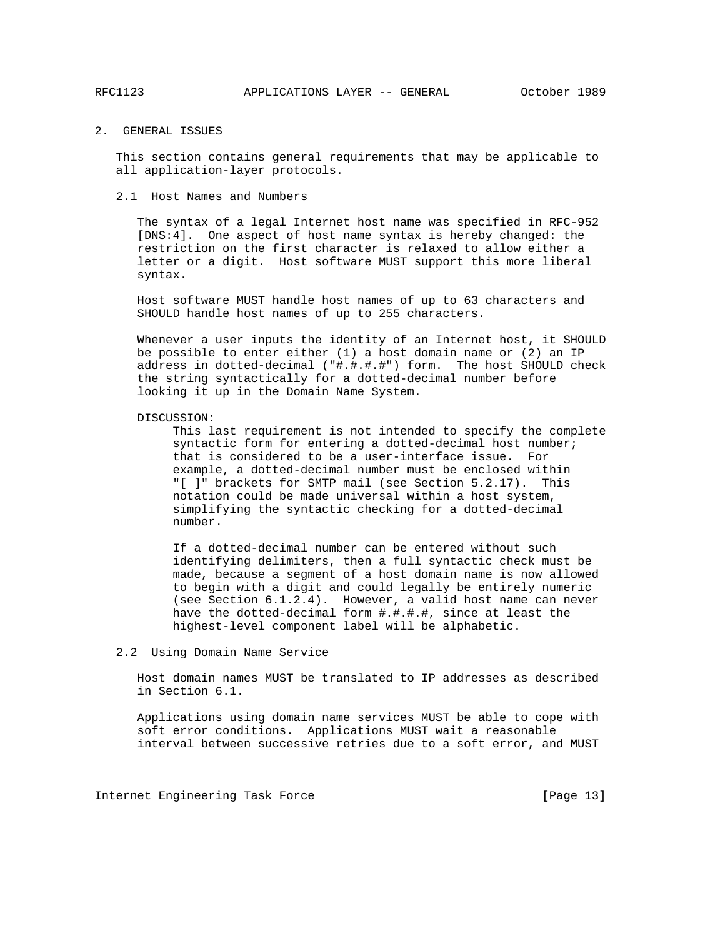# 2. GENERAL ISSUES

 This section contains general requirements that may be applicable to all application-layer protocols.

2.1 Host Names and Numbers

 The syntax of a legal Internet host name was specified in RFC-952 [DNS:4]. One aspect of host name syntax is hereby changed: the restriction on the first character is relaxed to allow either a letter or a digit. Host software MUST support this more liberal syntax.

 Host software MUST handle host names of up to 63 characters and SHOULD handle host names of up to 255 characters.

 Whenever a user inputs the identity of an Internet host, it SHOULD be possible to enter either (1) a host domain name or (2) an IP address in dotted-decimal ("#.#.#.#") form. The host SHOULD check the string syntactically for a dotted-decimal number before looking it up in the Domain Name System.

#### DISCUSSION:

 This last requirement is not intended to specify the complete syntactic form for entering a dotted-decimal host number; that is considered to be a user-interface issue. For example, a dotted-decimal number must be enclosed within "[ ]" brackets for SMTP mail (see Section 5.2.17). This notation could be made universal within a host system, simplifying the syntactic checking for a dotted-decimal number.

 If a dotted-decimal number can be entered without such identifying delimiters, then a full syntactic check must be made, because a segment of a host domain name is now allowed to begin with a digit and could legally be entirely numeric (see Section 6.1.2.4). However, a valid host name can never have the dotted-decimal form #.#.#.#, since at least the highest-level component label will be alphabetic.

#### 2.2 Using Domain Name Service

 Host domain names MUST be translated to IP addresses as described in Section 6.1.

 Applications using domain name services MUST be able to cope with soft error conditions. Applications MUST wait a reasonable interval between successive retries due to a soft error, and MUST

Internet Engineering Task Force [Page 13]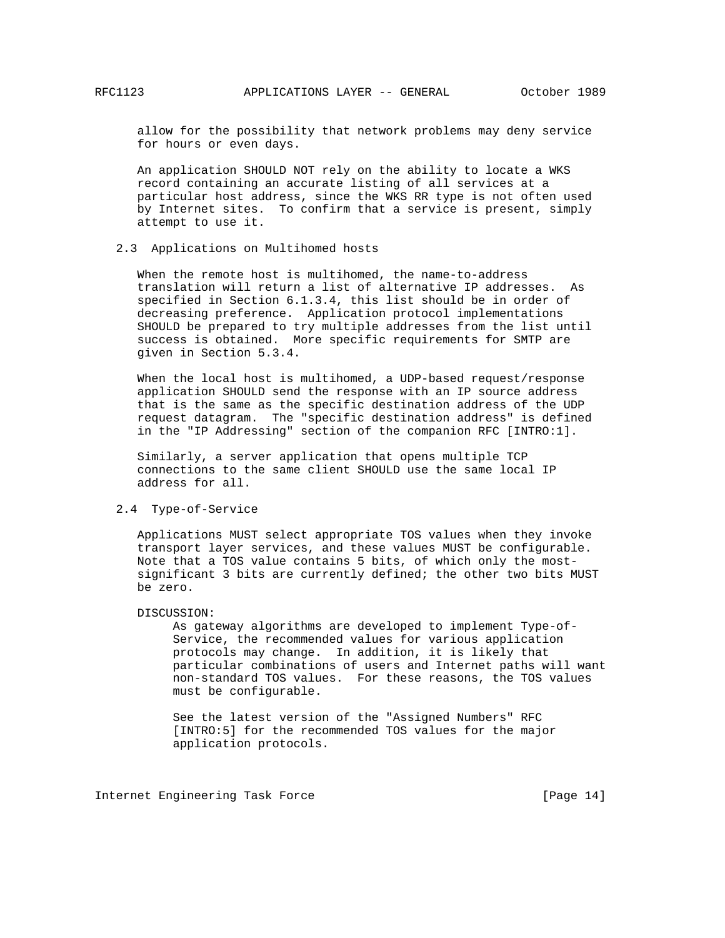allow for the possibility that network problems may deny service for hours or even days.

 An application SHOULD NOT rely on the ability to locate a WKS record containing an accurate listing of all services at a particular host address, since the WKS RR type is not often used by Internet sites. To confirm that a service is present, simply attempt to use it.

## 2.3 Applications on Multihomed hosts

When the remote host is multihomed, the name-to-address translation will return a list of alternative IP addresses. As specified in Section 6.1.3.4, this list should be in order of decreasing preference. Application protocol implementations SHOULD be prepared to try multiple addresses from the list until success is obtained. More specific requirements for SMTP are given in Section 5.3.4.

When the local host is multihomed, a UDP-based request/response application SHOULD send the response with an IP source address that is the same as the specific destination address of the UDP request datagram. The "specific destination address" is defined in the "IP Addressing" section of the companion RFC [INTRO:1].

 Similarly, a server application that opens multiple TCP connections to the same client SHOULD use the same local IP address for all.

# 2.4 Type-of-Service

 Applications MUST select appropriate TOS values when they invoke transport layer services, and these values MUST be configurable. Note that a TOS value contains 5 bits, of which only the most significant 3 bits are currently defined; the other two bits MUST be zero.

#### DISCUSSION:

 As gateway algorithms are developed to implement Type-of- Service, the recommended values for various application protocols may change. In addition, it is likely that particular combinations of users and Internet paths will want non-standard TOS values. For these reasons, the TOS values must be configurable.

 See the latest version of the "Assigned Numbers" RFC [INTRO:5] for the recommended TOS values for the major application protocols.

Internet Engineering Task Force [Page 14]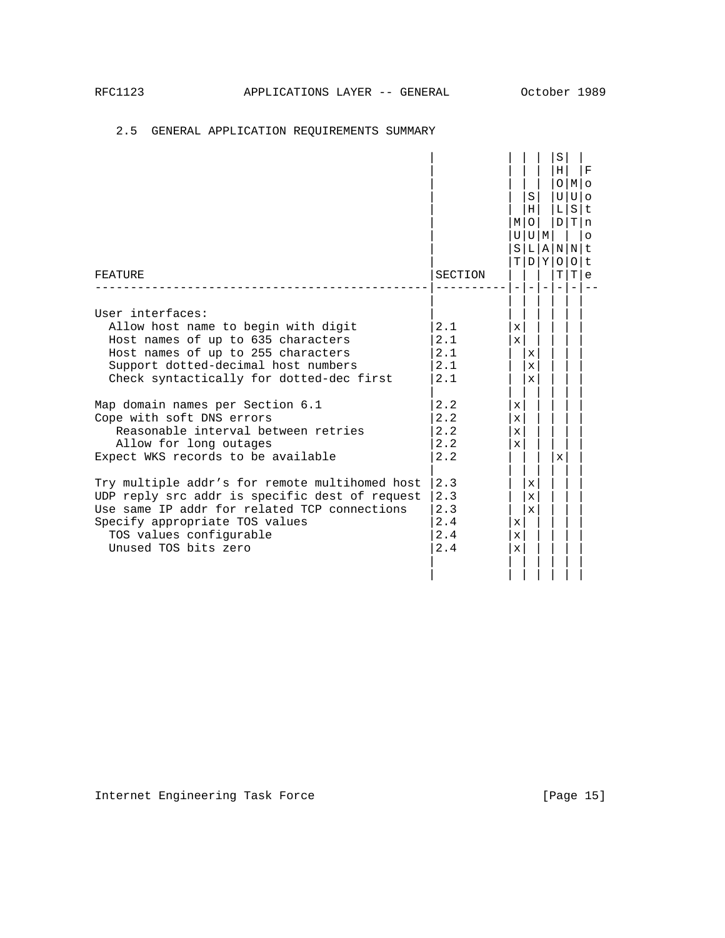# 2.5 GENERAL APPLICATION REQUIREMENTS SUMMARY

| FEATURE                                                                                                                                                                                                                               | SECTION                                | UΙ<br>S<br>т                | S<br>Ηl<br>M O <br> U   M  <br> D Y | S<br>Н<br>U<br>IJ<br>$\mathbb{D}$<br>L[A N N t<br>$\circ$<br>т | O M <br>U<br>S<br>т<br>$\circ$<br>т | F<br>$\circ$<br>$\Omega$<br>t<br>n<br>$\circ$<br>t<br>e |
|---------------------------------------------------------------------------------------------------------------------------------------------------------------------------------------------------------------------------------------|----------------------------------------|-----------------------------|-------------------------------------|----------------------------------------------------------------|-------------------------------------|---------------------------------------------------------|
| User interfaces:<br>Allow host name to begin with digit<br>Host names of up to 635 characters<br>Host names of up to 255 characters<br>Support dotted-decimal host numbers<br>Check syntactically for dotted-dec first                | 2.1<br>2.1<br>2.1<br>2.1<br>2.1        | x<br>$\mathbf{x}$           | X<br>X<br>X                         |                                                                |                                     |                                                         |
| Map domain names per Section 6.1<br>Cope with soft DNS errors<br>Reasonable interval between retries<br>Allow for long outages<br>Expect WKS records to be available                                                                  | 2.2<br>2.2<br>2.2<br>2.2<br>2.2        | X<br>x<br>x<br>$\mathbf{x}$ |                                     | X                                                              |                                     |                                                         |
| Try multiple addr's for remote multihomed host<br>UDP reply src addr is specific dest of request<br>Use same IP addr for related TCP connections<br>Specify appropriate TOS values<br>TOS values configurable<br>Unused TOS bits zero | 2.3<br>2.3<br>2.3<br>2.4<br>2.4<br>2.4 | x<br>x<br>$\mathbf{x}$      | х<br>$\mathbf x$<br>X               |                                                                |                                     |                                                         |

Internet Engineering Task Force [Page 15]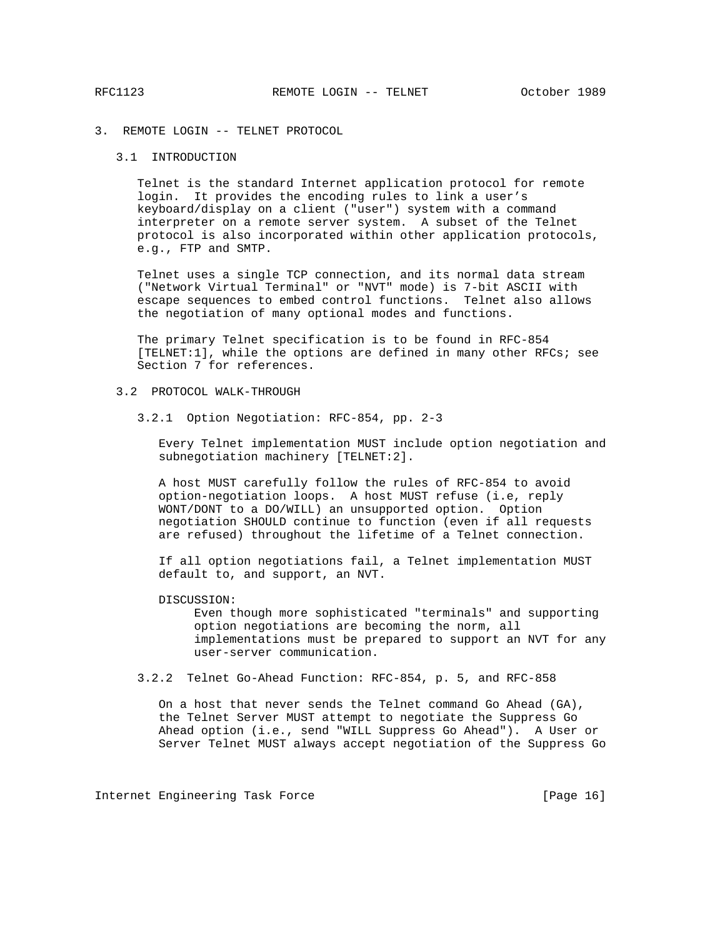3. REMOTE LOGIN -- TELNET PROTOCOL

#### 3.1 INTRODUCTION

 Telnet is the standard Internet application protocol for remote login. It provides the encoding rules to link a user's keyboard/display on a client ("user") system with a command interpreter on a remote server system. A subset of the Telnet protocol is also incorporated within other application protocols, e.g., FTP and SMTP.

 Telnet uses a single TCP connection, and its normal data stream ("Network Virtual Terminal" or "NVT" mode) is 7-bit ASCII with escape sequences to embed control functions. Telnet also allows the negotiation of many optional modes and functions.

 The primary Telnet specification is to be found in RFC-854 [TELNET:1], while the options are defined in many other RFCs; see Section 7 for references.

#### 3.2 PROTOCOL WALK-THROUGH

3.2.1 Option Negotiation: RFC-854, pp. 2-3

 Every Telnet implementation MUST include option negotiation and subnegotiation machinery [TELNET:2].

 A host MUST carefully follow the rules of RFC-854 to avoid option-negotiation loops. A host MUST refuse (i.e, reply WONT/DONT to a DO/WILL) an unsupported option. Option negotiation SHOULD continue to function (even if all requests are refused) throughout the lifetime of a Telnet connection.

 If all option negotiations fail, a Telnet implementation MUST default to, and support, an NVT.

DISCUSSION:

 Even though more sophisticated "terminals" and supporting option negotiations are becoming the norm, all implementations must be prepared to support an NVT for any user-server communication.

3.2.2 Telnet Go-Ahead Function: RFC-854, p. 5, and RFC-858

 On a host that never sends the Telnet command Go Ahead (GA), the Telnet Server MUST attempt to negotiate the Suppress Go Ahead option (i.e., send "WILL Suppress Go Ahead"). A User or Server Telnet MUST always accept negotiation of the Suppress Go

Internet Engineering Task Force [Page 16]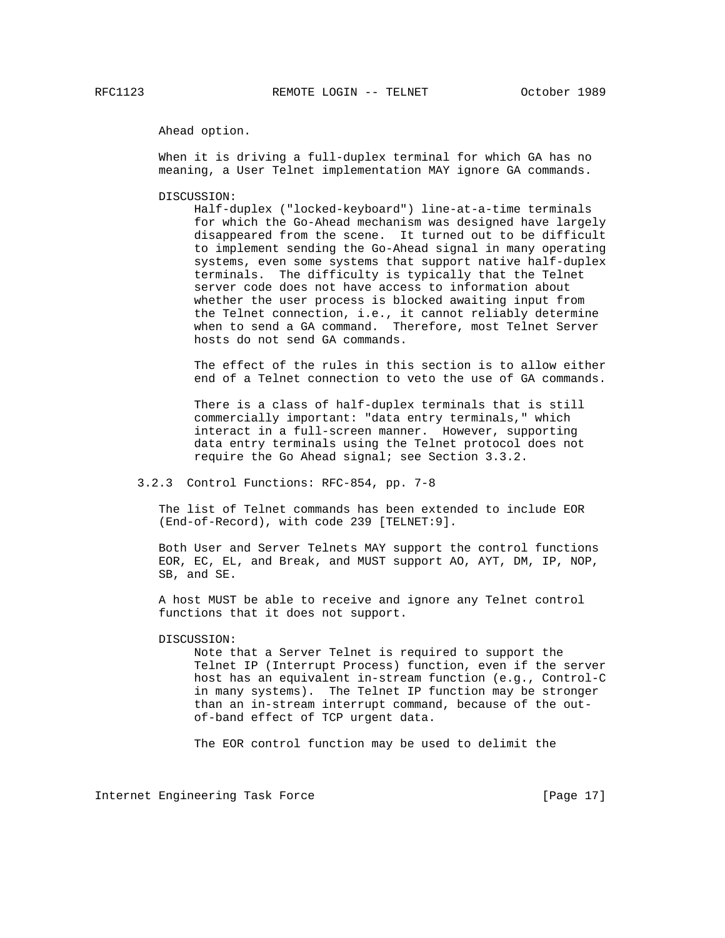## Ahead option.

 When it is driving a full-duplex terminal for which GA has no meaning, a User Telnet implementation MAY ignore GA commands.

DISCUSSION:

 Half-duplex ("locked-keyboard") line-at-a-time terminals for which the Go-Ahead mechanism was designed have largely disappeared from the scene. It turned out to be difficult to implement sending the Go-Ahead signal in many operating systems, even some systems that support native half-duplex terminals. The difficulty is typically that the Telnet server code does not have access to information about whether the user process is blocked awaiting input from the Telnet connection, i.e., it cannot reliably determine when to send a GA command. Therefore, most Telnet Server hosts do not send GA commands.

 The effect of the rules in this section is to allow either end of a Telnet connection to veto the use of GA commands.

 There is a class of half-duplex terminals that is still commercially important: "data entry terminals," which interact in a full-screen manner. However, supporting data entry terminals using the Telnet protocol does not require the Go Ahead signal; see Section 3.3.2.

# 3.2.3 Control Functions: RFC-854, pp. 7-8

 The list of Telnet commands has been extended to include EOR (End-of-Record), with code 239 [TELNET:9].

 Both User and Server Telnets MAY support the control functions EOR, EC, EL, and Break, and MUST support AO, AYT, DM, IP, NOP, SB, and SE.

 A host MUST be able to receive and ignore any Telnet control functions that it does not support.

# DISCUSSION:

 Note that a Server Telnet is required to support the Telnet IP (Interrupt Process) function, even if the server host has an equivalent in-stream function (e.g., Control-C in many systems). The Telnet IP function may be stronger than an in-stream interrupt command, because of the out of-band effect of TCP urgent data.

The EOR control function may be used to delimit the

Internet Engineering Task Force [Page 17]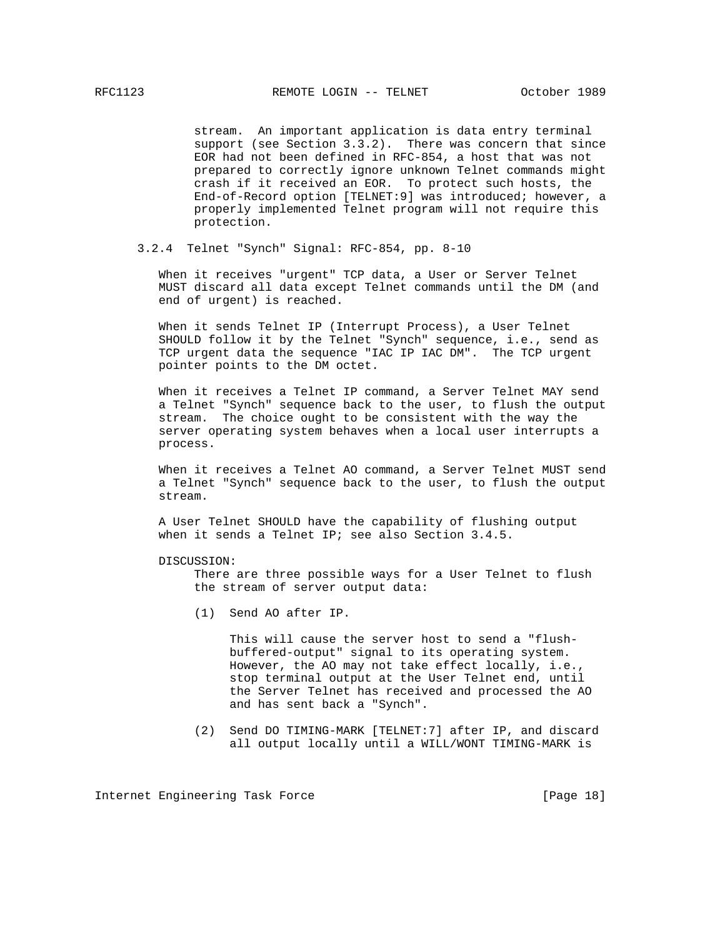stream. An important application is data entry terminal support (see Section 3.3.2). There was concern that since EOR had not been defined in RFC-854, a host that was not prepared to correctly ignore unknown Telnet commands might crash if it received an EOR. To protect such hosts, the End-of-Record option [TELNET:9] was introduced; however, a properly implemented Telnet program will not require this protection.

3.2.4 Telnet "Synch" Signal: RFC-854, pp. 8-10

 When it receives "urgent" TCP data, a User or Server Telnet MUST discard all data except Telnet commands until the DM (and end of urgent) is reached.

 When it sends Telnet IP (Interrupt Process), a User Telnet SHOULD follow it by the Telnet "Synch" sequence, i.e., send as TCP urgent data the sequence "IAC IP IAC DM". The TCP urgent pointer points to the DM octet.

 When it receives a Telnet IP command, a Server Telnet MAY send a Telnet "Synch" sequence back to the user, to flush the output stream. The choice ought to be consistent with the way the server operating system behaves when a local user interrupts a process.

 When it receives a Telnet AO command, a Server Telnet MUST send a Telnet "Synch" sequence back to the user, to flush the output stream.

 A User Telnet SHOULD have the capability of flushing output when it sends a Telnet IP; see also Section 3.4.5.

DISCUSSION:

 There are three possible ways for a User Telnet to flush the stream of server output data:

(1) Send AO after IP.

 This will cause the server host to send a "flush buffered-output" signal to its operating system. However, the AO may not take effect locally, i.e., stop terminal output at the User Telnet end, until the Server Telnet has received and processed the AO and has sent back a "Synch".

 (2) Send DO TIMING-MARK [TELNET:7] after IP, and discard all output locally until a WILL/WONT TIMING-MARK is

Internet Engineering Task Force [Page 18]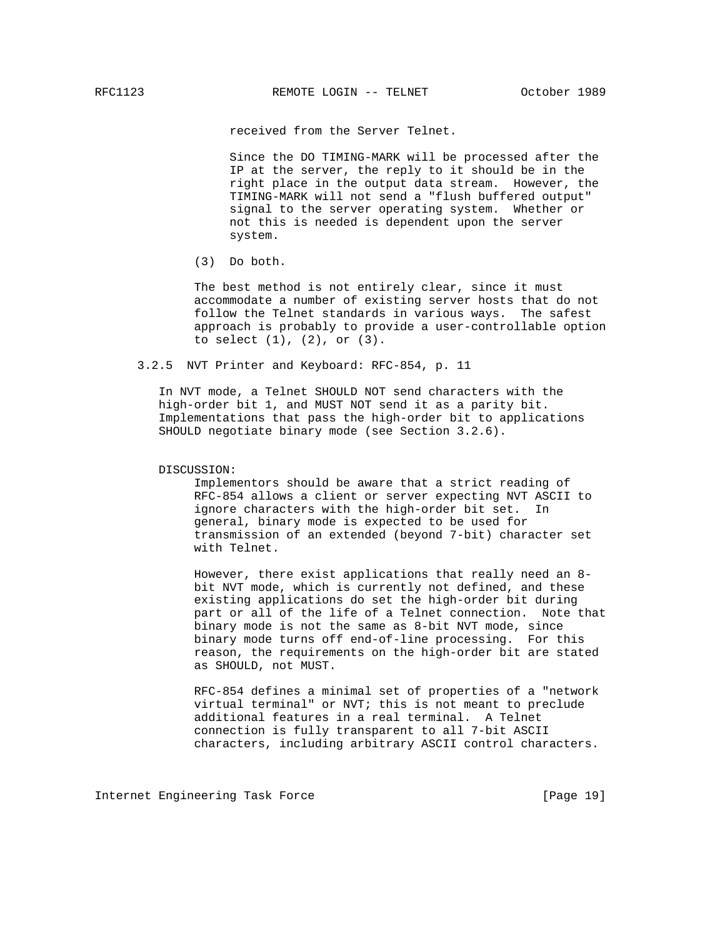received from the Server Telnet.

 Since the DO TIMING-MARK will be processed after the IP at the server, the reply to it should be in the right place in the output data stream. However, the TIMING-MARK will not send a "flush buffered output" signal to the server operating system. Whether or not this is needed is dependent upon the server system.

(3) Do both.

 The best method is not entirely clear, since it must accommodate a number of existing server hosts that do not follow the Telnet standards in various ways. The safest approach is probably to provide a user-controllable option to select  $(1)$ ,  $(2)$ , or  $(3)$ .

3.2.5 NVT Printer and Keyboard: RFC-854, p. 11

 In NVT mode, a Telnet SHOULD NOT send characters with the high-order bit 1, and MUST NOT send it as a parity bit. Implementations that pass the high-order bit to applications SHOULD negotiate binary mode (see Section 3.2.6).

DISCUSSION:

 Implementors should be aware that a strict reading of RFC-854 allows a client or server expecting NVT ASCII to ignore characters with the high-order bit set. In general, binary mode is expected to be used for transmission of an extended (beyond 7-bit) character set with Telnet.

 However, there exist applications that really need an 8 bit NVT mode, which is currently not defined, and these existing applications do set the high-order bit during part or all of the life of a Telnet connection. Note that binary mode is not the same as 8-bit NVT mode, since binary mode turns off end-of-line processing. For this reason, the requirements on the high-order bit are stated as SHOULD, not MUST.

 RFC-854 defines a minimal set of properties of a "network virtual terminal" or NVT; this is not meant to preclude additional features in a real terminal. A Telnet connection is fully transparent to all 7-bit ASCII characters, including arbitrary ASCII control characters.

Internet Engineering Task Force [Page 19]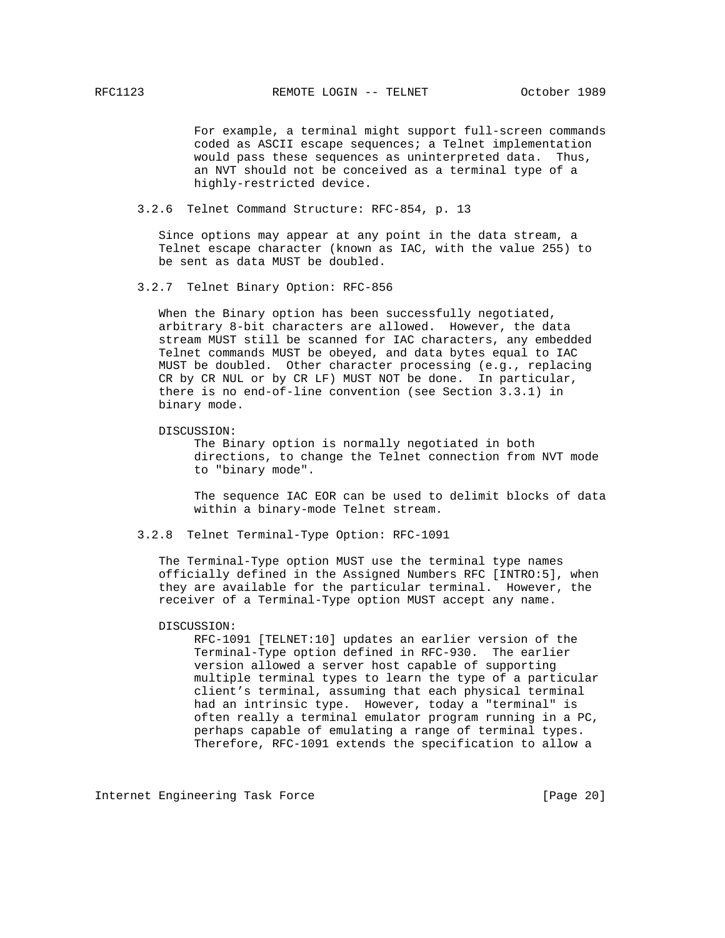For example, a terminal might support full-screen commands coded as ASCII escape sequences; a Telnet implementation would pass these sequences as uninterpreted data. Thus, an NVT should not be conceived as a terminal type of a highly-restricted device.

3.2.6 Telnet Command Structure: RFC-854, p. 13

 Since options may appear at any point in the data stream, a Telnet escape character (known as IAC, with the value 255) to be sent as data MUST be doubled.

3.2.7 Telnet Binary Option: RFC-856

When the Binary option has been successfully negotiated, arbitrary 8-bit characters are allowed. However, the data stream MUST still be scanned for IAC characters, any embedded Telnet commands MUST be obeyed, and data bytes equal to IAC MUST be doubled. Other character processing (e.g., replacing CR by CR NUL or by CR LF) MUST NOT be done. In particular, there is no end-of-line convention (see Section 3.3.1) in binary mode.

DISCUSSION:

 The Binary option is normally negotiated in both directions, to change the Telnet connection from NVT mode to "binary mode".

 The sequence IAC EOR can be used to delimit blocks of data within a binary-mode Telnet stream.

## 3.2.8 Telnet Terminal-Type Option: RFC-1091

 The Terminal-Type option MUST use the terminal type names officially defined in the Assigned Numbers RFC [INTRO:5], when they are available for the particular terminal. However, the receiver of a Terminal-Type option MUST accept any name.

# DISCUSSION:

 RFC-1091 [TELNET:10] updates an earlier version of the Terminal-Type option defined in RFC-930. The earlier version allowed a server host capable of supporting multiple terminal types to learn the type of a particular client's terminal, assuming that each physical terminal had an intrinsic type. However, today a "terminal" is often really a terminal emulator program running in a PC, perhaps capable of emulating a range of terminal types. Therefore, RFC-1091 extends the specification to allow a

Internet Engineering Task Force [Page 20]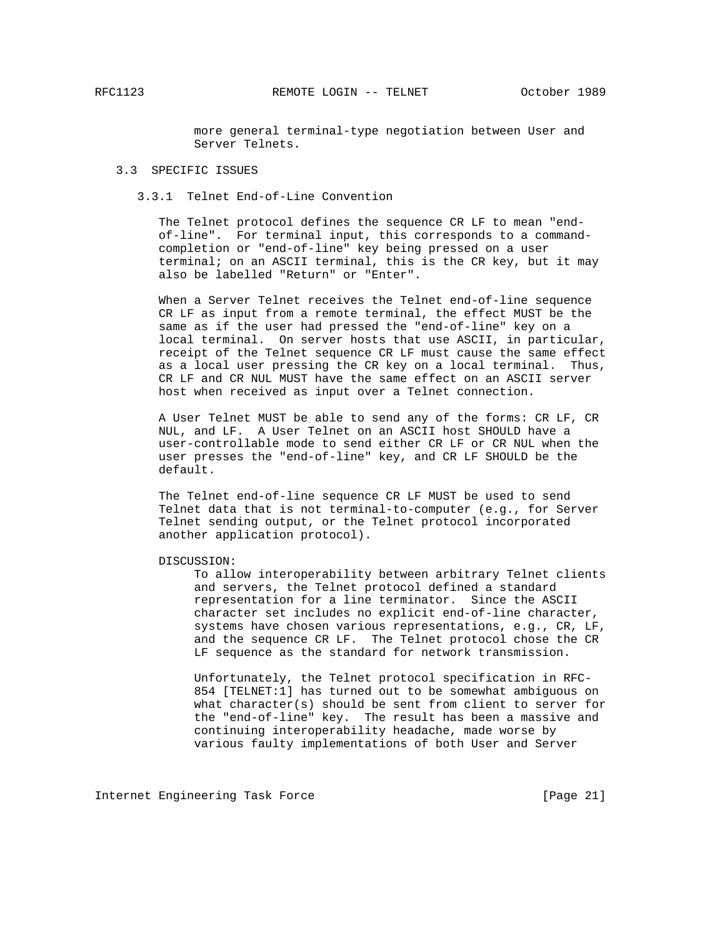more general terminal-type negotiation between User and Server Telnets.

# 3.3 SPECIFIC ISSUES

3.3.1 Telnet End-of-Line Convention

 The Telnet protocol defines the sequence CR LF to mean "end of-line". For terminal input, this corresponds to a command completion or "end-of-line" key being pressed on a user terminal; on an ASCII terminal, this is the CR key, but it may also be labelled "Return" or "Enter".

 When a Server Telnet receives the Telnet end-of-line sequence CR LF as input from a remote terminal, the effect MUST be the same as if the user had pressed the "end-of-line" key on a local terminal. On server hosts that use ASCII, in particular, receipt of the Telnet sequence CR LF must cause the same effect as a local user pressing the CR key on a local terminal. Thus, CR LF and CR NUL MUST have the same effect on an ASCII server host when received as input over a Telnet connection.

 A User Telnet MUST be able to send any of the forms: CR LF, CR NUL, and LF. A User Telnet on an ASCII host SHOULD have a user-controllable mode to send either CR LF or CR NUL when the user presses the "end-of-line" key, and CR LF SHOULD be the default.

 The Telnet end-of-line sequence CR LF MUST be used to send Telnet data that is not terminal-to-computer (e.g., for Server Telnet sending output, or the Telnet protocol incorporated another application protocol).

# DISCUSSION:

 To allow interoperability between arbitrary Telnet clients and servers, the Telnet protocol defined a standard representation for a line terminator. Since the ASCII character set includes no explicit end-of-line character, systems have chosen various representations, e.g., CR, LF, and the sequence CR LF. The Telnet protocol chose the CR LF sequence as the standard for network transmission.

 Unfortunately, the Telnet protocol specification in RFC- 854 [TELNET:1] has turned out to be somewhat ambiguous on what character(s) should be sent from client to server for the "end-of-line" key. The result has been a massive and continuing interoperability headache, made worse by various faulty implementations of both User and Server

Internet Engineering Task Force [Page 21]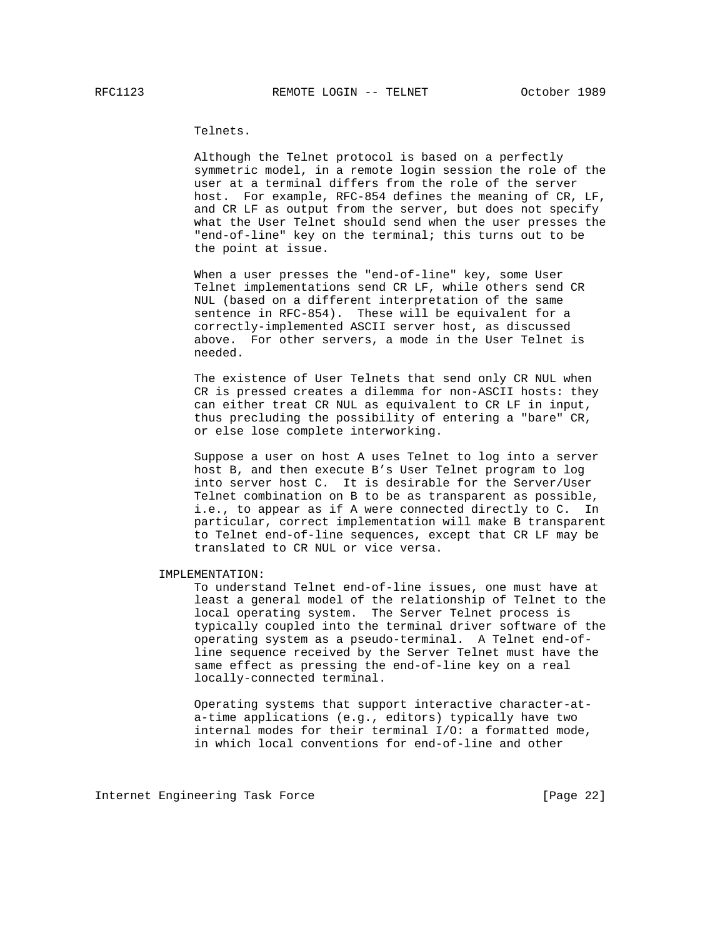Telnets.

 Although the Telnet protocol is based on a perfectly symmetric model, in a remote login session the role of the user at a terminal differs from the role of the server host. For example, RFC-854 defines the meaning of CR, LF, and CR LF as output from the server, but does not specify what the User Telnet should send when the user presses the "end-of-line" key on the terminal; this turns out to be the point at issue.

When a user presses the "end-of-line" key, some User Telnet implementations send CR LF, while others send CR NUL (based on a different interpretation of the same sentence in RFC-854). These will be equivalent for a correctly-implemented ASCII server host, as discussed above. For other servers, a mode in the User Telnet is needed.

 The existence of User Telnets that send only CR NUL when CR is pressed creates a dilemma for non-ASCII hosts: they can either treat CR NUL as equivalent to CR LF in input, thus precluding the possibility of entering a "bare" CR, or else lose complete interworking.

 Suppose a user on host A uses Telnet to log into a server host B, and then execute B's User Telnet program to log into server host C. It is desirable for the Server/User Telnet combination on B to be as transparent as possible, i.e., to appear as if A were connected directly to C. In particular, correct implementation will make B transparent to Telnet end-of-line sequences, except that CR LF may be translated to CR NUL or vice versa.

IMPLEMENTATION:

 To understand Telnet end-of-line issues, one must have at least a general model of the relationship of Telnet to the local operating system. The Server Telnet process is typically coupled into the terminal driver software of the operating system as a pseudo-terminal. A Telnet end-of line sequence received by the Server Telnet must have the same effect as pressing the end-of-line key on a real locally-connected terminal.

 Operating systems that support interactive character-at a-time applications (e.g., editors) typically have two internal modes for their terminal I/O: a formatted mode, in which local conventions for end-of-line and other

Internet Engineering Task Force [Page 22]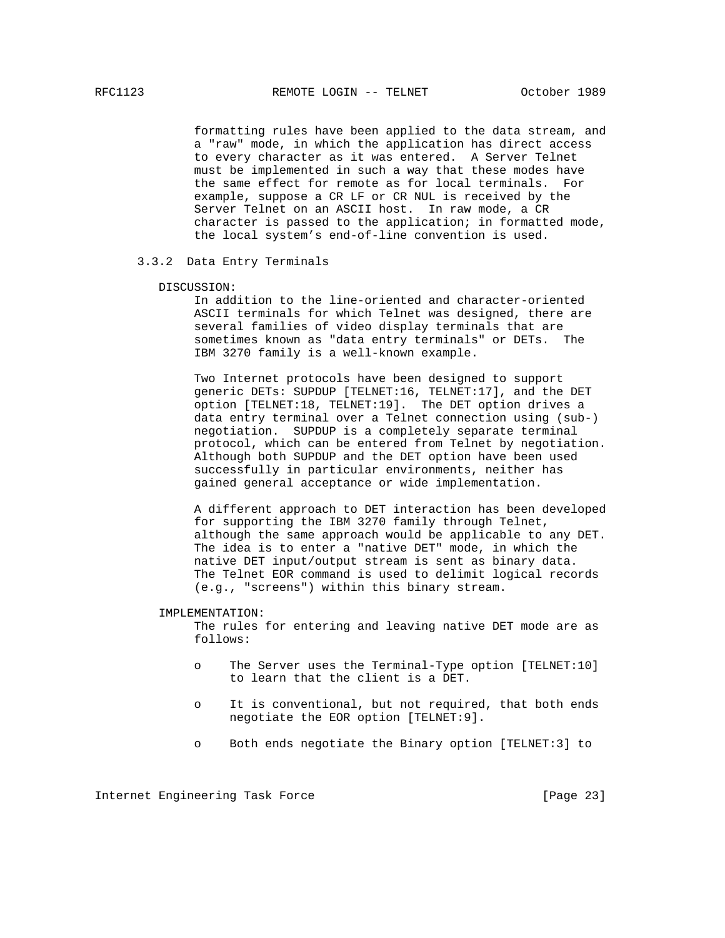formatting rules have been applied to the data stream, and a "raw" mode, in which the application has direct access to every character as it was entered. A Server Telnet must be implemented in such a way that these modes have the same effect for remote as for local terminals. For example, suppose a CR LF or CR NUL is received by the Server Telnet on an ASCII host. In raw mode, a CR character is passed to the application; in formatted mode, the local system's end-of-line convention is used.

# 3.3.2 Data Entry Terminals

DISCUSSION:

 In addition to the line-oriented and character-oriented ASCII terminals for which Telnet was designed, there are several families of video display terminals that are sometimes known as "data entry terminals" or DETs. The IBM 3270 family is a well-known example.

 Two Internet protocols have been designed to support generic DETs: SUPDUP [TELNET:16, TELNET:17], and the DET option [TELNET:18, TELNET:19]. The DET option drives a data entry terminal over a Telnet connection using (sub-) negotiation. SUPDUP is a completely separate terminal protocol, which can be entered from Telnet by negotiation. Although both SUPDUP and the DET option have been used successfully in particular environments, neither has gained general acceptance or wide implementation.

 A different approach to DET interaction has been developed for supporting the IBM 3270 family through Telnet, although the same approach would be applicable to any DET. The idea is to enter a "native DET" mode, in which the native DET input/output stream is sent as binary data. The Telnet EOR command is used to delimit logical records (e.g., "screens") within this binary stream.

#### IMPLEMENTATION:

 The rules for entering and leaving native DET mode are as follows:

- o The Server uses the Terminal-Type option [TELNET:10] to learn that the client is a DET.
- o It is conventional, but not required, that both ends negotiate the EOR option [TELNET:9].
- o Both ends negotiate the Binary option [TELNET:3] to

Internet Engineering Task Force [Page 23]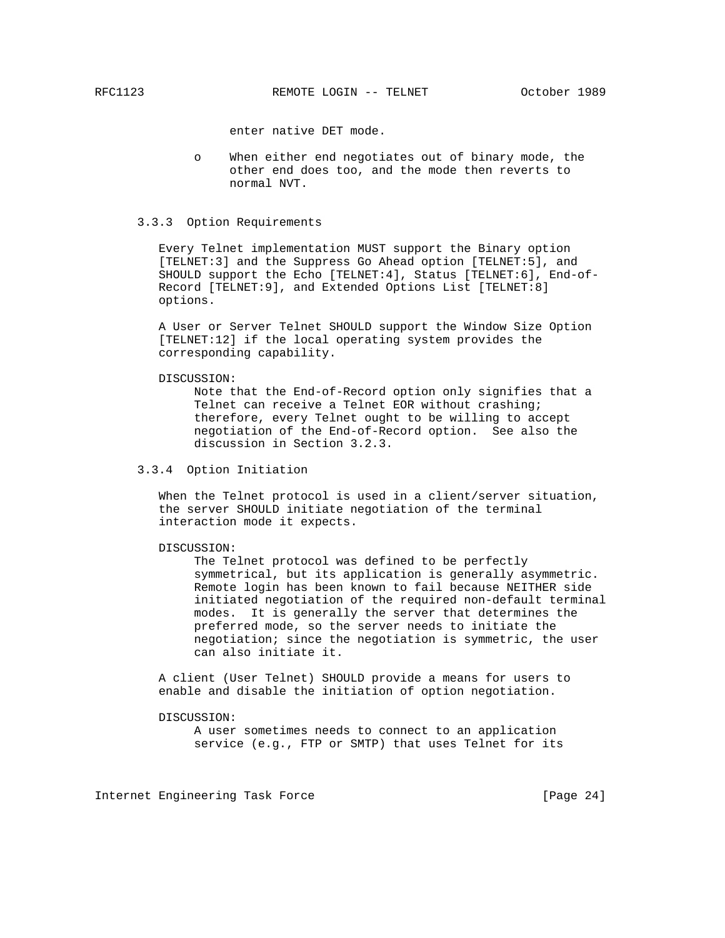enter native DET mode.

 o When either end negotiates out of binary mode, the other end does too, and the mode then reverts to normal NVT.

### 3.3.3 Option Requirements

 Every Telnet implementation MUST support the Binary option [TELNET:3] and the Suppress Go Ahead option [TELNET:5], and SHOULD support the Echo [TELNET:4], Status [TELNET:6], End-of- Record [TELNET:9], and Extended Options List [TELNET:8] options.

 A User or Server Telnet SHOULD support the Window Size Option [TELNET:12] if the local operating system provides the corresponding capability.

#### DISCUSSION:

 Note that the End-of-Record option only signifies that a Telnet can receive a Telnet EOR without crashing; therefore, every Telnet ought to be willing to accept negotiation of the End-of-Record option. See also the discussion in Section 3.2.3.

# 3.3.4 Option Initiation

When the Telnet protocol is used in a client/server situation, the server SHOULD initiate negotiation of the terminal interaction mode it expects.

#### DISCUSSION:

 The Telnet protocol was defined to be perfectly symmetrical, but its application is generally asymmetric. Remote login has been known to fail because NEITHER side initiated negotiation of the required non-default terminal modes. It is generally the server that determines the preferred mode, so the server needs to initiate the negotiation; since the negotiation is symmetric, the user can also initiate it.

 A client (User Telnet) SHOULD provide a means for users to enable and disable the initiation of option negotiation.

#### DISCUSSION:

 A user sometimes needs to connect to an application service (e.g., FTP or SMTP) that uses Telnet for its

Internet Engineering Task Force [Page 24]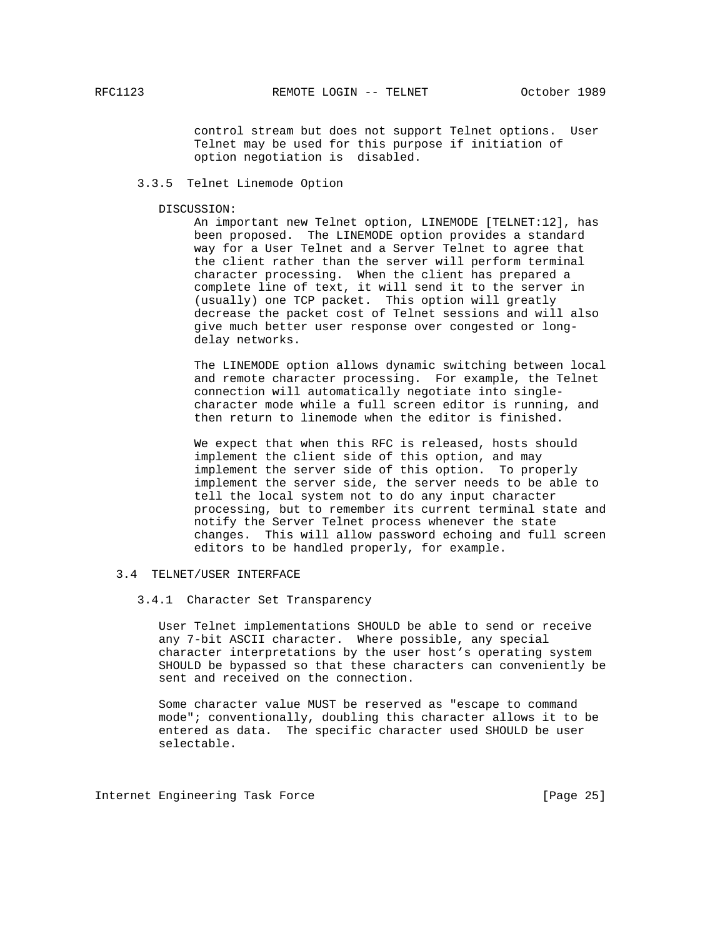control stream but does not support Telnet options. User Telnet may be used for this purpose if initiation of option negotiation is disabled.

# 3.3.5 Telnet Linemode Option

#### DISCUSSION:

 An important new Telnet option, LINEMODE [TELNET:12], has been proposed. The LINEMODE option provides a standard way for a User Telnet and a Server Telnet to agree that the client rather than the server will perform terminal character processing. When the client has prepared a complete line of text, it will send it to the server in (usually) one TCP packet. This option will greatly decrease the packet cost of Telnet sessions and will also give much better user response over congested or long delay networks.

> The LINEMODE option allows dynamic switching between local and remote character processing. For example, the Telnet connection will automatically negotiate into single character mode while a full screen editor is running, and then return to linemode when the editor is finished.

> We expect that when this RFC is released, hosts should implement the client side of this option, and may implement the server side of this option. To properly implement the server side, the server needs to be able to tell the local system not to do any input character processing, but to remember its current terminal state and notify the Server Telnet process whenever the state changes. This will allow password echoing and full screen editors to be handled properly, for example.

# 3.4 TELNET/USER INTERFACE

#### 3.4.1 Character Set Transparency

 User Telnet implementations SHOULD be able to send or receive any 7-bit ASCII character. Where possible, any special character interpretations by the user host's operating system SHOULD be bypassed so that these characters can conveniently be sent and received on the connection.

 Some character value MUST be reserved as "escape to command mode"; conventionally, doubling this character allows it to be entered as data. The specific character used SHOULD be user selectable.

Internet Engineering Task Force [Page 25]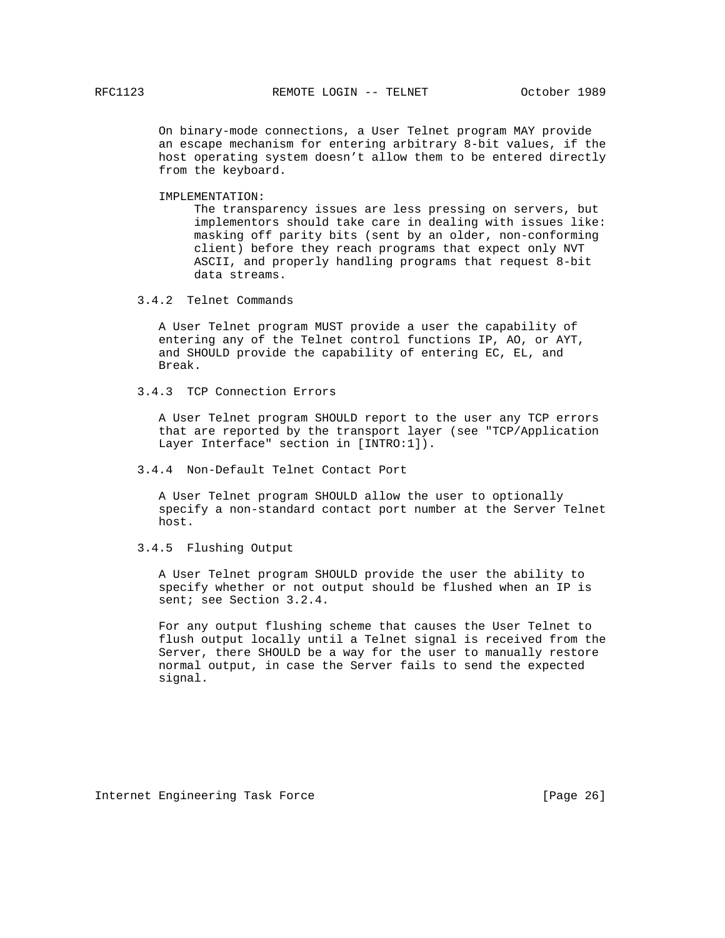On binary-mode connections, a User Telnet program MAY provide an escape mechanism for entering arbitrary 8-bit values, if the host operating system doesn't allow them to be entered directly from the keyboard.

IMPLEMENTATION:

 The transparency issues are less pressing on servers, but implementors should take care in dealing with issues like: masking off parity bits (sent by an older, non-conforming client) before they reach programs that expect only NVT ASCII, and properly handling programs that request 8-bit data streams.

3.4.2 Telnet Commands

 A User Telnet program MUST provide a user the capability of entering any of the Telnet control functions IP, AO, or AYT, and SHOULD provide the capability of entering EC, EL, and Break.

3.4.3 TCP Connection Errors

 A User Telnet program SHOULD report to the user any TCP errors that are reported by the transport layer (see "TCP/Application Layer Interface" section in [INTRO:1]).

3.4.4 Non-Default Telnet Contact Port

 A User Telnet program SHOULD allow the user to optionally specify a non-standard contact port number at the Server Telnet host.

3.4.5 Flushing Output

 A User Telnet program SHOULD provide the user the ability to specify whether or not output should be flushed when an IP is sent; see Section 3.2.4.

 For any output flushing scheme that causes the User Telnet to flush output locally until a Telnet signal is received from the Server, there SHOULD be a way for the user to manually restore normal output, in case the Server fails to send the expected signal.

Internet Engineering Task Force [Page 26]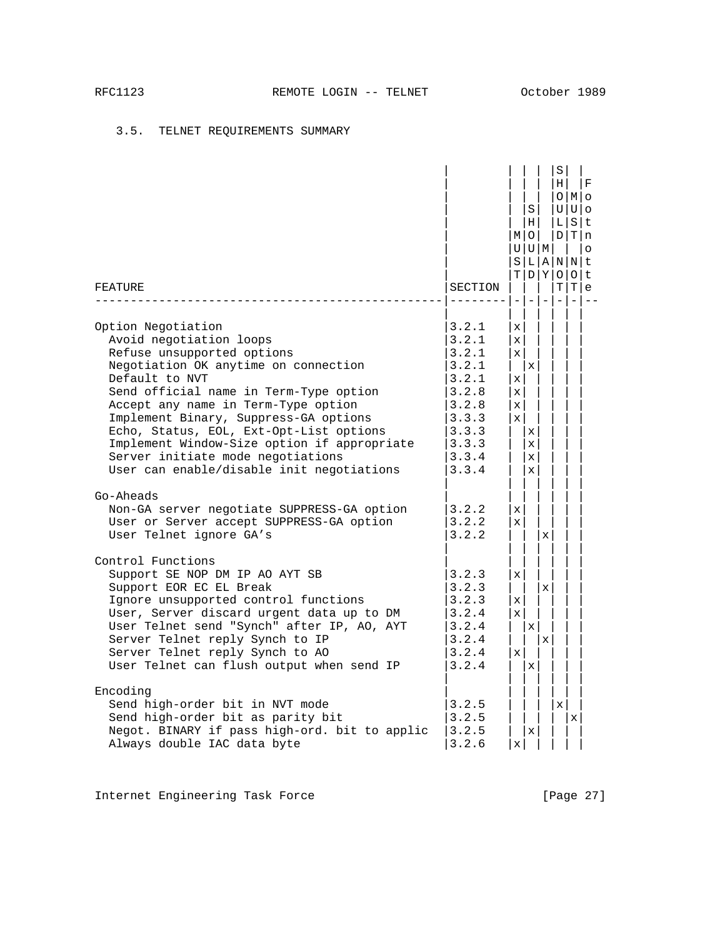# 3.5. TELNET REQUIREMENTS SUMMARY

| FEATURE                                                                                                                                                                                                                                                                                                                                                                                                                                     | SECTION                                                                                                  | U                                                                                        | S  <br>ΗI<br>MIO<br> U M<br>S L A N N t<br>T D Y O |        | S<br>Н<br>UΙ<br>L.<br>Т | O M <br>$U \circ$<br>$S$  t<br>D/T n<br>0 t<br>$\overline{\phantom{m}}$ | F<br>$\circ$<br>T e |
|---------------------------------------------------------------------------------------------------------------------------------------------------------------------------------------------------------------------------------------------------------------------------------------------------------------------------------------------------------------------------------------------------------------------------------------------|----------------------------------------------------------------------------------------------------------|------------------------------------------------------------------------------------------|----------------------------------------------------|--------|-------------------------|-------------------------------------------------------------------------|---------------------|
| Option Negotiation<br>Avoid negotiation loops<br>Refuse unsupported options<br>Negotiation OK anytime on connection<br>Default to NVT<br>Send official name in Term-Type option<br>Accept any name in Term-Type option<br>Implement Binary, Suppress-GA options<br>Echo, Status, EOL, Ext-Opt-List options<br>Implement Window-Size option if appropriate<br>Server initiate mode negotiations<br>User can enable/disable init negotiations | 3.2.1<br>3.2.1<br>3.2.1<br>3.2.1<br>3.2.1<br>3.2.8<br>3.2.8<br>3.3.3<br>3.3.3<br>3.3.3<br>3.3.4<br>3.3.4 | x<br>$\mathbf{x}$<br>$\mathbf{x}$<br>x l<br>$\mathbf{x}$<br>$\mathbf{x}$<br>$\mathbf{x}$ | X<br>x<br>x<br>x<br>X                              |        |                         |                                                                         |                     |
| Go-Aheads<br>Non-GA server negotiate SUPPRESS-GA option<br>User or Server accept SUPPRESS-GA option<br>User Telnet ignore GA's                                                                                                                                                                                                                                                                                                              | 3.2.2<br>3.2.2<br>3.2.2                                                                                  | хI<br>$\mathbf{x}$                                                                       |                                                    | x      |                         |                                                                         |                     |
| Control Functions<br>Support SE NOP DM IP AO AYT SB<br>Support EOR EC EL Break<br>Ignore unsupported control functions<br>User, Server discard urgent data up to DM<br>User Telnet send "Synch" after IP, AO, AYT<br>Server Telnet reply Synch to IP<br>Server Telnet reply Synch to AO<br>User Telnet can flush output when send IP                                                                                                        | 3.2.3<br>3.2.3<br>3.2.3<br>3.2.4<br>3.2.4<br>3.2.4<br>3.2.4<br>3.2.4                                     | хI<br>$\mathbf{x}$<br>$\mathbf{x}$<br>x                                                  | X<br>X                                             | X<br>х |                         |                                                                         |                     |
| Encoding<br>Send high-order bit in NVT mode<br>Send high-order bit as parity bit<br>Negot. BINARY if pass high-ord. bit to applic<br>Always double IAC data byte                                                                                                                                                                                                                                                                            | 3.2.5<br>3.2.5<br>3.2.5<br>3.2.6                                                                         | Х                                                                                        | x                                                  |        | x                       | x                                                                       |                     |

Internet Engineering Task Force [Page 27]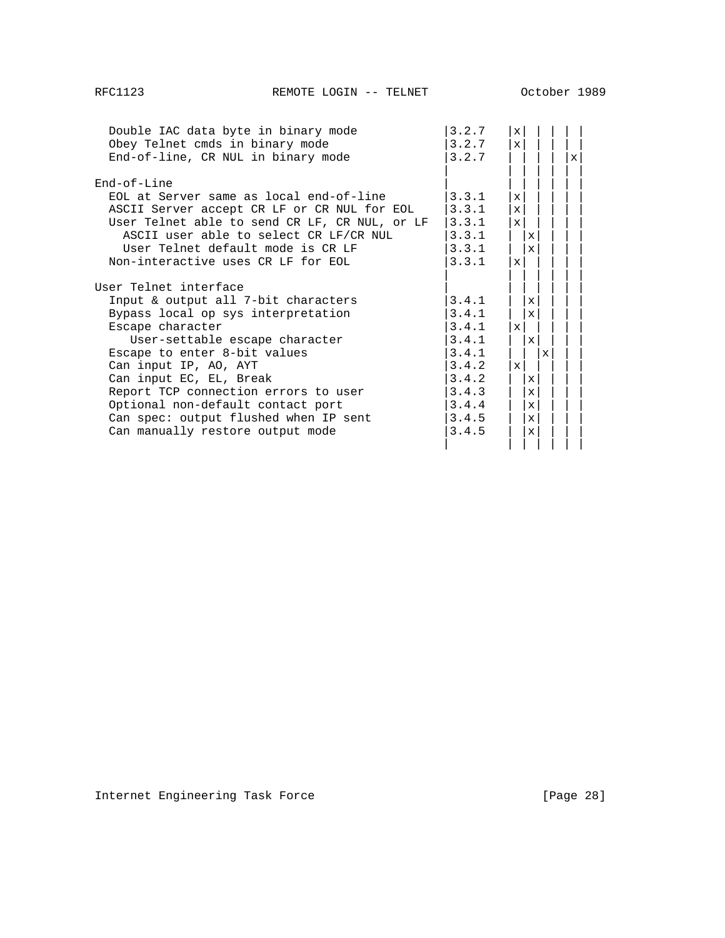| Double IAC data byte in binary mode           | 3.2.7 | X            |              |   |   |  |
|-----------------------------------------------|-------|--------------|--------------|---|---|--|
| Obey Telnet cmds in binary mode               | 3.2.7 | $\mathbf x$  |              |   |   |  |
| End-of-line, CR NUL in binary mode            | 3.2.7 |              |              |   | X |  |
| $End-of-Line$                                 |       |              |              |   |   |  |
| EOL at Server same as local end-of-line       | 3.3.1 | $\mathbf{x}$ |              |   |   |  |
| ASCII Server accept CR LF or CR NUL for EOL   | 3.3.1 | $\mathbf x$  |              |   |   |  |
| User Telnet able to send CR LF, CR NUL, or LF | 3.3.1 | $\mathbf x$  |              |   |   |  |
| ASCII user able to select CR LF/CR NUL        | 3.3.1 |              | $\mathbf x$  |   |   |  |
| User Telnet default mode is CR LF             | 3.3.1 |              | X            |   |   |  |
| Non-interactive uses CR LF for EOL            | 3.3.1 | X            |              |   |   |  |
| User Telnet interface                         |       |              |              |   |   |  |
| Input & output all 7-bit characters           | 3.4.1 |              | $\mathbf{x}$ |   |   |  |
| Bypass local op sys interpretation            | 3.4.1 |              | $\mathbf{x}$ |   |   |  |
| Escape character                              | 3.4.1 | X            |              |   |   |  |
| User-settable escape character                | 3.4.1 |              | X            |   |   |  |
| Escape to enter 8-bit values                  | 3.4.1 |              |              | X |   |  |
| Can input IP, AO, AYT                         | 3.4.2 | $\mathbf x$  |              |   |   |  |
| Can input EC, EL, Break                       | 3.4.2 |              | X            |   |   |  |
| Report TCP connection errors to user          | 3.4.3 |              | $\mathbf{x}$ |   |   |  |
| Optional non-default contact port             | 3.4.4 |              | $\mathbf{x}$ |   |   |  |
| Can spec: output flushed when IP sent         | 3.4.5 |              | $\mathbf{x}$ |   |   |  |
| Can manually restore output mode              | 3.4.5 |              | x            |   |   |  |
|                                               |       |              |              |   |   |  |

Internet Engineering Task Force [Page 28]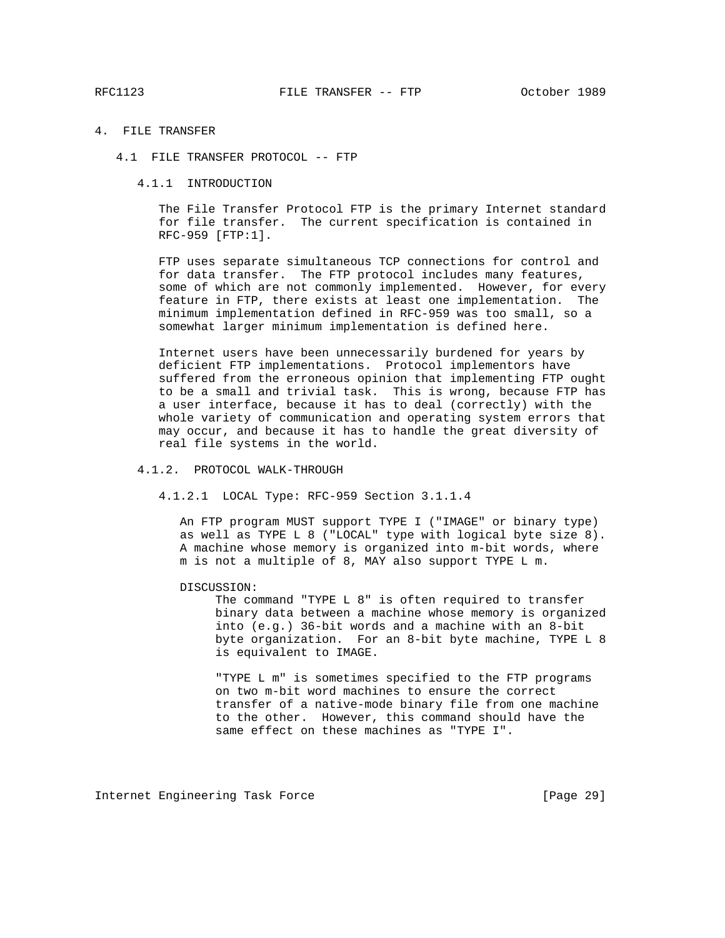- 4. FILE TRANSFER
	- 4.1 FILE TRANSFER PROTOCOL -- FTP
		- 4.1.1 INTRODUCTION

 The File Transfer Protocol FTP is the primary Internet standard for file transfer. The current specification is contained in RFC-959 [FTP:1].

 FTP uses separate simultaneous TCP connections for control and for data transfer. The FTP protocol includes many features, some of which are not commonly implemented. However, for every feature in FTP, there exists at least one implementation. The minimum implementation defined in RFC-959 was too small, so a somewhat larger minimum implementation is defined here.

 Internet users have been unnecessarily burdened for years by deficient FTP implementations. Protocol implementors have suffered from the erroneous opinion that implementing FTP ought to be a small and trivial task. This is wrong, because FTP has a user interface, because it has to deal (correctly) with the whole variety of communication and operating system errors that may occur, and because it has to handle the great diversity of real file systems in the world.

4.1.2. PROTOCOL WALK-THROUGH

4.1.2.1 LOCAL Type: RFC-959 Section 3.1.1.4

 An FTP program MUST support TYPE I ("IMAGE" or binary type) as well as TYPE L 8 ("LOCAL" type with logical byte size 8). A machine whose memory is organized into m-bit words, where m is not a multiple of 8, MAY also support TYPE L m.

DISCUSSION:

 The command "TYPE L 8" is often required to transfer binary data between a machine whose memory is organized into (e.g.) 36-bit words and a machine with an 8-bit byte organization. For an 8-bit byte machine, TYPE L 8 is equivalent to IMAGE.

 "TYPE L m" is sometimes specified to the FTP programs on two m-bit word machines to ensure the correct transfer of a native-mode binary file from one machine to the other. However, this command should have the same effect on these machines as "TYPE I".

Internet Engineering Task Force [Page 29]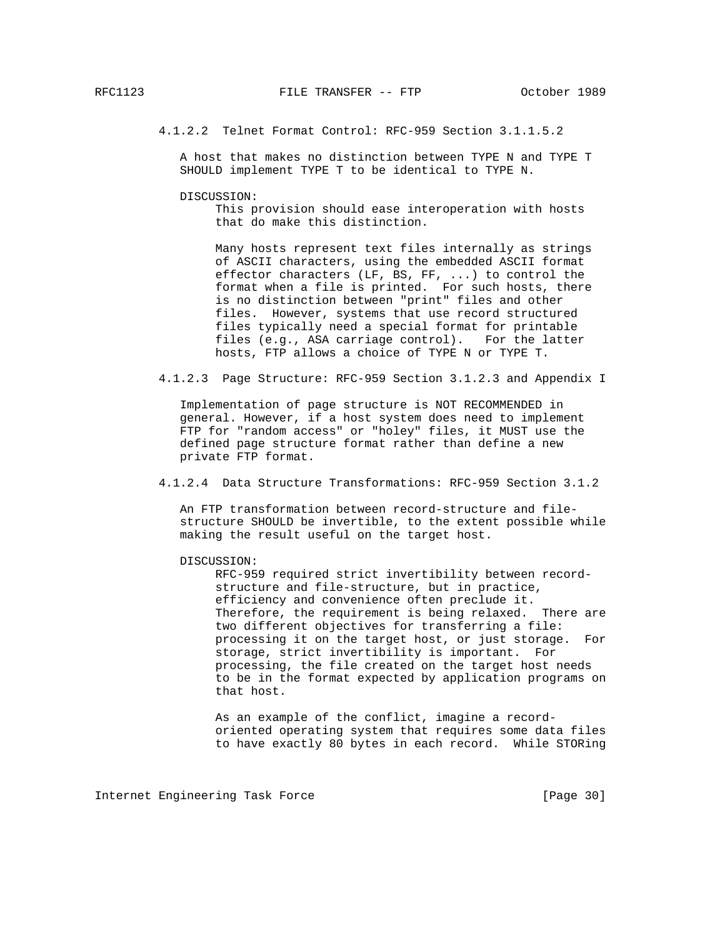4.1.2.2 Telnet Format Control: RFC-959 Section 3.1.1.5.2

 A host that makes no distinction between TYPE N and TYPE T SHOULD implement TYPE T to be identical to TYPE N.

DISCUSSION:

 This provision should ease interoperation with hosts that do make this distinction.

 Many hosts represent text files internally as strings of ASCII characters, using the embedded ASCII format effector characters (LF, BS, FF, ...) to control the format when a file is printed. For such hosts, there is no distinction between "print" files and other files. However, systems that use record structured files typically need a special format for printable files (e.g., ASA carriage control). For the latter hosts, FTP allows a choice of TYPE N or TYPE T.

4.1.2.3 Page Structure: RFC-959 Section 3.1.2.3 and Appendix I

 Implementation of page structure is NOT RECOMMENDED in general. However, if a host system does need to implement FTP for "random access" or "holey" files, it MUST use the defined page structure format rather than define a new private FTP format.

4.1.2.4 Data Structure Transformations: RFC-959 Section 3.1.2

 An FTP transformation between record-structure and file structure SHOULD be invertible, to the extent possible while making the result useful on the target host.

DISCUSSION:

 RFC-959 required strict invertibility between record structure and file-structure, but in practice, efficiency and convenience often preclude it. Therefore, the requirement is being relaxed. There are two different objectives for transferring a file: processing it on the target host, or just storage. For storage, strict invertibility is important. For processing, the file created on the target host needs to be in the format expected by application programs on that host.

 As an example of the conflict, imagine a record oriented operating system that requires some data files to have exactly 80 bytes in each record. While STORing

Internet Engineering Task Force [Page 30]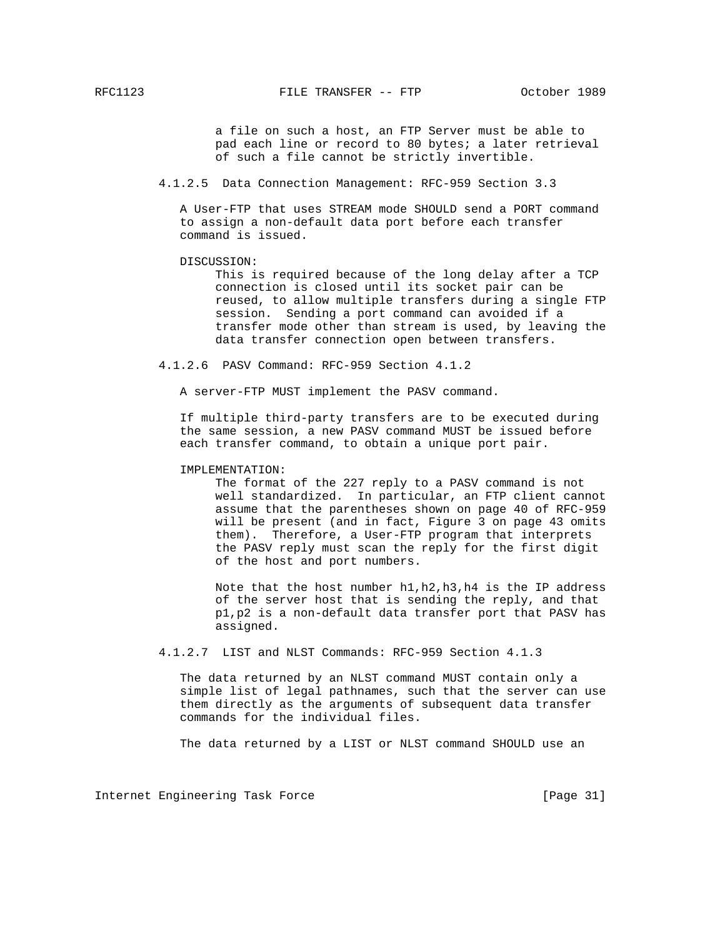a file on such a host, an FTP Server must be able to pad each line or record to 80 bytes; a later retrieval of such a file cannot be strictly invertible.

4.1.2.5 Data Connection Management: RFC-959 Section 3.3

 A User-FTP that uses STREAM mode SHOULD send a PORT command to assign a non-default data port before each transfer command is issued.

DISCUSSION:

 This is required because of the long delay after a TCP connection is closed until its socket pair can be reused, to allow multiple transfers during a single FTP session. Sending a port command can avoided if a transfer mode other than stream is used, by leaving the data transfer connection open between transfers.

4.1.2.6 PASV Command: RFC-959 Section 4.1.2

A server-FTP MUST implement the PASV command.

 If multiple third-party transfers are to be executed during the same session, a new PASV command MUST be issued before each transfer command, to obtain a unique port pair.

IMPLEMENTATION:

 The format of the 227 reply to a PASV command is not well standardized. In particular, an FTP client cannot assume that the parentheses shown on page 40 of RFC-959 will be present (and in fact, Figure 3 on page 43 omits them). Therefore, a User-FTP program that interprets the PASV reply must scan the reply for the first digit of the host and port numbers.

 Note that the host number h1,h2,h3,h4 is the IP address of the server host that is sending the reply, and that p1,p2 is a non-default data transfer port that PASV has assigned.

4.1.2.7 LIST and NLST Commands: RFC-959 Section 4.1.3

 The data returned by an NLST command MUST contain only a simple list of legal pathnames, such that the server can use them directly as the arguments of subsequent data transfer commands for the individual files.

The data returned by a LIST or NLST command SHOULD use an

Internet Engineering Task Force [Page 31]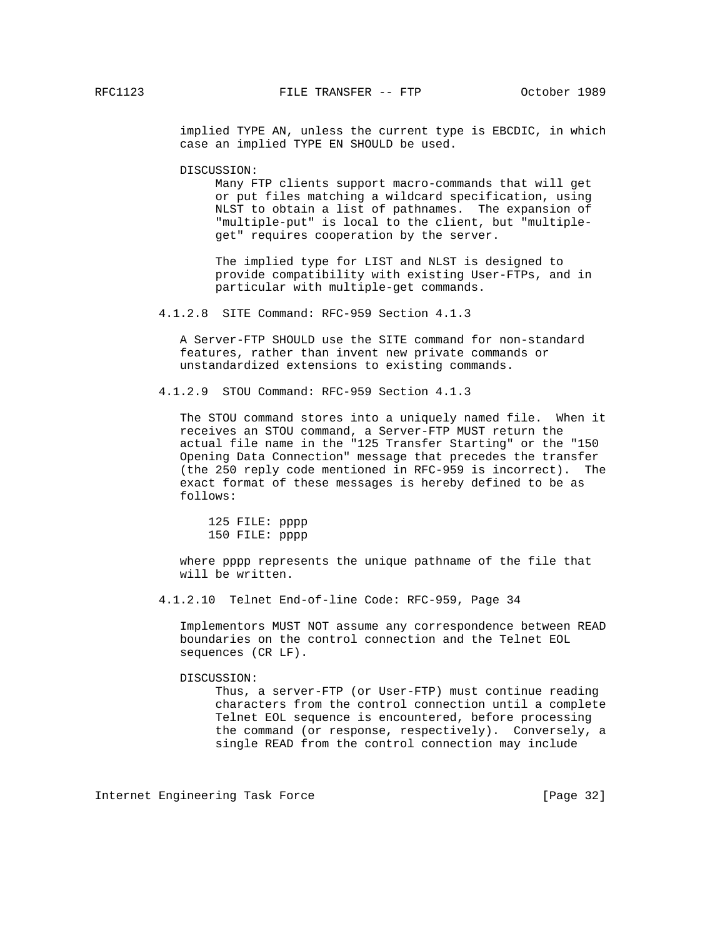implied TYPE AN, unless the current type is EBCDIC, in which case an implied TYPE EN SHOULD be used.

#### DISCUSSION:

 Many FTP clients support macro-commands that will get or put files matching a wildcard specification, using NLST to obtain a list of pathnames. The expansion of "multiple-put" is local to the client, but "multiple get" requires cooperation by the server.

 The implied type for LIST and NLST is designed to provide compatibility with existing User-FTPs, and in particular with multiple-get commands.

4.1.2.8 SITE Command: RFC-959 Section 4.1.3

 A Server-FTP SHOULD use the SITE command for non-standard features, rather than invent new private commands or unstandardized extensions to existing commands.

4.1.2.9 STOU Command: RFC-959 Section 4.1.3

 The STOU command stores into a uniquely named file. When it receives an STOU command, a Server-FTP MUST return the actual file name in the "125 Transfer Starting" or the "150 Opening Data Connection" message that precedes the transfer (the 250 reply code mentioned in RFC-959 is incorrect). The exact format of these messages is hereby defined to be as follows:

 125 FILE: pppp 150 FILE: pppp

 where pppp represents the unique pathname of the file that will be written.

4.1.2.10 Telnet End-of-line Code: RFC-959, Page 34

 Implementors MUST NOT assume any correspondence between READ boundaries on the control connection and the Telnet EOL sequences (CR LF).

#### DISCUSSION:

 Thus, a server-FTP (or User-FTP) must continue reading characters from the control connection until a complete Telnet EOL sequence is encountered, before processing the command (or response, respectively). Conversely, a single READ from the control connection may include

Internet Engineering Task Force [Page 32]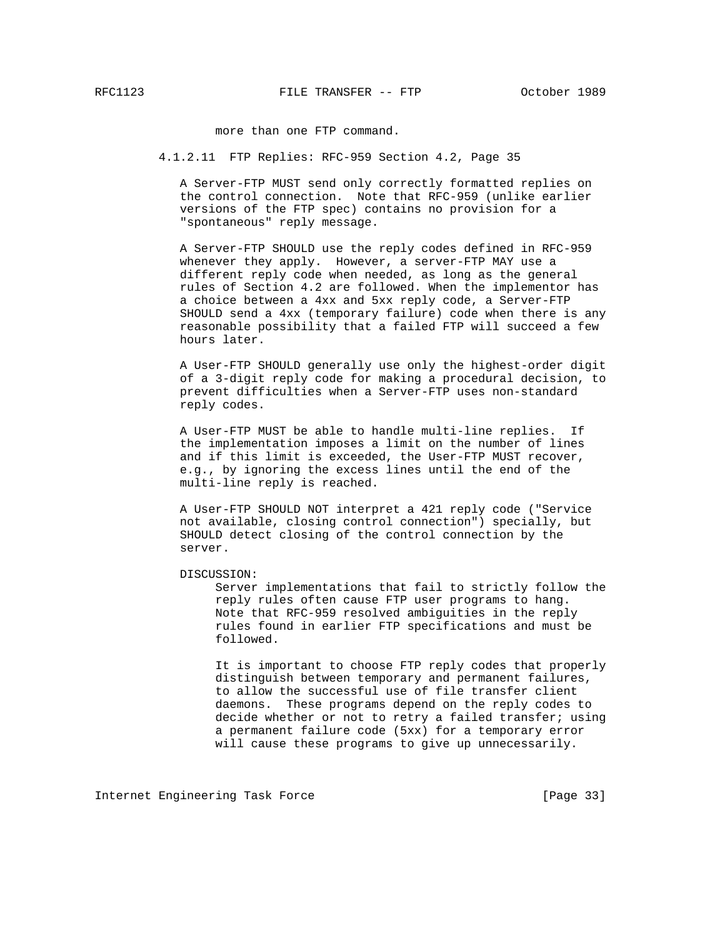more than one FTP command.

4.1.2.11 FTP Replies: RFC-959 Section 4.2, Page 35

 A Server-FTP MUST send only correctly formatted replies on the control connection. Note that RFC-959 (unlike earlier versions of the FTP spec) contains no provision for a "spontaneous" reply message.

 A Server-FTP SHOULD use the reply codes defined in RFC-959 whenever they apply. However, a server-FTP MAY use a different reply code when needed, as long as the general rules of Section 4.2 are followed. When the implementor has a choice between a 4xx and 5xx reply code, a Server-FTP SHOULD send a 4xx (temporary failure) code when there is any reasonable possibility that a failed FTP will succeed a few hours later.

 A User-FTP SHOULD generally use only the highest-order digit of a 3-digit reply code for making a procedural decision, to prevent difficulties when a Server-FTP uses non-standard reply codes.

 A User-FTP MUST be able to handle multi-line replies. If the implementation imposes a limit on the number of lines and if this limit is exceeded, the User-FTP MUST recover, e.g., by ignoring the excess lines until the end of the multi-line reply is reached.

 A User-FTP SHOULD NOT interpret a 421 reply code ("Service not available, closing control connection") specially, but SHOULD detect closing of the control connection by the server.

DISCUSSION:

 Server implementations that fail to strictly follow the reply rules often cause FTP user programs to hang. Note that RFC-959 resolved ambiguities in the reply rules found in earlier FTP specifications and must be followed.

 It is important to choose FTP reply codes that properly distinguish between temporary and permanent failures, to allow the successful use of file transfer client daemons. These programs depend on the reply codes to decide whether or not to retry a failed transfer; using a permanent failure code (5xx) for a temporary error will cause these programs to give up unnecessarily.

Internet Engineering Task Force [Page 33]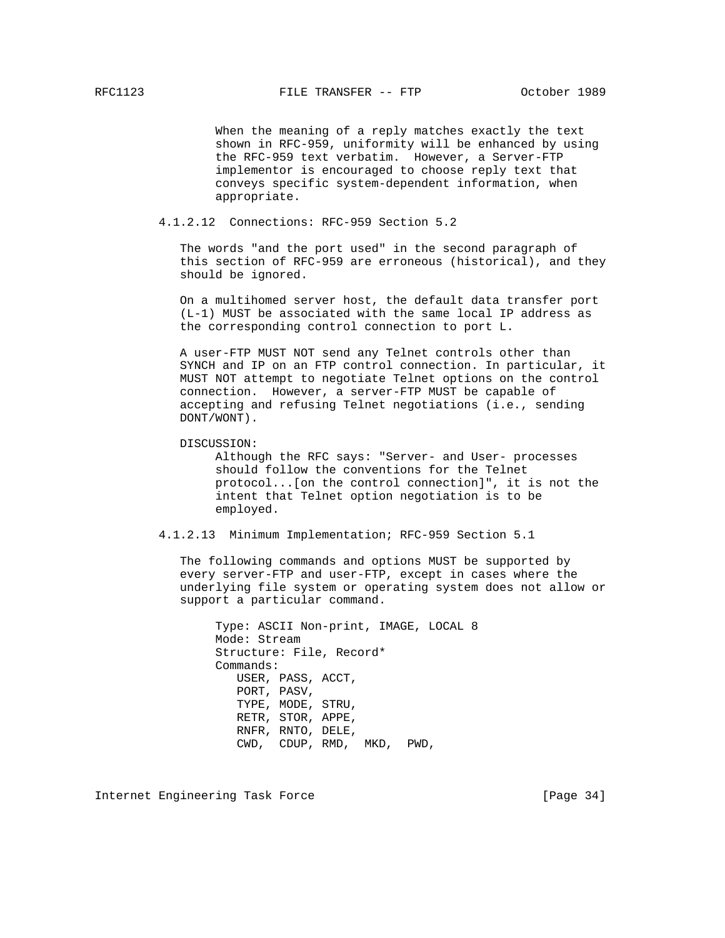When the meaning of a reply matches exactly the text shown in RFC-959, uniformity will be enhanced by using the RFC-959 text verbatim. However, a Server-FTP implementor is encouraged to choose reply text that conveys specific system-dependent information, when appropriate.

# 4.1.2.12 Connections: RFC-959 Section 5.2

 The words "and the port used" in the second paragraph of this section of RFC-959 are erroneous (historical), and they should be ignored.

 On a multihomed server host, the default data transfer port (L-1) MUST be associated with the same local IP address as the corresponding control connection to port L.

 A user-FTP MUST NOT send any Telnet controls other than SYNCH and IP on an FTP control connection. In particular, it MUST NOT attempt to negotiate Telnet options on the control connection. However, a server-FTP MUST be capable of accepting and refusing Telnet negotiations (i.e., sending DONT/WONT).

DISCUSSION:

 Although the RFC says: "Server- and User- processes should follow the conventions for the Telnet protocol...[on the control connection]", it is not the intent that Telnet option negotiation is to be employed.

4.1.2.13 Minimum Implementation; RFC-959 Section 5.1

 The following commands and options MUST be supported by every server-FTP and user-FTP, except in cases where the underlying file system or operating system does not allow or support a particular command.

 Type: ASCII Non-print, IMAGE, LOCAL 8 Mode: Stream Structure: File, Record\* Commands: USER, PASS, ACCT, PORT, PASV, TYPE, MODE, STRU, RETR, STOR, APPE, RNFR, RNTO, DELE, CWD, CDUP, RMD, MKD, PWD,

Internet Engineering Task Force [Page 34]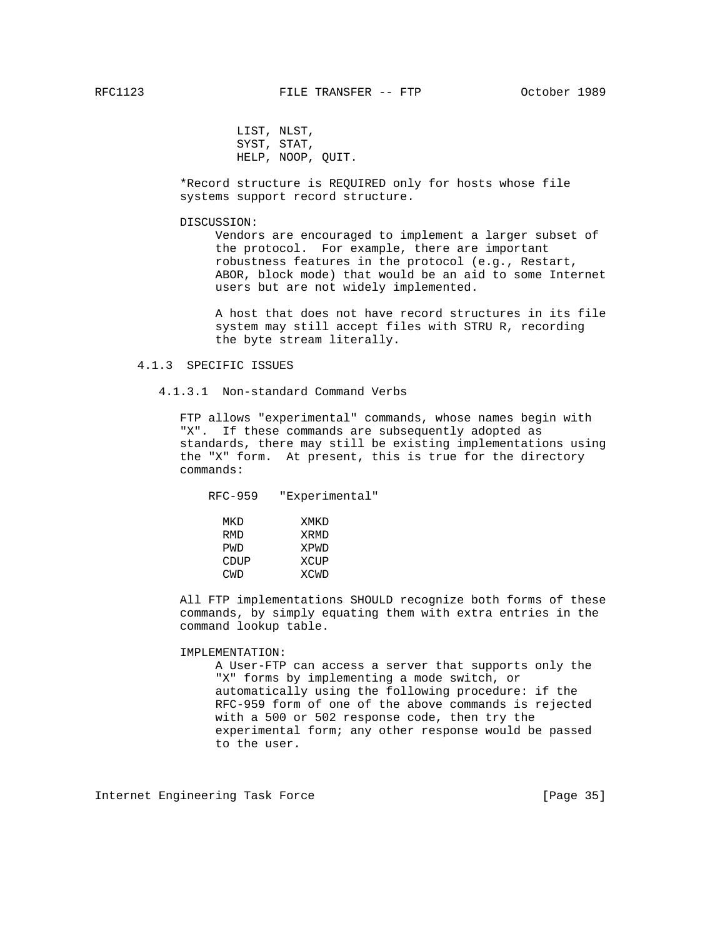LIST, NLST, SYST, STAT, HELP, NOOP, QUIT.

> \*Record structure is REQUIRED only for hosts whose file systems support record structure.

#### DISCUSSION:

 Vendors are encouraged to implement a larger subset of the protocol. For example, there are important robustness features in the protocol (e.g., Restart, ABOR, block mode) that would be an aid to some Internet users but are not widely implemented.

 A host that does not have record structures in its file system may still accept files with STRU R, recording the byte stream literally.

## 4.1.3 SPECIFIC ISSUES

4.1.3.1 Non-standard Command Verbs

 FTP allows "experimental" commands, whose names begin with "X". If these commands are subsequently adopted as standards, there may still be existing implementations using the "X" form. At present, this is true for the directory commands:

RFC-959 "Experimental"

| MKD        | XMKD |
|------------|------|
| RMD        | XRMD |
| PWD        | XPWD |
| CDUP       | XCUP |
| <b>CWD</b> | XCWD |
|            |      |

 All FTP implementations SHOULD recognize both forms of these commands, by simply equating them with extra entries in the command lookup table.

## IMPLEMENTATION:

 A User-FTP can access a server that supports only the "X" forms by implementing a mode switch, or automatically using the following procedure: if the RFC-959 form of one of the above commands is rejected with a 500 or 502 response code, then try the experimental form; any other response would be passed to the user.

Internet Engineering Task Force [Page 35]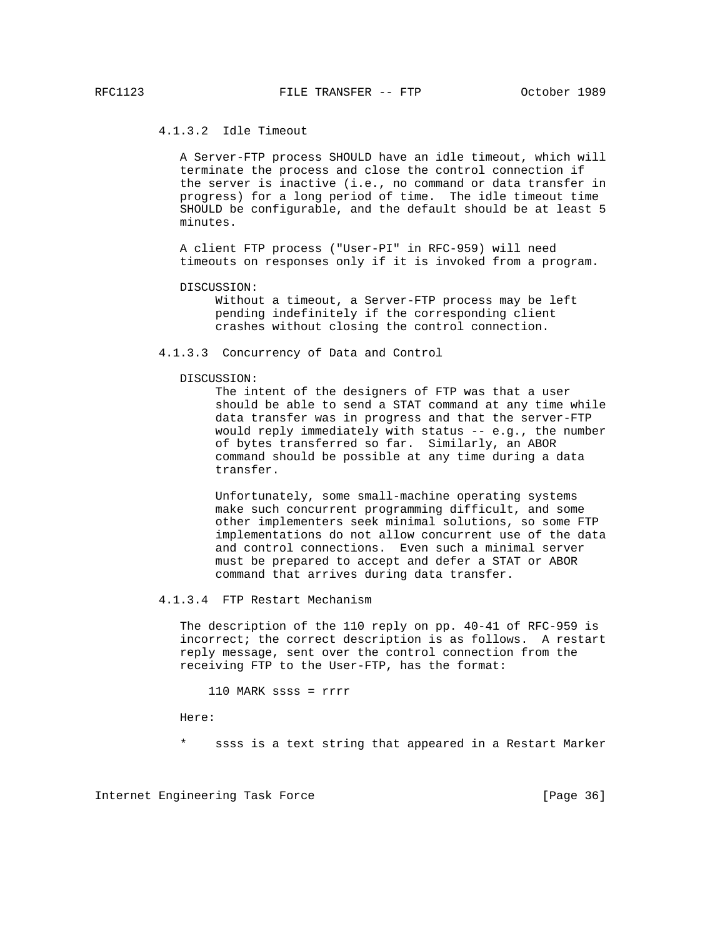# 4.1.3.2 Idle Timeout

 A Server-FTP process SHOULD have an idle timeout, which will terminate the process and close the control connection if the server is inactive (i.e., no command or data transfer in progress) for a long period of time. The idle timeout time SHOULD be configurable, and the default should be at least 5 minutes.

 A client FTP process ("User-PI" in RFC-959) will need timeouts on responses only if it is invoked from a program.

DISCUSSION:

 Without a timeout, a Server-FTP process may be left pending indefinitely if the corresponding client crashes without closing the control connection.

4.1.3.3 Concurrency of Data and Control

#### DISCUSSION:

 The intent of the designers of FTP was that a user should be able to send a STAT command at any time while data transfer was in progress and that the server-FTP would reply immediately with status -- e.g., the number of bytes transferred so far. Similarly, an ABOR command should be possible at any time during a data transfer.

 Unfortunately, some small-machine operating systems make such concurrent programming difficult, and some other implementers seek minimal solutions, so some FTP implementations do not allow concurrent use of the data and control connections. Even such a minimal server must be prepared to accept and defer a STAT or ABOR command that arrives during data transfer.

# 4.1.3.4 FTP Restart Mechanism

 The description of the 110 reply on pp. 40-41 of RFC-959 is incorrect; the correct description is as follows. A restart reply message, sent over the control connection from the receiving FTP to the User-FTP, has the format:

110 MARK ssss = rrrr

Here:

ssss is a text string that appeared in a Restart Marker

Internet Engineering Task Force [Page 36]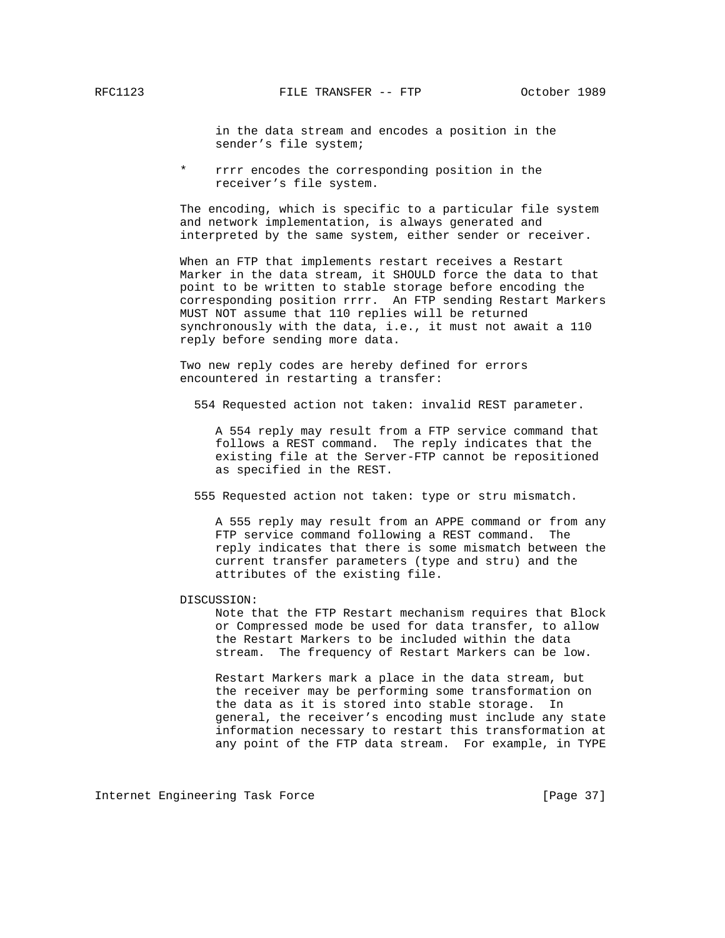in the data stream and encodes a position in the sender's file system;

rrrr encodes the corresponding position in the receiver's file system.

 The encoding, which is specific to a particular file system and network implementation, is always generated and interpreted by the same system, either sender or receiver.

 When an FTP that implements restart receives a Restart Marker in the data stream, it SHOULD force the data to that point to be written to stable storage before encoding the corresponding position rrrr. An FTP sending Restart Markers MUST NOT assume that 110 replies will be returned synchronously with the data, i.e., it must not await a 110 reply before sending more data.

 Two new reply codes are hereby defined for errors encountered in restarting a transfer:

554 Requested action not taken: invalid REST parameter.

 A 554 reply may result from a FTP service command that follows a REST command. The reply indicates that the existing file at the Server-FTP cannot be repositioned as specified in the REST.

555 Requested action not taken: type or stru mismatch.

 A 555 reply may result from an APPE command or from any FTP service command following a REST command. The reply indicates that there is some mismatch between the current transfer parameters (type and stru) and the attributes of the existing file.

DISCUSSION:

 Note that the FTP Restart mechanism requires that Block or Compressed mode be used for data transfer, to allow the Restart Markers to be included within the data stream. The frequency of Restart Markers can be low.

 Restart Markers mark a place in the data stream, but the receiver may be performing some transformation on the data as it is stored into stable storage. In general, the receiver's encoding must include any state information necessary to restart this transformation at any point of the FTP data stream. For example, in TYPE

Internet Engineering Task Force [Page 37]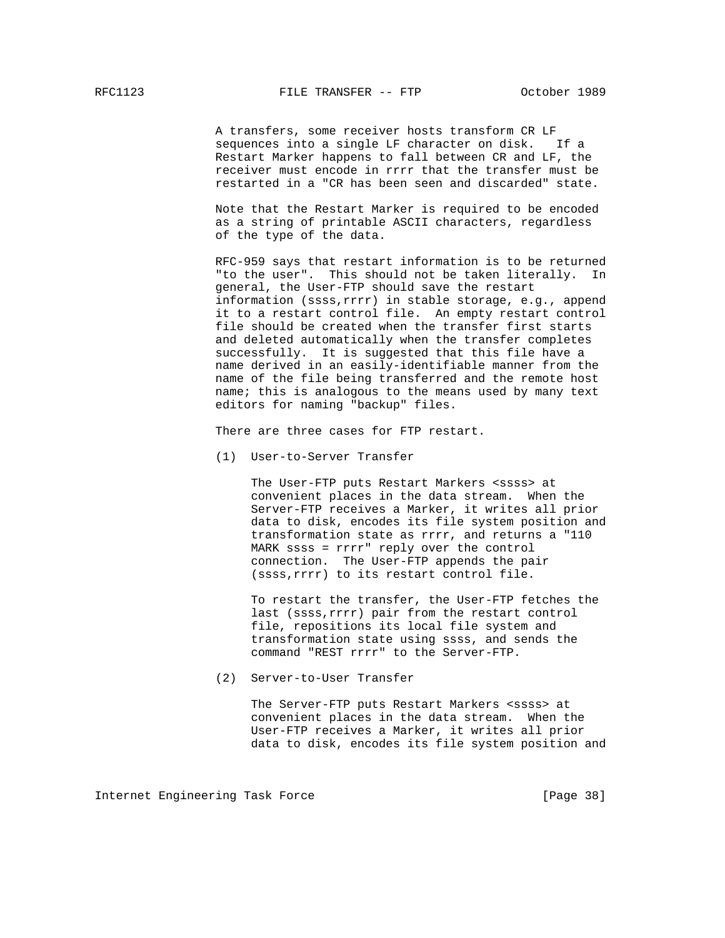A transfers, some receiver hosts transform CR LF sequences into a single LF character on disk. If a Restart Marker happens to fall between CR and LF, the receiver must encode in rrrr that the transfer must be restarted in a "CR has been seen and discarded" state.

 Note that the Restart Marker is required to be encoded as a string of printable ASCII characters, regardless of the type of the data.

 RFC-959 says that restart information is to be returned "to the user". This should not be taken literally. In general, the User-FTP should save the restart information (ssss,rrrr) in stable storage, e.g., append it to a restart control file. An empty restart control file should be created when the transfer first starts and deleted automatically when the transfer completes successfully. It is suggested that this file have a name derived in an easily-identifiable manner from the name of the file being transferred and the remote host name; this is analogous to the means used by many text editors for naming "backup" files.

There are three cases for FTP restart.

(1) User-to-Server Transfer

 The User-FTP puts Restart Markers <ssss> at convenient places in the data stream. When the Server-FTP receives a Marker, it writes all prior data to disk, encodes its file system position and transformation state as rrrr, and returns a "110 MARK ssss = rrrr" reply over the control connection. The User-FTP appends the pair (ssss,rrrr) to its restart control file.

 To restart the transfer, the User-FTP fetches the last (ssss,rrrr) pair from the restart control file, repositions its local file system and transformation state using ssss, and sends the command "REST rrrr" to the Server-FTP.

(2) Server-to-User Transfer

 The Server-FTP puts Restart Markers <ssss> at convenient places in the data stream. When the User-FTP receives a Marker, it writes all prior data to disk, encodes its file system position and

Internet Engineering Task Force [Page 38]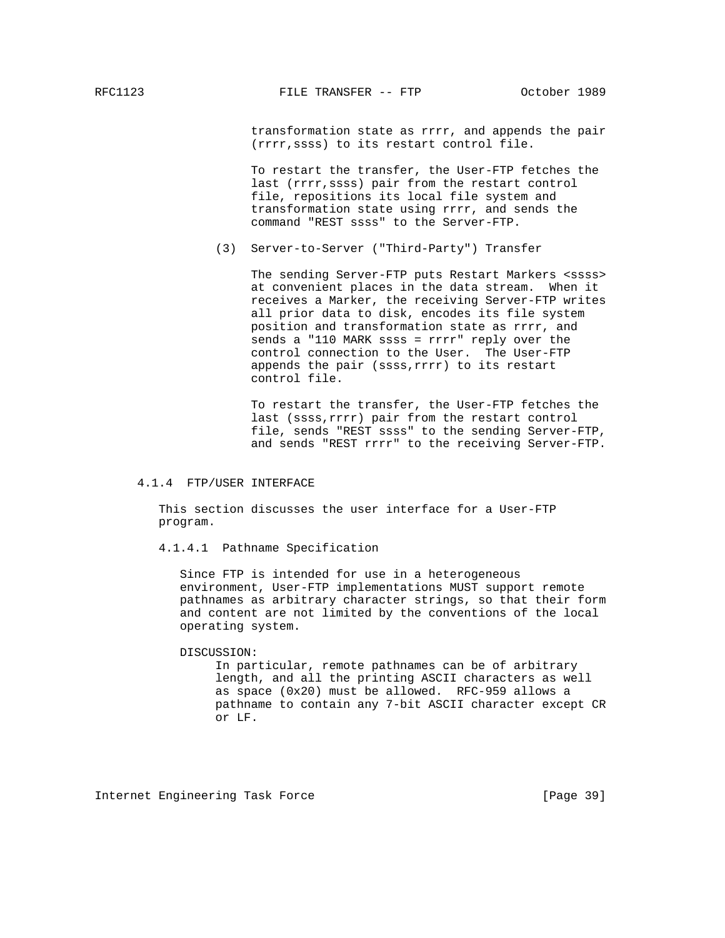transformation state as rrrr, and appends the pair (rrrr,ssss) to its restart control file.

 To restart the transfer, the User-FTP fetches the last (rrrr, ssss) pair from the restart control file, repositions its local file system and transformation state using rrrr, and sends the command "REST ssss" to the Server-FTP.

(3) Server-to-Server ("Third-Party") Transfer

The sending Server-FTP puts Restart Markers <ssss> at convenient places in the data stream. When it receives a Marker, the receiving Server-FTP writes all prior data to disk, encodes its file system position and transformation state as rrrr, and sends a "110 MARK ssss = rrrr" reply over the control connection to the User. The User-FTP appends the pair (ssss,rrrr) to its restart control file.

 To restart the transfer, the User-FTP fetches the last (ssss, rrrr) pair from the restart control file, sends "REST ssss" to the sending Server-FTP, and sends "REST rrrr" to the receiving Server-FTP.

4.1.4 FTP/USER INTERFACE

 This section discusses the user interface for a User-FTP program.

4.1.4.1 Pathname Specification

 Since FTP is intended for use in a heterogeneous environment, User-FTP implementations MUST support remote pathnames as arbitrary character strings, so that their form and content are not limited by the conventions of the local operating system.

#### DISCUSSION:

 In particular, remote pathnames can be of arbitrary length, and all the printing ASCII characters as well as space (0x20) must be allowed. RFC-959 allows a pathname to contain any 7-bit ASCII character except CR or LF.

Internet Engineering Task Force [Page 39]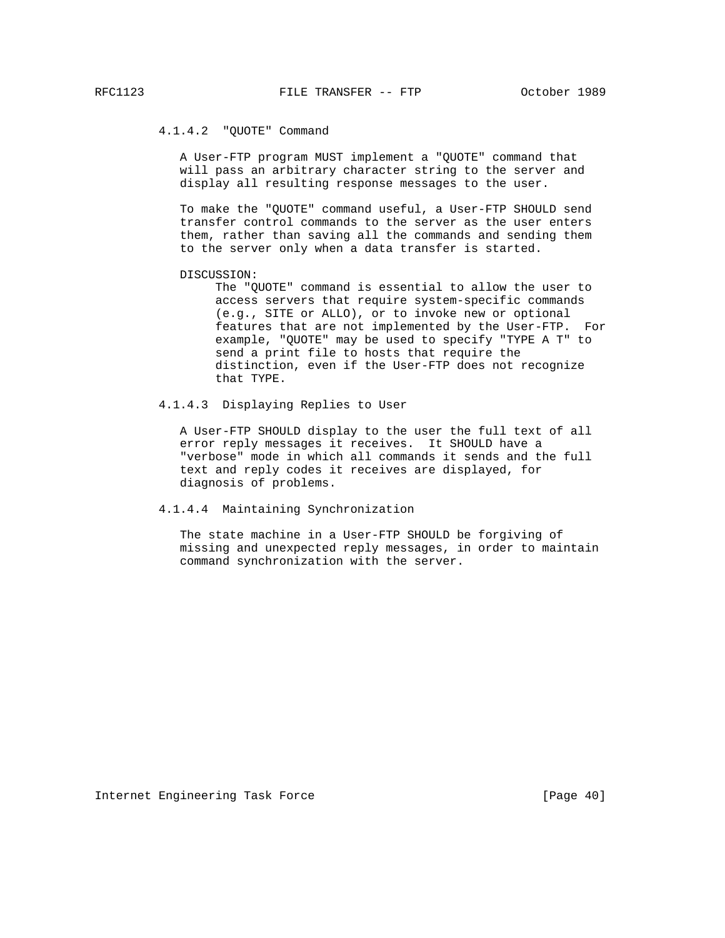# 4.1.4.2 "QUOTE" Command

 A User-FTP program MUST implement a "QUOTE" command that will pass an arbitrary character string to the server and display all resulting response messages to the user.

 To make the "QUOTE" command useful, a User-FTP SHOULD send transfer control commands to the server as the user enters them, rather than saving all the commands and sending them to the server only when a data transfer is started.

DISCUSSION:

 The "QUOTE" command is essential to allow the user to access servers that require system-specific commands (e.g., SITE or ALLO), or to invoke new or optional features that are not implemented by the User-FTP. For example, "QUOTE" may be used to specify "TYPE A T" to send a print file to hosts that require the distinction, even if the User-FTP does not recognize that TYPE.

# 4.1.4.3 Displaying Replies to User

 A User-FTP SHOULD display to the user the full text of all error reply messages it receives. It SHOULD have a "verbose" mode in which all commands it sends and the full text and reply codes it receives are displayed, for diagnosis of problems.

#### 4.1.4.4 Maintaining Synchronization

 The state machine in a User-FTP SHOULD be forgiving of missing and unexpected reply messages, in order to maintain command synchronization with the server.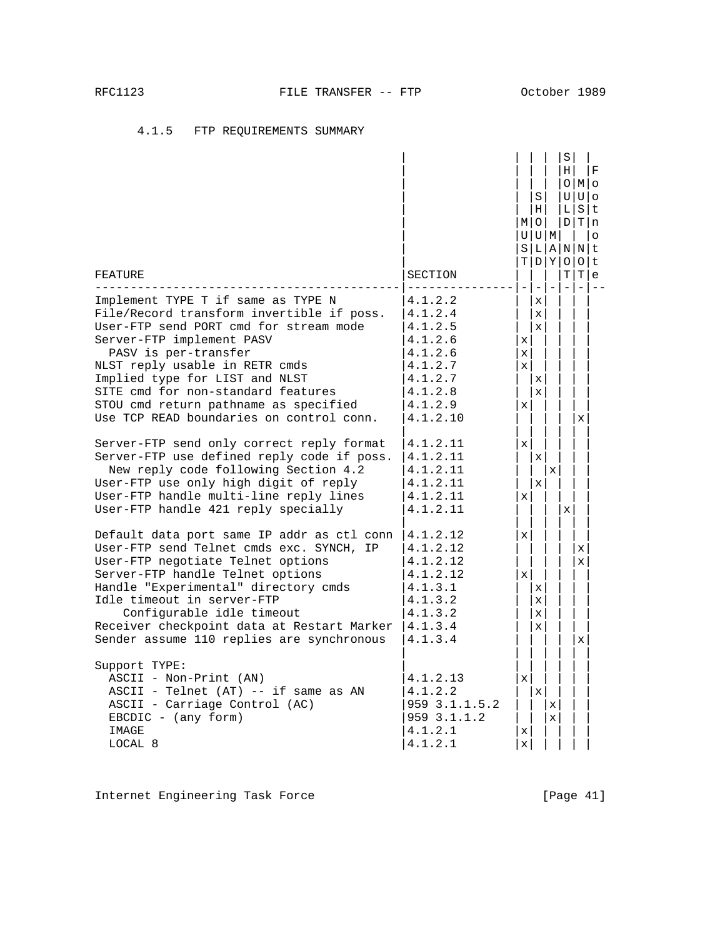# 4.1.5 FTP REQUIREMENTS SUMMARY

| FEATURE                                                                                                                                                                                                                                                                                                                                                                       | SECTION                                                                                                     |                             | S<br>Н<br>MO<br>UUM<br>S L A N<br>T D Y |        | S<br>Η<br>U<br>L<br>D<br>O<br>т | O M <br>U<br>S<br>т<br>Ν<br>O<br>т | F<br>$\circ$<br>t<br>n<br>$\circ$<br>t<br>t<br>e |
|-------------------------------------------------------------------------------------------------------------------------------------------------------------------------------------------------------------------------------------------------------------------------------------------------------------------------------------------------------------------------------|-------------------------------------------------------------------------------------------------------------|-----------------------------|-----------------------------------------|--------|---------------------------------|------------------------------------|--------------------------------------------------|
|                                                                                                                                                                                                                                                                                                                                                                               |                                                                                                             |                             |                                         |        |                                 |                                    |                                                  |
| Implement TYPE T if same as TYPE N<br>File/Record transform invertible if poss.<br>User-FTP send PORT cmd for stream mode<br>Server-FTP implement PASV<br>PASV is per-transfer<br>NLST reply usable in RETR cmds<br>Implied type for LIST and NLST<br>SITE cmd for non-standard features<br>STOU cmd return pathname as specified<br>Use TCP READ boundaries on control conn. | 4.1.2.2<br>4.1.2.4<br>4.1.2.5<br>4.1.2.6<br>4.1.2.6<br>4.1.2.7<br>4.1.2.7<br>4.1.2.8<br>4.1.2.9<br>4.1.2.10 | х<br>х<br>$\mathbf{x}$<br>х | х<br>х<br>X<br>х<br>X                   |        |                                 | x                                  |                                                  |
| Server-FTP send only correct reply format<br>Server-FTP use defined reply code if poss.<br>New reply code following Section 4.2<br>User-FTP use only high digit of reply<br>User-FTP handle multi-line reply lines<br>User-FTP handle 421 reply specially                                                                                                                     | 4.1.2.11<br>4.1.2.11<br>4.1.2.11<br>4.1.2.11<br>4.1.2.11<br>4.1.2.11                                        | x<br>x                      | х<br>х                                  | x      | х                               |                                    |                                                  |
| Default data port same IP addr as ctl conn<br>User-FTP send Telnet cmds exc. SYNCH, IP<br>User-FTP negotiate Telnet options<br>Server-FTP handle Telnet options<br>Handle "Experimental" directory cmds<br>Idle timeout in server-FTP<br>Configurable idle timeout<br>Receiver checkpoint data at Restart Marker<br>Sender assume 110 replies are synchronous                 | 4.1.2.12<br>4.1.2.12<br>4.1.2.12<br>4.1.2.12<br>4.1.3.1<br>4.1.3.2<br>4.1.3.2<br>4.1.3.4<br>4.1.3.4         | x<br>$\mathbf{x}$           | $\mathbf{x}$<br>x<br>х<br>X             |        |                                 | х<br>х<br>х                        |                                                  |
| Support TYPE:<br>ASCII - Non-Print (AN)<br>ASCII - Telnet (AT) -- if same as AN<br>ASCII - Carriage Control (AC)<br>$EBCDIC - (any form)$<br>IMAGE<br>LOCAL 8                                                                                                                                                                                                                 | 4.1.2.13<br>4.1.2.2<br>959 3.1.1.5.2<br>959 3.1.1.2<br>4.1.2.1<br>4.1.2.1                                   | X<br>x<br>x                 | х                                       | x<br>x |                                 |                                    |                                                  |

Internet Engineering Task Force [Page 41]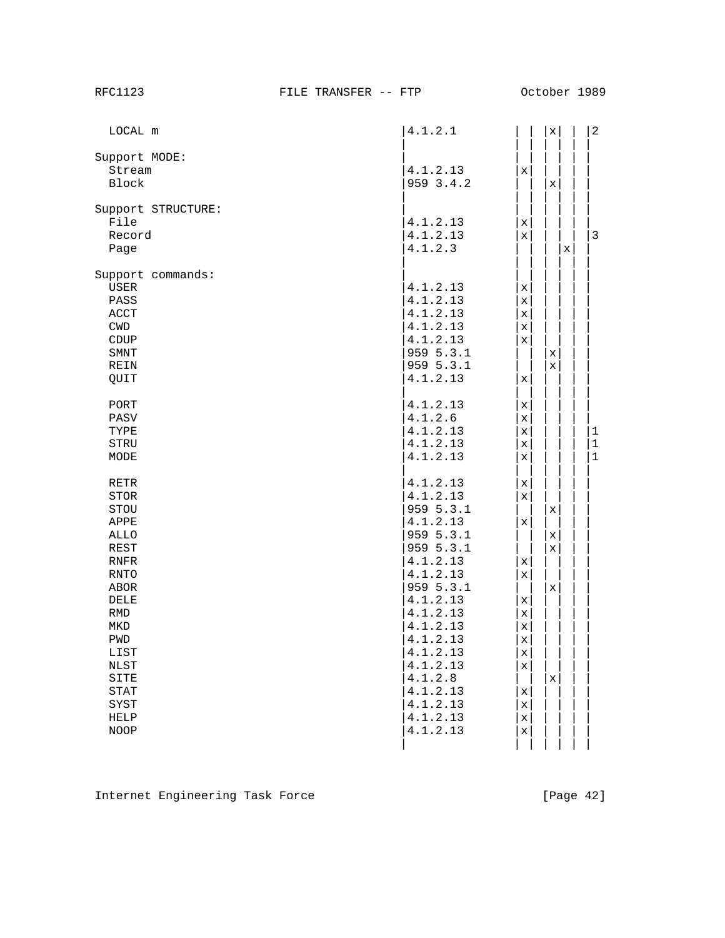| LOCAL m                                                                                                | 4.1.2.1                                                                                                                              |                                                                                                                                    | X                | 2           |
|--------------------------------------------------------------------------------------------------------|--------------------------------------------------------------------------------------------------------------------------------------|------------------------------------------------------------------------------------------------------------------------------------|------------------|-------------|
| Support MODE:<br>Stream<br>Block                                                                       | 4.1.2.13<br>959 3.4.2                                                                                                                | $\mathbf{x}$                                                                                                                       | x                |             |
| Support STRUCTURE:<br>File<br>Record<br>Page                                                           | 4.1.2.13<br>4.1.2.13<br>4.1.2.3                                                                                                      | $\mathbf{x}$<br>$\mathbf{x}$                                                                                                       | x                | 3           |
| Support commands:<br><b>USER</b><br>PASS<br>ACCT<br>$\mathop{\rm CWD}$<br>CDUP<br>SMNT<br>REIN<br>QUIT | 4.1.2.13<br>4.1.2.13<br>4.1.2.13<br>4.1.2.13<br>4.1.2.13<br>959 5.3.1<br>959 5.3.1<br>4.1.2.13                                       | $\mathbf{x}$<br>$\mathbf{x}$<br>$\mathbf{x}$<br>$\mathbf{x}$<br>$\mathbf{x}$<br>$\mathbf{x}$                                       | х<br>X           |             |
| PORT<br>PASV<br>TYPE<br>STRU<br>MODE                                                                   | 4.1.2.13<br>4.1.2.6<br>4.1.2.13<br>4.1.2.13<br>4.1.2.13                                                                              | $\mathbf{x}$<br>$\mathbf{x}$<br>$\mathbf{x}$<br>$\mathbf{x}$<br>$\mathbf{x}$                                                       |                  | 1<br>1<br>1 |
| RETR<br>STOR<br>STOU<br>APPE<br>ALLO<br>REST<br><b>RNFR</b><br><b>RNTO</b><br>ABOR<br>DELE<br>RMD      | 4.1.2.13<br>4.1.2.13<br>959 5.3.1<br>4.1.2.13<br>959 5.3.1<br>959 5.3.1<br>4.1.2.13<br>4.1.2.13<br>959 5.3.1<br>4.1.2.13<br>4.1.2.13 | $\mathbf{x}$<br>$\mathbf{x}$<br>$\mathbf{x}$<br>$\mathbf{x}$<br>$\mathbf{x}$<br>$\mathbf{x}$<br>$\mathbf{x}$                       | Х<br>х<br>х<br>х |             |
| MKD<br>PWD<br>LIST<br>NLST<br>SITE<br>STAT<br>SYST<br>HELP<br>NOOP                                     | 4.1.2.13<br>4.1.2.13<br>4.1.2.13<br>4.1.2.13<br>4.1.2.8<br>4.1.2.13<br>4.1.2.13<br>4.1.2.13<br>4.1.2.13                              | $\mathbf{x}$<br>$\mathbf{x}$<br>$\mathbf{x} \vert$<br>$\mathbf{x}$<br>$\mathbf{x}$<br>$\mathbf{x}$<br>$\mathbf{x}$<br>$\mathbf{x}$ | x                |             |
|                                                                                                        |                                                                                                                                      |                                                                                                                                    |                  |             |

Internet Engineering Task Force [Page 42]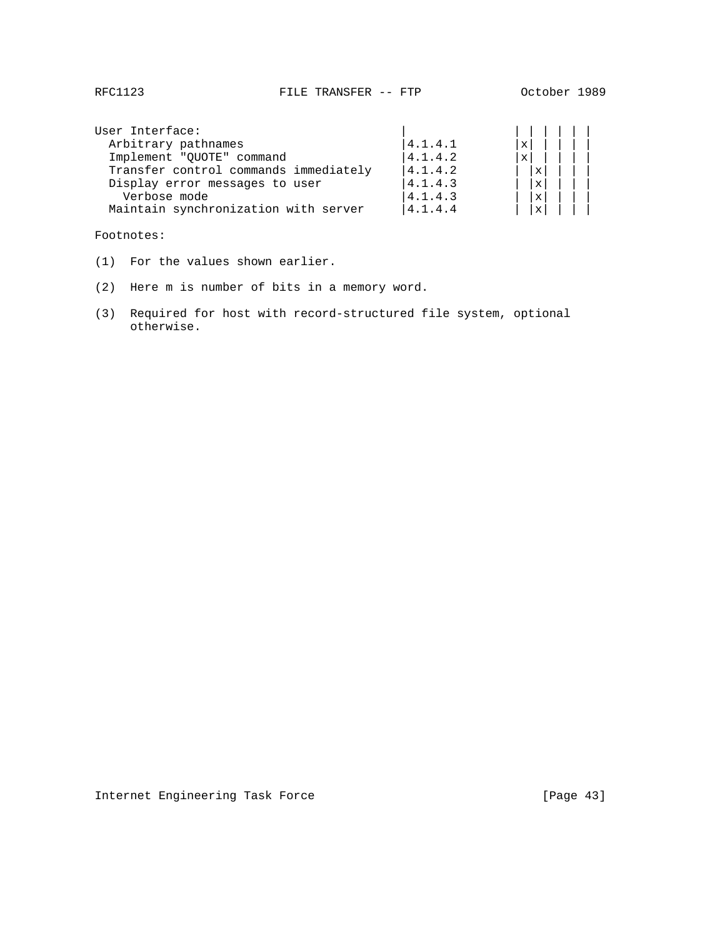| User Interface:                       |         |              |              |  |  |
|---------------------------------------|---------|--------------|--------------|--|--|
| Arbitrary pathnames                   | 4.1.4.1 | $\mathbf x$  |              |  |  |
| Implement "QUOTE" command             | 4.1.4.2 | $\mathbf{x}$ |              |  |  |
| Transfer control commands immediately | 4.1.4.2 |              | $\mathbf{x}$ |  |  |
| Display error messages to user        | 4.1.4.3 |              | $\mathbf x$  |  |  |
| Verbose mode                          | 4.1.4.3 |              | $\mathbf x$  |  |  |
| Maintain synchronization with server  | 4.1.4.4 |              |              |  |  |

Footnotes:

- (1) For the values shown earlier.
- (2) Here m is number of bits in a memory word.
- (3) Required for host with record-structured file system, optional otherwise.

Internet Engineering Task Force [Page 43]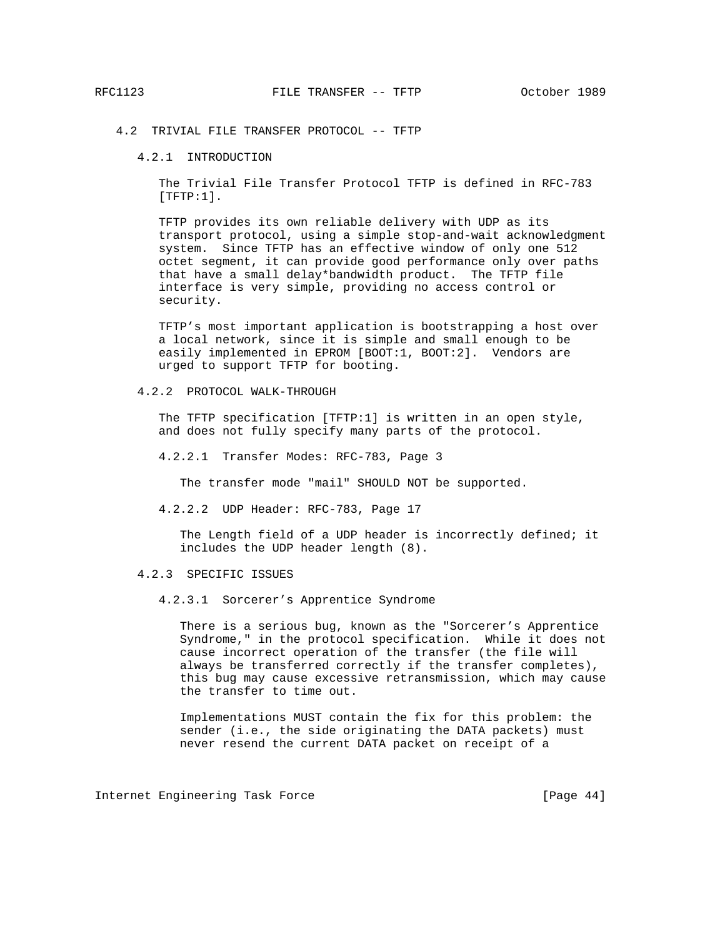# 4.2 TRIVIAL FILE TRANSFER PROTOCOL -- TFTP

4.2.1 INTRODUCTION

 The Trivial File Transfer Protocol TFTP is defined in RFC-783  $[TFTP:1]$ .

 TFTP provides its own reliable delivery with UDP as its transport protocol, using a simple stop-and-wait acknowledgment system. Since TFTP has an effective window of only one 512 octet segment, it can provide good performance only over paths that have a small delay\*bandwidth product. The TFTP file interface is very simple, providing no access control or security.

 TFTP's most important application is bootstrapping a host over a local network, since it is simple and small enough to be easily implemented in EPROM [BOOT:1, BOOT:2]. Vendors are urged to support TFTP for booting.

4.2.2 PROTOCOL WALK-THROUGH

 The TFTP specification [TFTP:1] is written in an open style, and does not fully specify many parts of the protocol.

4.2.2.1 Transfer Modes: RFC-783, Page 3

The transfer mode "mail" SHOULD NOT be supported.

4.2.2.2 UDP Header: RFC-783, Page 17

 The Length field of a UDP header is incorrectly defined; it includes the UDP header length (8).

# 4.2.3 SPECIFIC ISSUES

4.2.3.1 Sorcerer's Apprentice Syndrome

 There is a serious bug, known as the "Sorcerer's Apprentice Syndrome," in the protocol specification. While it does not cause incorrect operation of the transfer (the file will always be transferred correctly if the transfer completes), this bug may cause excessive retransmission, which may cause the transfer to time out.

 Implementations MUST contain the fix for this problem: the sender (i.e., the side originating the DATA packets) must never resend the current DATA packet on receipt of a

Internet Engineering Task Force [Page 44]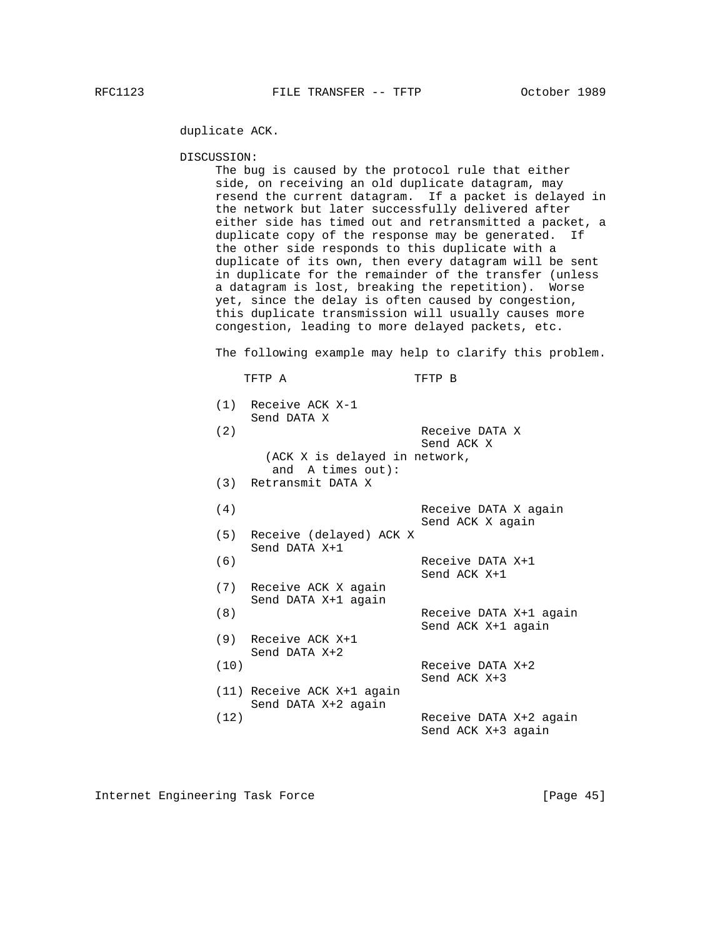# duplicate ACK.

# DISCUSSION:

 The bug is caused by the protocol rule that either side, on receiving an old duplicate datagram, may resend the current datagram. If a packet is delayed in the network but later successfully delivered after either side has timed out and retransmitted a packet, a duplicate copy of the response may be generated. If the other side responds to this duplicate with a duplicate of its own, then every datagram will be sent in duplicate for the remainder of the transfer (unless a datagram is lost, breaking the repetition). Worse yet, since the delay is often caused by congestion, this duplicate transmission will usually causes more congestion, leading to more delayed packets, etc.

The following example may help to clarify this problem.

|      | TFTP A                                                                      | TFTP B                                       |  |
|------|-----------------------------------------------------------------------------|----------------------------------------------|--|
| (2)  | $(1)$ Receive ACK X-1<br>Send DATA X                                        | Receive DATA X<br>Send ACK X                 |  |
|      | (ACK X is delayed in network,<br>and A times out):<br>(3) Retransmit DATA X |                                              |  |
| (4)  |                                                                             | Receive DATA X again<br>Send ACK X again     |  |
| (5)  | Receive (delayed) ACK X<br>Send DATA X+1                                    |                                              |  |
| (6)  |                                                                             | Receive DATA X+1<br>Send ACK X+1             |  |
|      | (7) Receive ACK X again<br>Send DATA X+1 again                              |                                              |  |
| (8)  |                                                                             | Receive DATA X+1 again<br>Send ACK X+1 again |  |
|      | $(9)$ Receive ACK X+1<br>Send DATA X+2                                      |                                              |  |
| (10) |                                                                             | Receive DATA X+2<br>Send ACK X+3             |  |
|      | (11) Receive ACK X+1 again<br>Send DATA X+2 again                           |                                              |  |
| (12) |                                                                             | Receive DATA X+2 again<br>Send ACK X+3 again |  |

Internet Engineering Task Force [Page 45]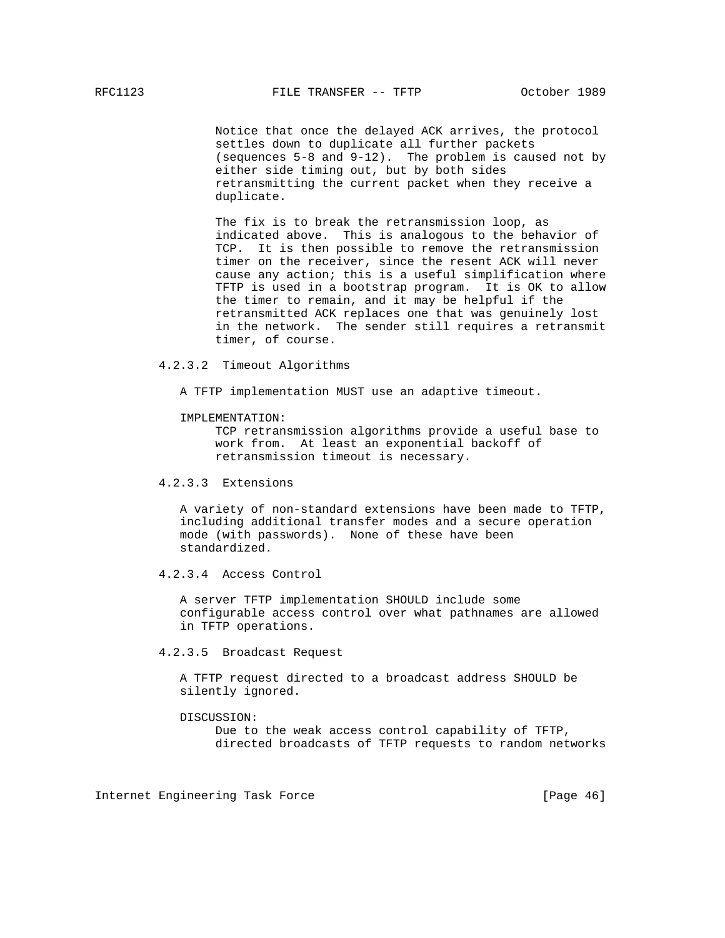Notice that once the delayed ACK arrives, the protocol settles down to duplicate all further packets (sequences 5-8 and 9-12). The problem is caused not by either side timing out, but by both sides retransmitting the current packet when they receive a duplicate.

 The fix is to break the retransmission loop, as indicated above. This is analogous to the behavior of TCP. It is then possible to remove the retransmission timer on the receiver, since the resent ACK will never cause any action; this is a useful simplification where TFTP is used in a bootstrap program. It is OK to allow the timer to remain, and it may be helpful if the retransmitted ACK replaces one that was genuinely lost in the network. The sender still requires a retransmit timer, of course.

4.2.3.2 Timeout Algorithms

A TFTP implementation MUST use an adaptive timeout.

IMPLEMENTATION:

 TCP retransmission algorithms provide a useful base to work from. At least an exponential backoff of retransmission timeout is necessary.

# 4.2.3.3 Extensions

 A variety of non-standard extensions have been made to TFTP, including additional transfer modes and a secure operation mode (with passwords). None of these have been standardized.

4.2.3.4 Access Control

 A server TFTP implementation SHOULD include some configurable access control over what pathnames are allowed in TFTP operations.

4.2.3.5 Broadcast Request

 A TFTP request directed to a broadcast address SHOULD be silently ignored.

#### DISCUSSION:

 Due to the weak access control capability of TFTP, directed broadcasts of TFTP requests to random networks

Internet Engineering Task Force [Page 46]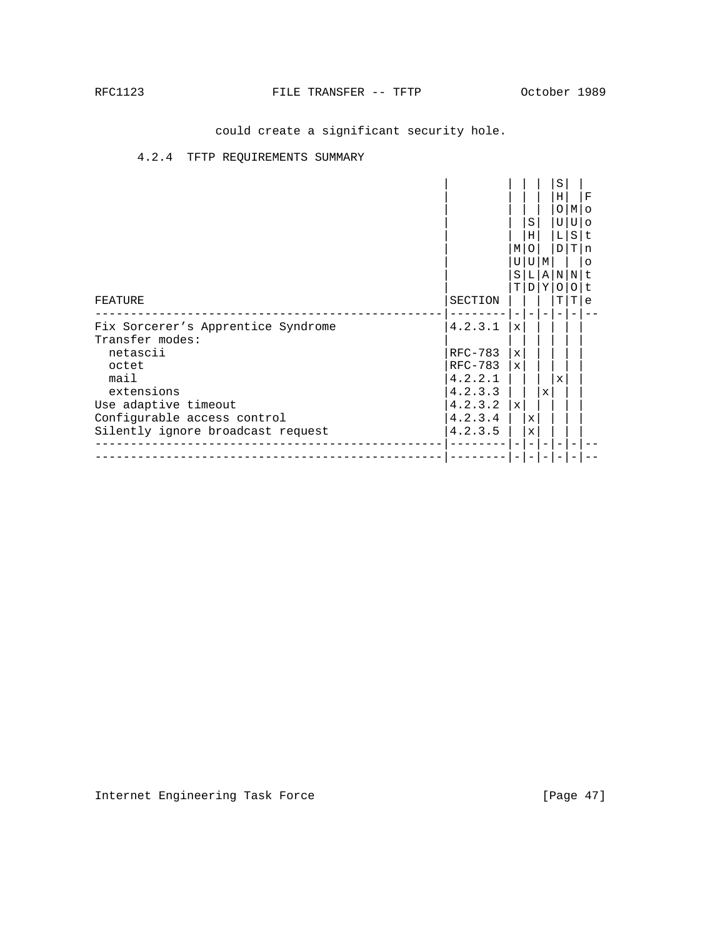# could create a significant security hole.

# 4.2.4 TFTP REQUIREMENTS SUMMARY

|                                    |         |              |   |              | S           |    |          |
|------------------------------------|---------|--------------|---|--------------|-------------|----|----------|
|                                    |         |              |   |              | Η           |    | F        |
|                                    |         |              |   |              | ∩           | м  | $\Omega$ |
|                                    |         |              | S |              | U           |    | $\circ$  |
|                                    |         |              | Н |              | L           | S  | $^+$     |
|                                    |         | M            | ∩ |              | D.          | T. | n        |
|                                    |         | U            | U | M            |             |    | ∩        |
|                                    |         | S            | L | A            | N N         |    | t.       |
|                                    |         | т            | D | Y            | ∩           | n  |          |
| FEATURE                            | SECTION |              |   |              | т           |    | e        |
|                                    |         |              |   |              |             |    |          |
| Fix Sorcerer's Apprentice Syndrome | 4.2.3.1 | $\mathbf{x}$ |   |              |             |    |          |
| Transfer modes:                    |         |              |   |              |             |    |          |
| netascii                           | RFC-783 | $\mathbf{x}$ |   |              |             |    |          |
| octet                              | RFC-783 | $\mathbf{x}$ |   |              |             |    |          |
| mail                               | 4.2.2.1 |              |   |              | $\mathbf x$ |    |          |
| extensions                         | 4.2.3.3 |              |   | $\mathbf{x}$ |             |    |          |
| Use adaptive timeout               | 4.2.3.2 | $\mathbf{x}$ |   |              |             |    |          |
| Configurable access control        | 4.2.3.4 |              | X |              |             |    |          |
| Silently ignore broadcast request  | 4.2.3.5 |              | X |              |             |    |          |
|                                    |         |              |   |              |             |    |          |
|                                    |         |              |   |              |             |    |          |

Internet Engineering Task Force [Page 47]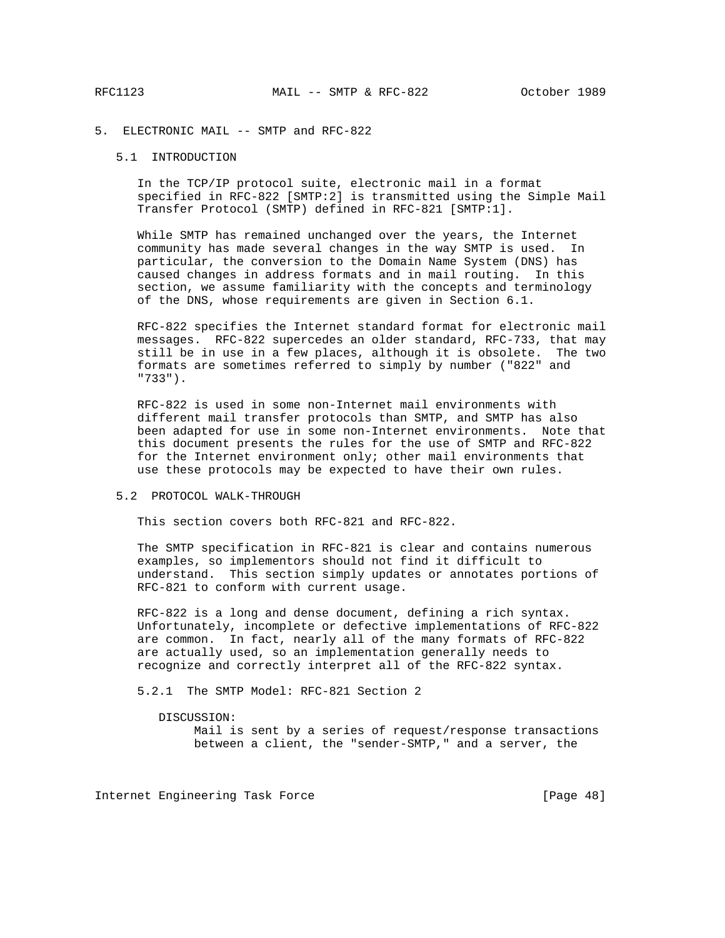# 5. ELECTRONIC MAIL -- SMTP and RFC-822

#### 5.1 INTRODUCTION

 In the TCP/IP protocol suite, electronic mail in a format specified in RFC-822 [SMTP:2] is transmitted using the Simple Mail Transfer Protocol (SMTP) defined in RFC-821 [SMTP:1].

 While SMTP has remained unchanged over the years, the Internet community has made several changes in the way SMTP is used. In particular, the conversion to the Domain Name System (DNS) has caused changes in address formats and in mail routing. In this section, we assume familiarity with the concepts and terminology of the DNS, whose requirements are given in Section 6.1.

 RFC-822 specifies the Internet standard format for electronic mail messages. RFC-822 supercedes an older standard, RFC-733, that may still be in use in a few places, although it is obsolete. The two formats are sometimes referred to simply by number ("822" and "733").

 RFC-822 is used in some non-Internet mail environments with different mail transfer protocols than SMTP, and SMTP has also been adapted for use in some non-Internet environments. Note that this document presents the rules for the use of SMTP and RFC-822 for the Internet environment only; other mail environments that use these protocols may be expected to have their own rules.

### 5.2 PROTOCOL WALK-THROUGH

This section covers both RFC-821 and RFC-822.

 The SMTP specification in RFC-821 is clear and contains numerous examples, so implementors should not find it difficult to understand. This section simply updates or annotates portions of RFC-821 to conform with current usage.

 RFC-822 is a long and dense document, defining a rich syntax. Unfortunately, incomplete or defective implementations of RFC-822 are common. In fact, nearly all of the many formats of RFC-822 are actually used, so an implementation generally needs to recognize and correctly interpret all of the RFC-822 syntax.

5.2.1 The SMTP Model: RFC-821 Section 2

DISCUSSION:

 Mail is sent by a series of request/response transactions between a client, the "sender-SMTP," and a server, the

Internet Engineering Task Force [Page 48]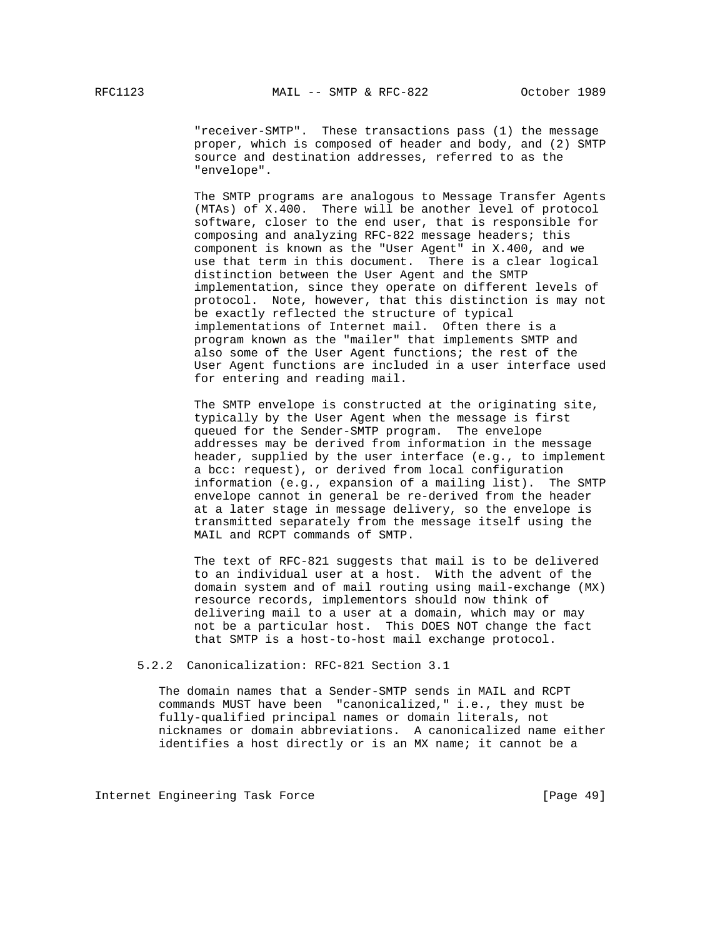"receiver-SMTP". These transactions pass (1) the message proper, which is composed of header and body, and (2) SMTP source and destination addresses, referred to as the "envelope".

 The SMTP programs are analogous to Message Transfer Agents (MTAs) of X.400. There will be another level of protocol software, closer to the end user, that is responsible for composing and analyzing RFC-822 message headers; this component is known as the "User Agent" in X.400, and we use that term in this document. There is a clear logical distinction between the User Agent and the SMTP implementation, since they operate on different levels of protocol. Note, however, that this distinction is may not be exactly reflected the structure of typical implementations of Internet mail. Often there is a program known as the "mailer" that implements SMTP and also some of the User Agent functions; the rest of the User Agent functions are included in a user interface used for entering and reading mail.

 The SMTP envelope is constructed at the originating site, typically by the User Agent when the message is first queued for the Sender-SMTP program. The envelope addresses may be derived from information in the message header, supplied by the user interface (e.g., to implement a bcc: request), or derived from local configuration information (e.g., expansion of a mailing list). The SMTP envelope cannot in general be re-derived from the header at a later stage in message delivery, so the envelope is transmitted separately from the message itself using the MAIL and RCPT commands of SMTP.

 The text of RFC-821 suggests that mail is to be delivered to an individual user at a host. With the advent of the domain system and of mail routing using mail-exchange (MX) resource records, implementors should now think of delivering mail to a user at a domain, which may or may not be a particular host. This DOES NOT change the fact that SMTP is a host-to-host mail exchange protocol.

5.2.2 Canonicalization: RFC-821 Section 3.1

 The domain names that a Sender-SMTP sends in MAIL and RCPT commands MUST have been "canonicalized," i.e., they must be fully-qualified principal names or domain literals, not nicknames or domain abbreviations. A canonicalized name either identifies a host directly or is an MX name; it cannot be a

Internet Engineering Task Force [Page 49]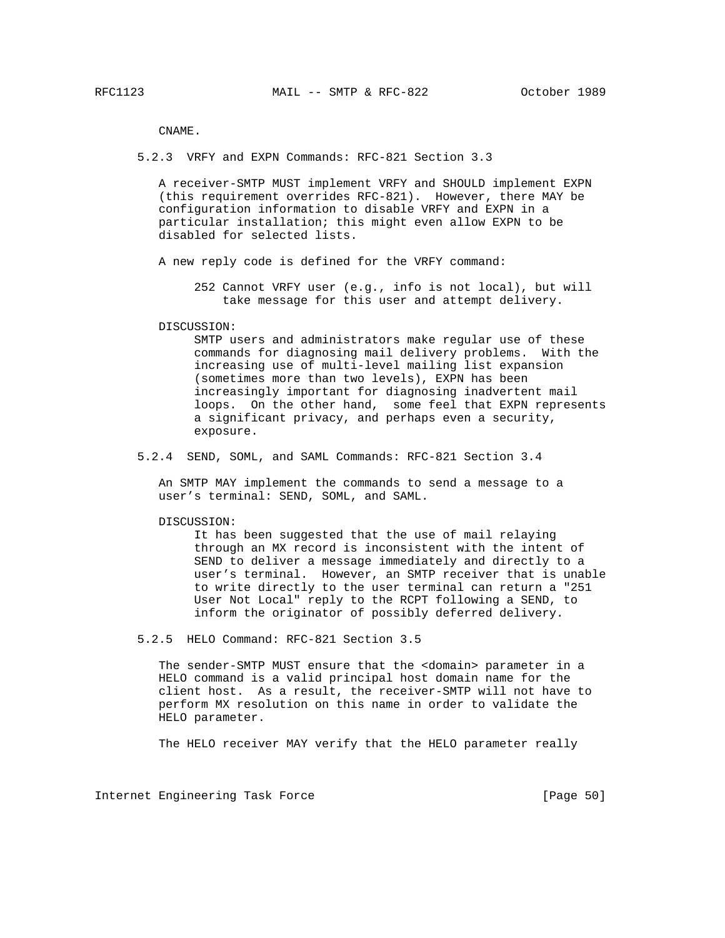CNAME.

5.2.3 VRFY and EXPN Commands: RFC-821 Section 3.3

 A receiver-SMTP MUST implement VRFY and SHOULD implement EXPN (this requirement overrides RFC-821). However, there MAY be configuration information to disable VRFY and EXPN in a particular installation; this might even allow EXPN to be disabled for selected lists.

A new reply code is defined for the VRFY command:

 252 Cannot VRFY user (e.g., info is not local), but will take message for this user and attempt delivery.

DISCUSSION:

 SMTP users and administrators make regular use of these commands for diagnosing mail delivery problems. With the increasing use of multi-level mailing list expansion (sometimes more than two levels), EXPN has been increasingly important for diagnosing inadvertent mail loops. On the other hand, some feel that EXPN represents a significant privacy, and perhaps even a security, exposure.

5.2.4 SEND, SOML, and SAML Commands: RFC-821 Section 3.4

 An SMTP MAY implement the commands to send a message to a user's terminal: SEND, SOML, and SAML.

DISCUSSION:

 It has been suggested that the use of mail relaying through an MX record is inconsistent with the intent of SEND to deliver a message immediately and directly to a user's terminal. However, an SMTP receiver that is unable to write directly to the user terminal can return a "251 User Not Local" reply to the RCPT following a SEND, to inform the originator of possibly deferred delivery.

5.2.5 HELO Command: RFC-821 Section 3.5

 The sender-SMTP MUST ensure that the <domain> parameter in a HELO command is a valid principal host domain name for the client host. As a result, the receiver-SMTP will not have to perform MX resolution on this name in order to validate the HELO parameter.

The HELO receiver MAY verify that the HELO parameter really

Internet Engineering Task Force [Page 50]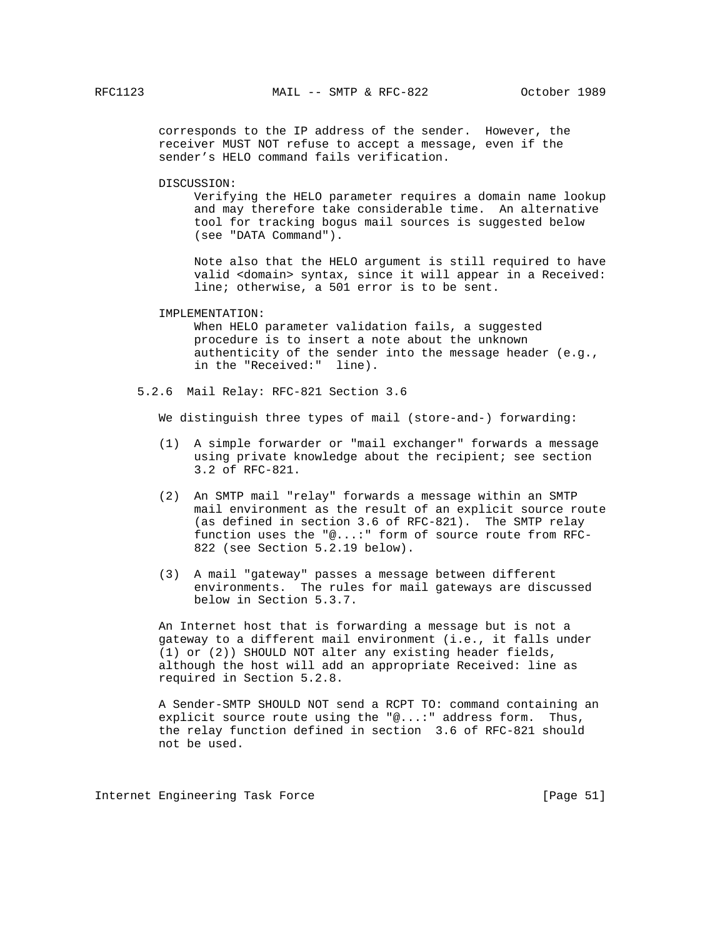corresponds to the IP address of the sender. However, the receiver MUST NOT refuse to accept a message, even if the sender's HELO command fails verification.

DISCUSSION:

 Verifying the HELO parameter requires a domain name lookup and may therefore take considerable time. An alternative tool for tracking bogus mail sources is suggested below (see "DATA Command").

 Note also that the HELO argument is still required to have valid <domain> syntax, since it will appear in a Received: line; otherwise, a 501 error is to be sent.

IMPLEMENTATION:

 When HELO parameter validation fails, a suggested procedure is to insert a note about the unknown authenticity of the sender into the message header (e.g., in the "Received:" line).

5.2.6 Mail Relay: RFC-821 Section 3.6

We distinguish three types of mail (store-and-) forwarding:

- (1) A simple forwarder or "mail exchanger" forwards a message using private knowledge about the recipient; see section 3.2 of RFC-821.
- (2) An SMTP mail "relay" forwards a message within an SMTP mail environment as the result of an explicit source route (as defined in section 3.6 of RFC-821). The SMTP relay function uses the "@...:" form of source route from RFC- 822 (see Section 5.2.19 below).
- (3) A mail "gateway" passes a message between different environments. The rules for mail gateways are discussed below in Section 5.3.7.

 An Internet host that is forwarding a message but is not a gateway to a different mail environment (i.e., it falls under (1) or (2)) SHOULD NOT alter any existing header fields, although the host will add an appropriate Received: line as required in Section 5.2.8.

 A Sender-SMTP SHOULD NOT send a RCPT TO: command containing an explicit source route using the "@...:" address form. Thus, the relay function defined in section 3.6 of RFC-821 should not be used.

Internet Engineering Task Force [Page 51]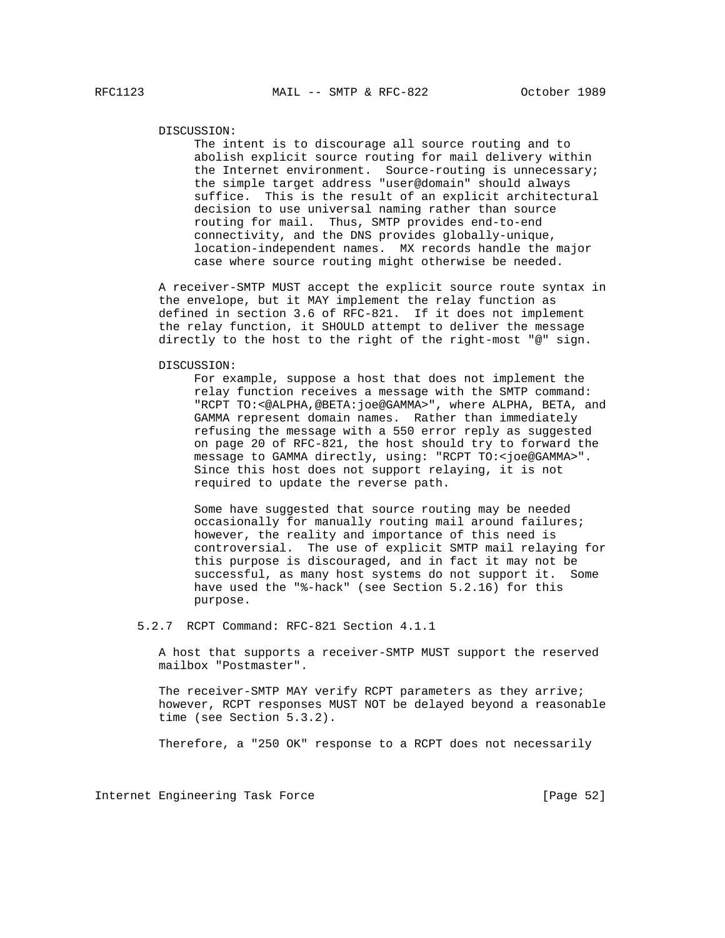DISCUSSION:

 The intent is to discourage all source routing and to abolish explicit source routing for mail delivery within the Internet environment. Source-routing is unnecessary; the simple target address "user@domain" should always suffice. This is the result of an explicit architectural decision to use universal naming rather than source routing for mail. Thus, SMTP provides end-to-end connectivity, and the DNS provides globally-unique, location-independent names. MX records handle the major case where source routing might otherwise be needed.

 A receiver-SMTP MUST accept the explicit source route syntax in the envelope, but it MAY implement the relay function as defined in section 3.6 of RFC-821. If it does not implement the relay function, it SHOULD attempt to deliver the message directly to the host to the right of the right-most "@" sign.

# DISCUSSION:

 For example, suppose a host that does not implement the relay function receives a message with the SMTP command: "RCPT TO:<@ALPHA,@BETA:joe@GAMMA>", where ALPHA, BETA, and GAMMA represent domain names. Rather than immediately refusing the message with a 550 error reply as suggested on page 20 of RFC-821, the host should try to forward the message to GAMMA directly, using: "RCPT TO:<joe@GAMMA>". Since this host does not support relaying, it is not required to update the reverse path.

 Some have suggested that source routing may be needed occasionally for manually routing mail around failures; however, the reality and importance of this need is controversial. The use of explicit SMTP mail relaying for this purpose is discouraged, and in fact it may not be successful, as many host systems do not support it. Some have used the "%-hack" (see Section 5.2.16) for this purpose.

5.2.7 RCPT Command: RFC-821 Section 4.1.1

 A host that supports a receiver-SMTP MUST support the reserved mailbox "Postmaster".

 The receiver-SMTP MAY verify RCPT parameters as they arrive; however, RCPT responses MUST NOT be delayed beyond a reasonable time (see Section 5.3.2).

Therefore, a "250 OK" response to a RCPT does not necessarily

Internet Engineering Task Force [Page 52]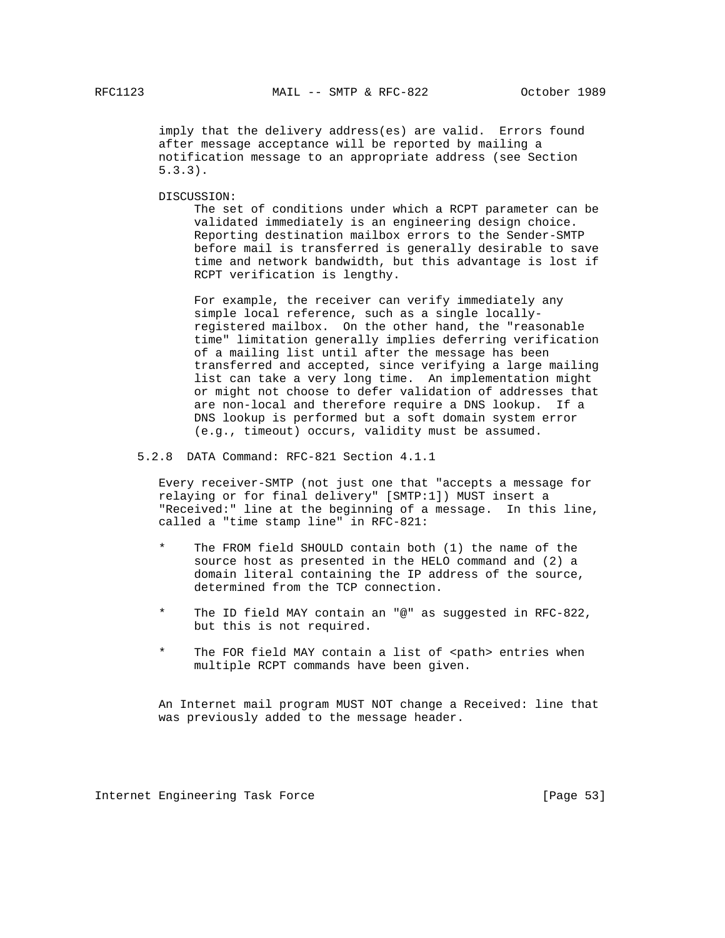imply that the delivery address(es) are valid. Errors found after message acceptance will be reported by mailing a notification message to an appropriate address (see Section 5.3.3).

DISCUSSION:

 The set of conditions under which a RCPT parameter can be validated immediately is an engineering design choice. Reporting destination mailbox errors to the Sender-SMTP before mail is transferred is generally desirable to save time and network bandwidth, but this advantage is lost if RCPT verification is lengthy.

 For example, the receiver can verify immediately any simple local reference, such as a single locally registered mailbox. On the other hand, the "reasonable time" limitation generally implies deferring verification of a mailing list until after the message has been transferred and accepted, since verifying a large mailing list can take a very long time. An implementation might or might not choose to defer validation of addresses that are non-local and therefore require a DNS lookup. If a DNS lookup is performed but a soft domain system error (e.g., timeout) occurs, validity must be assumed.

5.2.8 DATA Command: RFC-821 Section 4.1.1

 Every receiver-SMTP (not just one that "accepts a message for relaying or for final delivery" [SMTP:1]) MUST insert a "Received:" line at the beginning of a message. In this line, called a "time stamp line" in RFC-821:

- The FROM field SHOULD contain both (1) the name of the source host as presented in the HELO command and (2) a domain literal containing the IP address of the source, determined from the TCP connection.
- The ID field MAY contain an "@" as suggested in RFC-822, but this is not required.
- The FOR field MAY contain a list of <path> entries when multiple RCPT commands have been given.

 An Internet mail program MUST NOT change a Received: line that was previously added to the message header.

Internet Engineering Task Force [Page 53]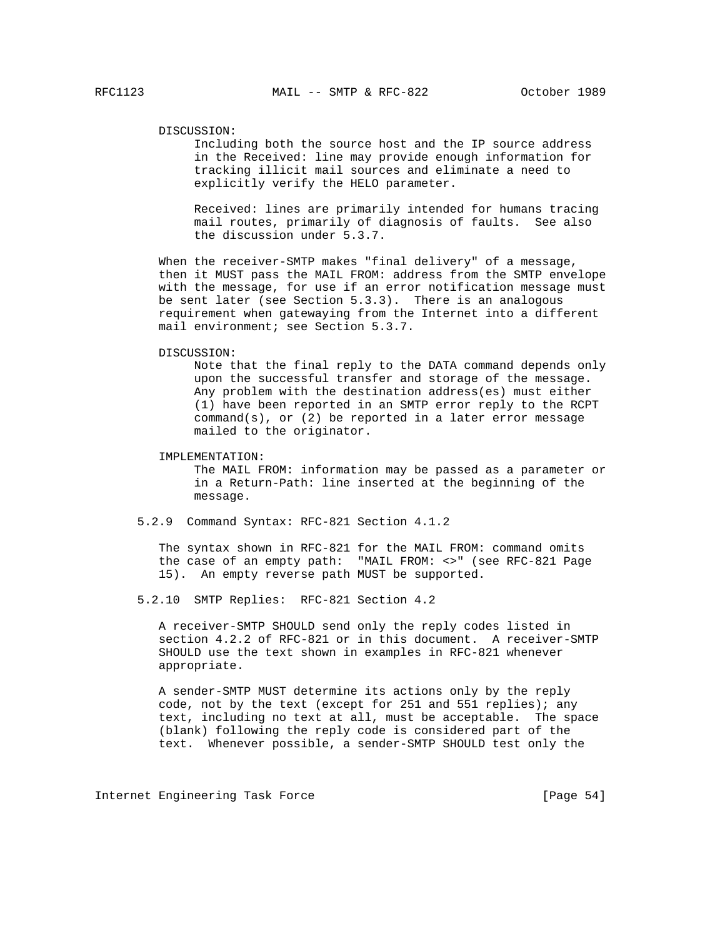# DISCUSSION:

 Including both the source host and the IP source address in the Received: line may provide enough information for tracking illicit mail sources and eliminate a need to explicitly verify the HELO parameter.

 Received: lines are primarily intended for humans tracing mail routes, primarily of diagnosis of faults. See also the discussion under 5.3.7.

 When the receiver-SMTP makes "final delivery" of a message, then it MUST pass the MAIL FROM: address from the SMTP envelope with the message, for use if an error notification message must be sent later (see Section 5.3.3). There is an analogous requirement when gatewaying from the Internet into a different mail environment; see Section 5.3.7.

#### DISCUSSION:

 Note that the final reply to the DATA command depends only upon the successful transfer and storage of the message. Any problem with the destination address(es) must either (1) have been reported in an SMTP error reply to the RCPT command(s), or  $(2)$  be reported in a later error message mailed to the originator.

# IMPLEMENTATION:

 The MAIL FROM: information may be passed as a parameter or in a Return-Path: line inserted at the beginning of the message.

# 5.2.9 Command Syntax: RFC-821 Section 4.1.2

 The syntax shown in RFC-821 for the MAIL FROM: command omits the case of an empty path: "MAIL FROM: <>" (see RFC-821 Page 15). An empty reverse path MUST be supported.

5.2.10 SMTP Replies: RFC-821 Section 4.2

 A receiver-SMTP SHOULD send only the reply codes listed in section 4.2.2 of RFC-821 or in this document. A receiver-SMTP SHOULD use the text shown in examples in RFC-821 whenever appropriate.

 A sender-SMTP MUST determine its actions only by the reply code, not by the text (except for 251 and 551 replies); any text, including no text at all, must be acceptable. The space (blank) following the reply code is considered part of the text. Whenever possible, a sender-SMTP SHOULD test only the

Internet Engineering Task Force [Page 54]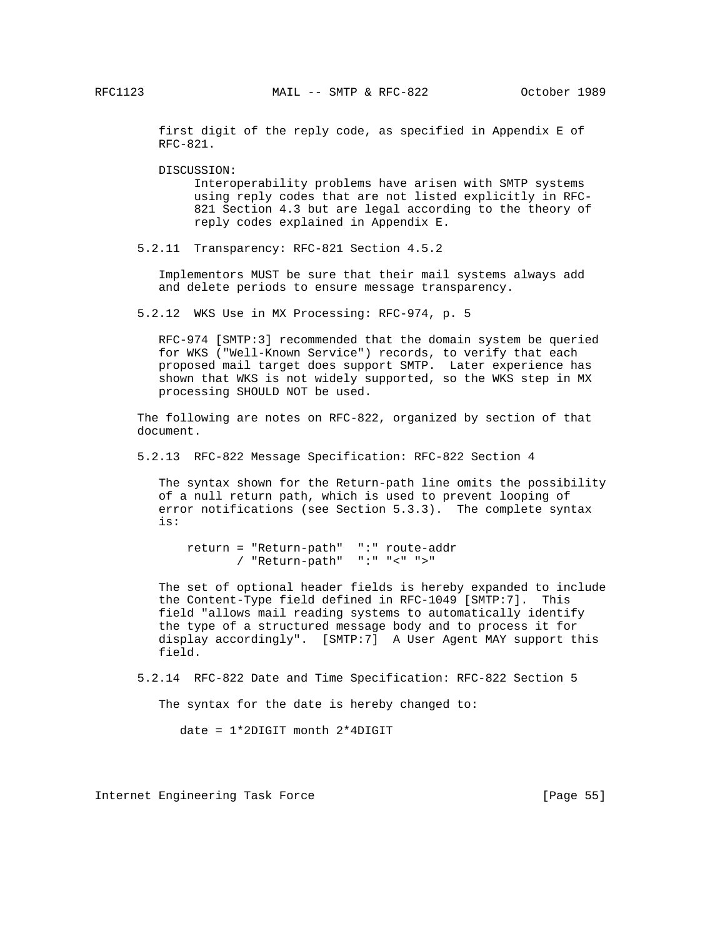first digit of the reply code, as specified in Appendix E of RFC-821.

DISCUSSION:

 Interoperability problems have arisen with SMTP systems using reply codes that are not listed explicitly in RFC- 821 Section 4.3 but are legal according to the theory of reply codes explained in Appendix E.

5.2.11 Transparency: RFC-821 Section 4.5.2

 Implementors MUST be sure that their mail systems always add and delete periods to ensure message transparency.

5.2.12 WKS Use in MX Processing: RFC-974, p. 5

 RFC-974 [SMTP:3] recommended that the domain system be queried for WKS ("Well-Known Service") records, to verify that each proposed mail target does support SMTP. Later experience has shown that WKS is not widely supported, so the WKS step in MX processing SHOULD NOT be used.

 The following are notes on RFC-822, organized by section of that document.

5.2.13 RFC-822 Message Specification: RFC-822 Section 4

 The syntax shown for the Return-path line omits the possibility of a null return path, which is used to prevent looping of error notifications (see Section 5.3.3). The complete syntax is:

 return = "Return-path" ":" route-addr / "Return-path" ":" "<" ">"

 The set of optional header fields is hereby expanded to include the Content-Type field defined in RFC-1049 [SMTP:7]. This field "allows mail reading systems to automatically identify the type of a structured message body and to process it for display accordingly". [SMTP:7] A User Agent MAY support this field.

5.2.14 RFC-822 Date and Time Specification: RFC-822 Section 5

The syntax for the date is hereby changed to:

date = 1\*2DIGIT month 2\*4DIGIT

Internet Engineering Task Force [Page 55]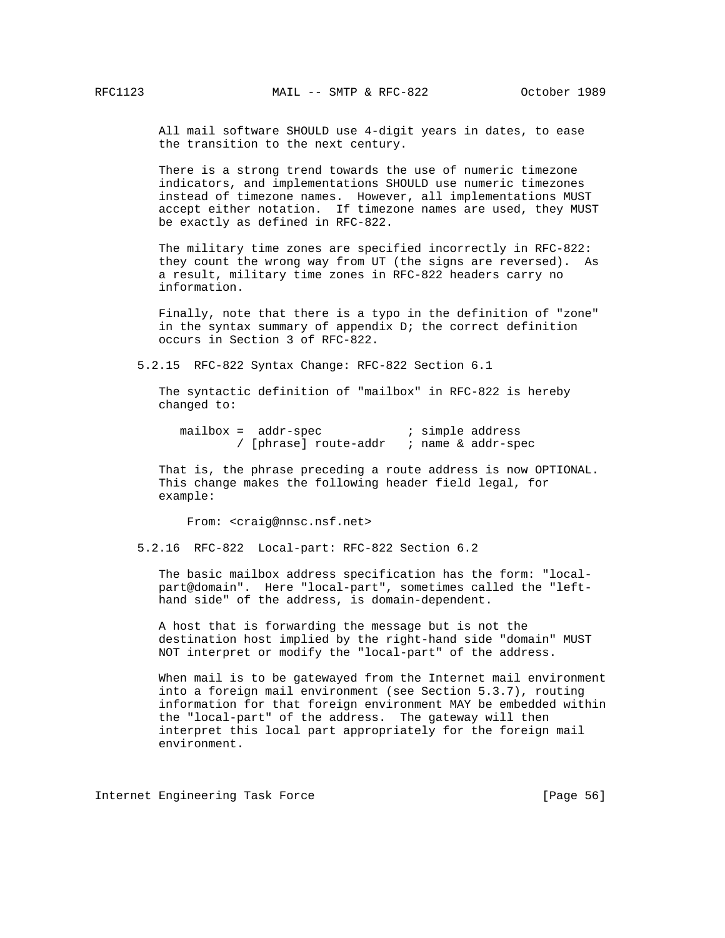All mail software SHOULD use 4-digit years in dates, to ease the transition to the next century.

 There is a strong trend towards the use of numeric timezone indicators, and implementations SHOULD use numeric timezones instead of timezone names. However, all implementations MUST accept either notation. If timezone names are used, they MUST be exactly as defined in RFC-822.

 The military time zones are specified incorrectly in RFC-822: they count the wrong way from UT (the signs are reversed). As a result, military time zones in RFC-822 headers carry no information.

 Finally, note that there is a typo in the definition of "zone" in the syntax summary of appendix D; the correct definition occurs in Section 3 of RFC-822.

5.2.15 RFC-822 Syntax Change: RFC-822 Section 6.1

 The syntactic definition of "mailbox" in RFC-822 is hereby changed to:

 $mailbox = addr-spec$  ; simple address / [phrase] route-addr ; name & addr-spec

 That is, the phrase preceding a route address is now OPTIONAL. This change makes the following header field legal, for example:

From: <craig@nnsc.nsf.net>

5.2.16 RFC-822 Local-part: RFC-822 Section 6.2

 The basic mailbox address specification has the form: "local part@domain". Here "local-part", sometimes called the "left hand side" of the address, is domain-dependent.

 A host that is forwarding the message but is not the destination host implied by the right-hand side "domain" MUST NOT interpret or modify the "local-part" of the address.

 When mail is to be gatewayed from the Internet mail environment into a foreign mail environment (see Section 5.3.7), routing information for that foreign environment MAY be embedded within the "local-part" of the address. The gateway will then interpret this local part appropriately for the foreign mail environment.

Internet Engineering Task Force [Page 56]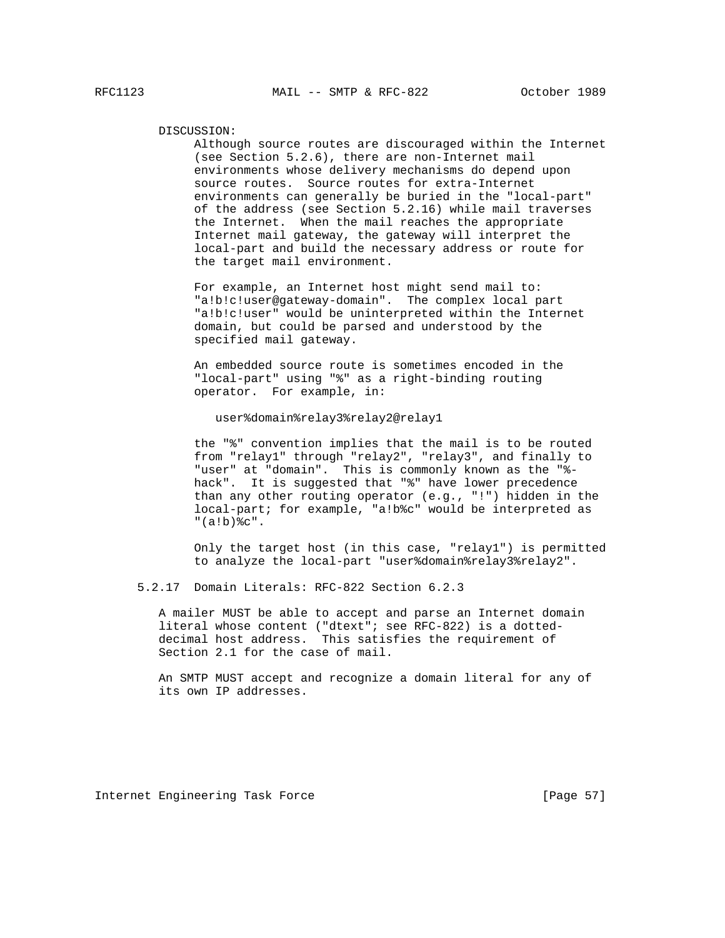DISCUSSION:

 Although source routes are discouraged within the Internet (see Section 5.2.6), there are non-Internet mail environments whose delivery mechanisms do depend upon source routes. Source routes for extra-Internet environments can generally be buried in the "local-part" of the address (see Section 5.2.16) while mail traverses the Internet. When the mail reaches the appropriate Internet mail gateway, the gateway will interpret the local-part and build the necessary address or route for the target mail environment.

 For example, an Internet host might send mail to: "a!b!c!user@gateway-domain". The complex local part "a!b!c!user" would be uninterpreted within the Internet domain, but could be parsed and understood by the specified mail gateway.

 An embedded source route is sometimes encoded in the "local-part" using "%" as a right-binding routing operator. For example, in:

#### user%domain%relay3%relay2@relay1

 the "%" convention implies that the mail is to be routed from "relay1" through "relay2", "relay3", and finally to "user" at "domain". This is commonly known as the "% hack". It is suggested that "%" have lower precedence than any other routing operator (e.g., "!") hidden in the local-part; for example, "a!b%c" would be interpreted as  $"$  $(a!b)$   $c"$ .

 Only the target host (in this case, "relay1") is permitted to analyze the local-part "user%domain%relay3%relay2".

5.2.17 Domain Literals: RFC-822 Section 6.2.3

 A mailer MUST be able to accept and parse an Internet domain literal whose content ("dtext"; see RFC-822) is a dotted decimal host address. This satisfies the requirement of Section 2.1 for the case of mail.

 An SMTP MUST accept and recognize a domain literal for any of its own IP addresses.

Internet Engineering Task Force [Page 57]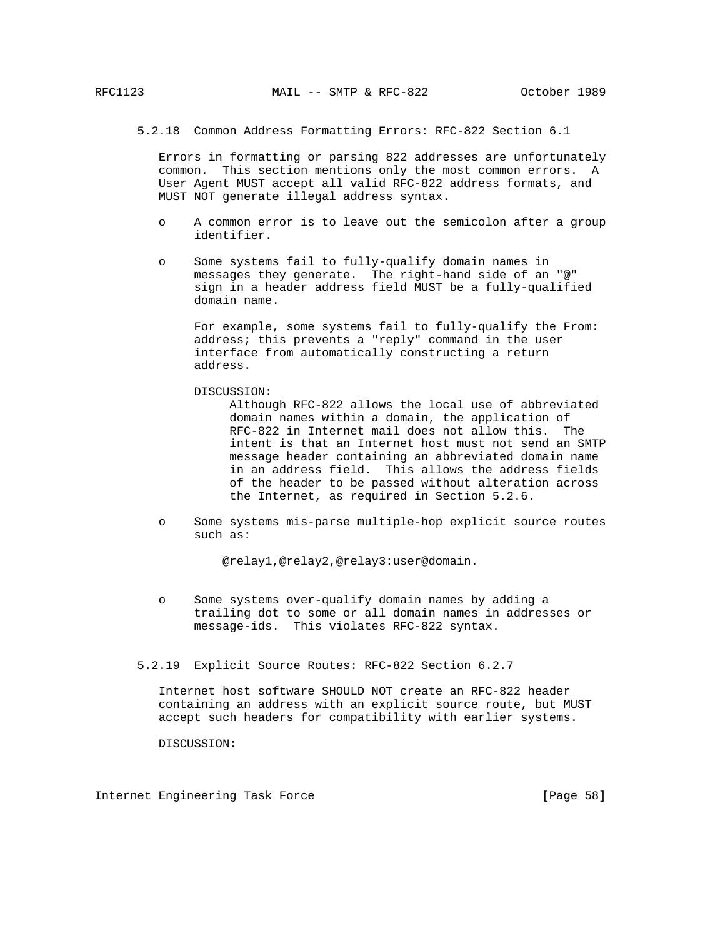5.2.18 Common Address Formatting Errors: RFC-822 Section 6.1

 Errors in formatting or parsing 822 addresses are unfortunately common. This section mentions only the most common errors. A User Agent MUST accept all valid RFC-822 address formats, and MUST NOT generate illegal address syntax.

- o A common error is to leave out the semicolon after a group identifier.
- o Some systems fail to fully-qualify domain names in messages they generate. The right-hand side of an "@" sign in a header address field MUST be a fully-qualified domain name.

 For example, some systems fail to fully-qualify the From: address; this prevents a "reply" command in the user interface from automatically constructing a return address.

#### DISCUSSION:

 Although RFC-822 allows the local use of abbreviated domain names within a domain, the application of RFC-822 in Internet mail does not allow this. The intent is that an Internet host must not send an SMTP message header containing an abbreviated domain name in an address field. This allows the address fields of the header to be passed without alteration across the Internet, as required in Section 5.2.6.

 o Some systems mis-parse multiple-hop explicit source routes such as:

@relay1,@relay2,@relay3:user@domain.

 o Some systems over-qualify domain names by adding a trailing dot to some or all domain names in addresses or message-ids. This violates RFC-822 syntax.

5.2.19 Explicit Source Routes: RFC-822 Section 6.2.7

 Internet host software SHOULD NOT create an RFC-822 header containing an address with an explicit source route, but MUST accept such headers for compatibility with earlier systems.

DISCUSSION:

Internet Engineering Task Force [Page 58]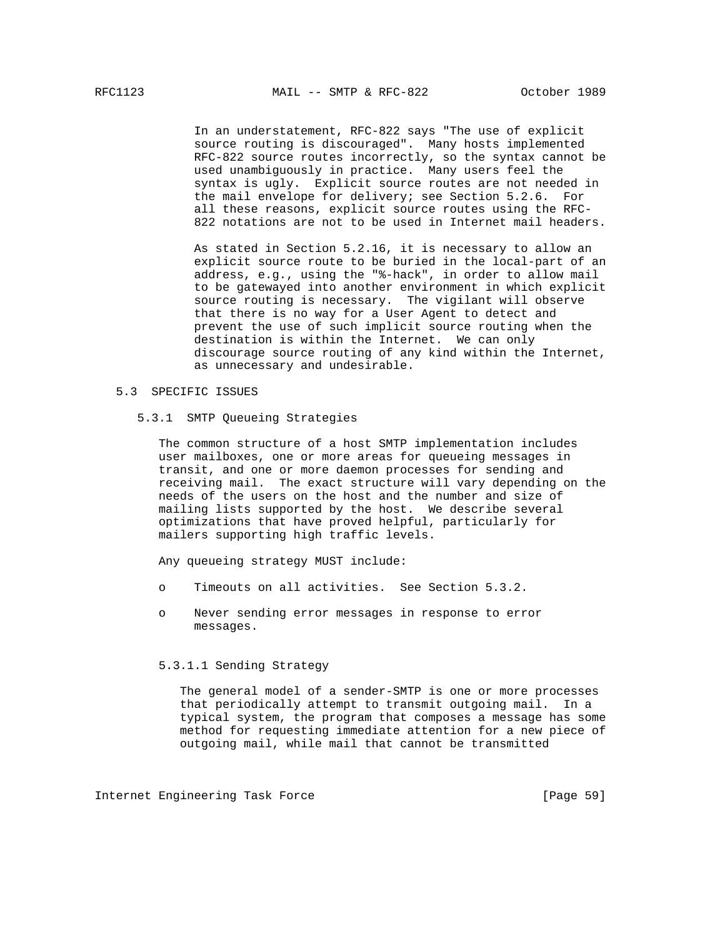In an understatement, RFC-822 says "The use of explicit source routing is discouraged". Many hosts implemented RFC-822 source routes incorrectly, so the syntax cannot be used unambiguously in practice. Many users feel the syntax is ugly. Explicit source routes are not needed in the mail envelope for delivery; see Section 5.2.6. For all these reasons, explicit source routes using the RFC- 822 notations are not to be used in Internet mail headers.

 As stated in Section 5.2.16, it is necessary to allow an explicit source route to be buried in the local-part of an address, e.g., using the "%-hack", in order to allow mail to be gatewayed into another environment in which explicit source routing is necessary. The vigilant will observe that there is no way for a User Agent to detect and prevent the use of such implicit source routing when the destination is within the Internet. We can only discourage source routing of any kind within the Internet, as unnecessary and undesirable.

# 5.3 SPECIFIC ISSUES

5.3.1 SMTP Queueing Strategies

 The common structure of a host SMTP implementation includes user mailboxes, one or more areas for queueing messages in transit, and one or more daemon processes for sending and receiving mail. The exact structure will vary depending on the needs of the users on the host and the number and size of mailing lists supported by the host. We describe several optimizations that have proved helpful, particularly for mailers supporting high traffic levels.

Any queueing strategy MUST include:

- o Timeouts on all activities. See Section 5.3.2.
- o Never sending error messages in response to error messages.

#### 5.3.1.1 Sending Strategy

 The general model of a sender-SMTP is one or more processes that periodically attempt to transmit outgoing mail. In a typical system, the program that composes a message has some method for requesting immediate attention for a new piece of outgoing mail, while mail that cannot be transmitted

Internet Engineering Task Force [Page 59]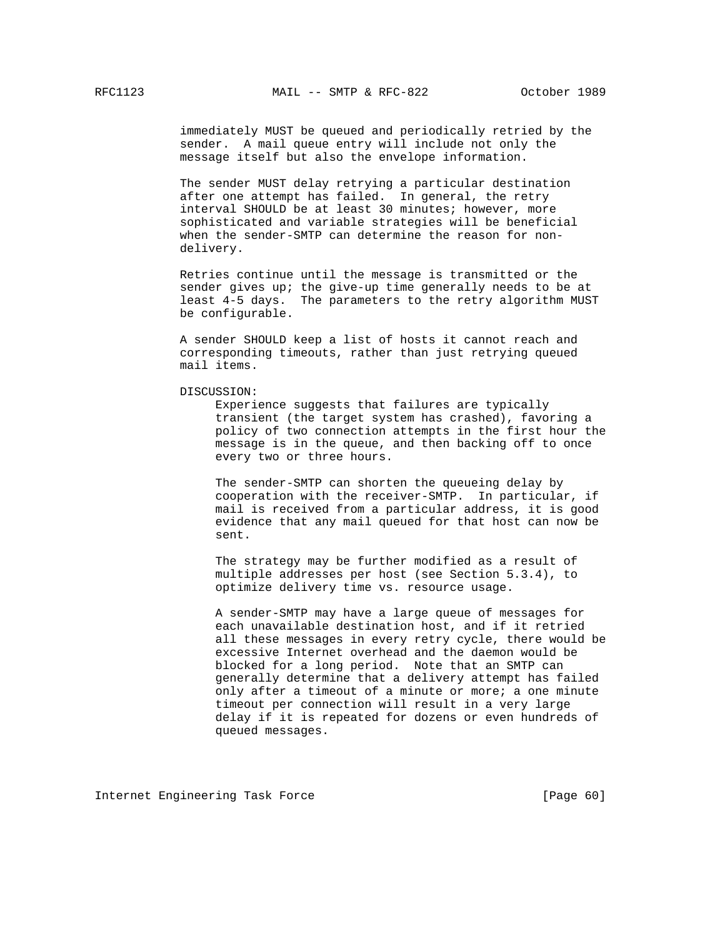immediately MUST be queued and periodically retried by the sender. A mail queue entry will include not only the message itself but also the envelope information.

 The sender MUST delay retrying a particular destination after one attempt has failed. In general, the retry interval SHOULD be at least 30 minutes; however, more sophisticated and variable strategies will be beneficial when the sender-SMTP can determine the reason for non delivery.

 Retries continue until the message is transmitted or the sender gives up; the give-up time generally needs to be at least 4-5 days. The parameters to the retry algorithm MUST be configurable.

 A sender SHOULD keep a list of hosts it cannot reach and corresponding timeouts, rather than just retrying queued mail items.

#### DISCUSSION:

 Experience suggests that failures are typically transient (the target system has crashed), favoring a policy of two connection attempts in the first hour the message is in the queue, and then backing off to once every two or three hours.

 The sender-SMTP can shorten the queueing delay by cooperation with the receiver-SMTP. In particular, if mail is received from a particular address, it is good evidence that any mail queued for that host can now be sent.

 The strategy may be further modified as a result of multiple addresses per host (see Section 5.3.4), to optimize delivery time vs. resource usage.

 A sender-SMTP may have a large queue of messages for each unavailable destination host, and if it retried all these messages in every retry cycle, there would be excessive Internet overhead and the daemon would be blocked for a long period. Note that an SMTP can generally determine that a delivery attempt has failed only after a timeout of a minute or more; a one minute timeout per connection will result in a very large delay if it is repeated for dozens or even hundreds of queued messages.

Internet Engineering Task Force [Page 60]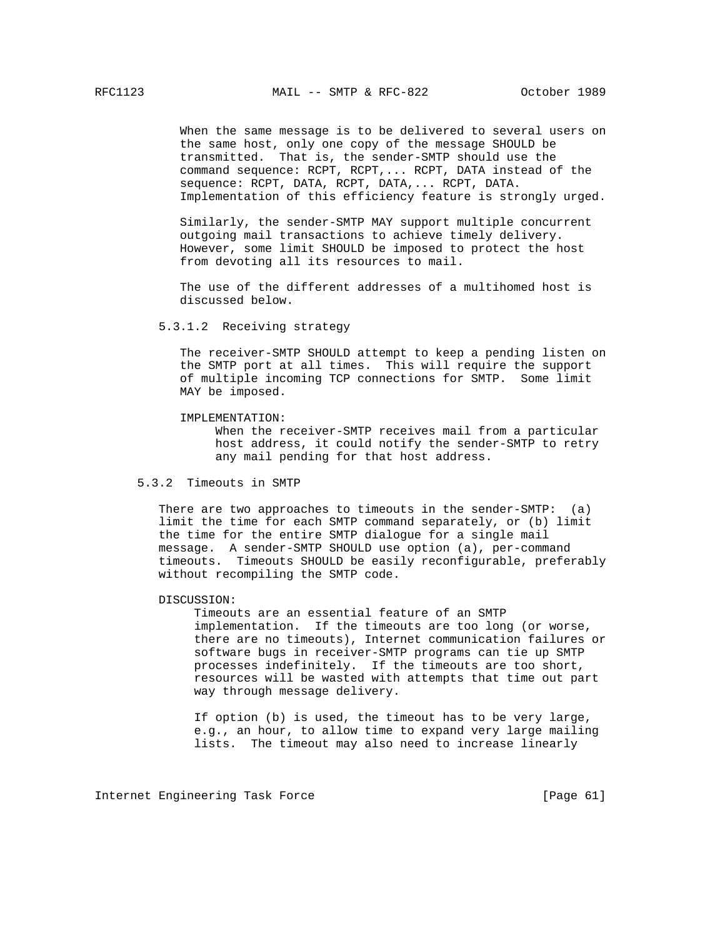When the same message is to be delivered to several users on the same host, only one copy of the message SHOULD be transmitted. That is, the sender-SMTP should use the command sequence: RCPT, RCPT,... RCPT, DATA instead of the sequence: RCPT, DATA, RCPT, DATA,... RCPT, DATA. Implementation of this efficiency feature is strongly urged.

 Similarly, the sender-SMTP MAY support multiple concurrent outgoing mail transactions to achieve timely delivery. However, some limit SHOULD be imposed to protect the host from devoting all its resources to mail.

 The use of the different addresses of a multihomed host is discussed below.

#### 5.3.1.2 Receiving strategy

 The receiver-SMTP SHOULD attempt to keep a pending listen on the SMTP port at all times. This will require the support of multiple incoming TCP connections for SMTP. Some limit MAY be imposed.

IMPLEMENTATION:

 When the receiver-SMTP receives mail from a particular host address, it could notify the sender-SMTP to retry any mail pending for that host address.

# 5.3.2 Timeouts in SMTP

 There are two approaches to timeouts in the sender-SMTP: (a) limit the time for each SMTP command separately, or (b) limit the time for the entire SMTP dialogue for a single mail message. A sender-SMTP SHOULD use option (a), per-command timeouts. Timeouts SHOULD be easily reconfigurable, preferably without recompiling the SMTP code.

#### DISCUSSION:

 Timeouts are an essential feature of an SMTP implementation. If the timeouts are too long (or worse, there are no timeouts), Internet communication failures or software bugs in receiver-SMTP programs can tie up SMTP processes indefinitely. If the timeouts are too short, resources will be wasted with attempts that time out part way through message delivery.

 If option (b) is used, the timeout has to be very large, e.g., an hour, to allow time to expand very large mailing lists. The timeout may also need to increase linearly

Internet Engineering Task Force [Page 61]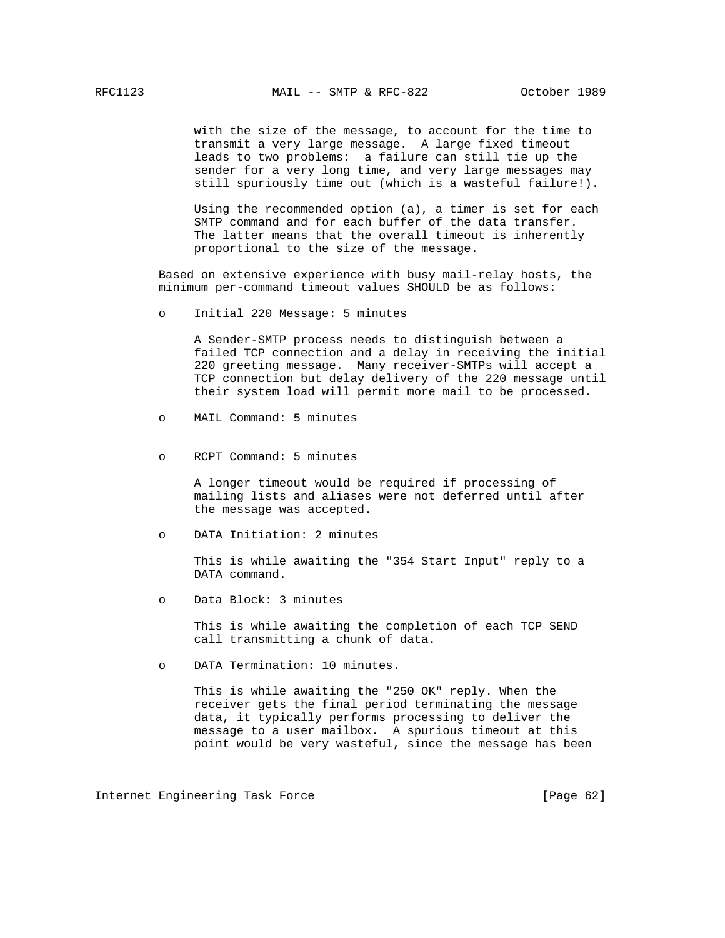with the size of the message, to account for the time to transmit a very large message. A large fixed timeout leads to two problems: a failure can still tie up the sender for a very long time, and very large messages may still spuriously time out (which is a wasteful failure!).

 Using the recommended option (a), a timer is set for each SMTP command and for each buffer of the data transfer. The latter means that the overall timeout is inherently proportional to the size of the message.

 Based on extensive experience with busy mail-relay hosts, the minimum per-command timeout values SHOULD be as follows:

o Initial 220 Message: 5 minutes

 A Sender-SMTP process needs to distinguish between a failed TCP connection and a delay in receiving the initial 220 greeting message. Many receiver-SMTPs will accept a TCP connection but delay delivery of the 220 message until their system load will permit more mail to be processed.

- o MAIL Command: 5 minutes
- o RCPT Command: 5 minutes

 A longer timeout would be required if processing of mailing lists and aliases were not deferred until after the message was accepted.

o DATA Initiation: 2 minutes

 This is while awaiting the "354 Start Input" reply to a DATA command.

o Data Block: 3 minutes

 This is while awaiting the completion of each TCP SEND call transmitting a chunk of data.

o DATA Termination: 10 minutes.

 This is while awaiting the "250 OK" reply. When the receiver gets the final period terminating the message data, it typically performs processing to deliver the message to a user mailbox. A spurious timeout at this point would be very wasteful, since the message has been

Internet Engineering Task Force [Page 62]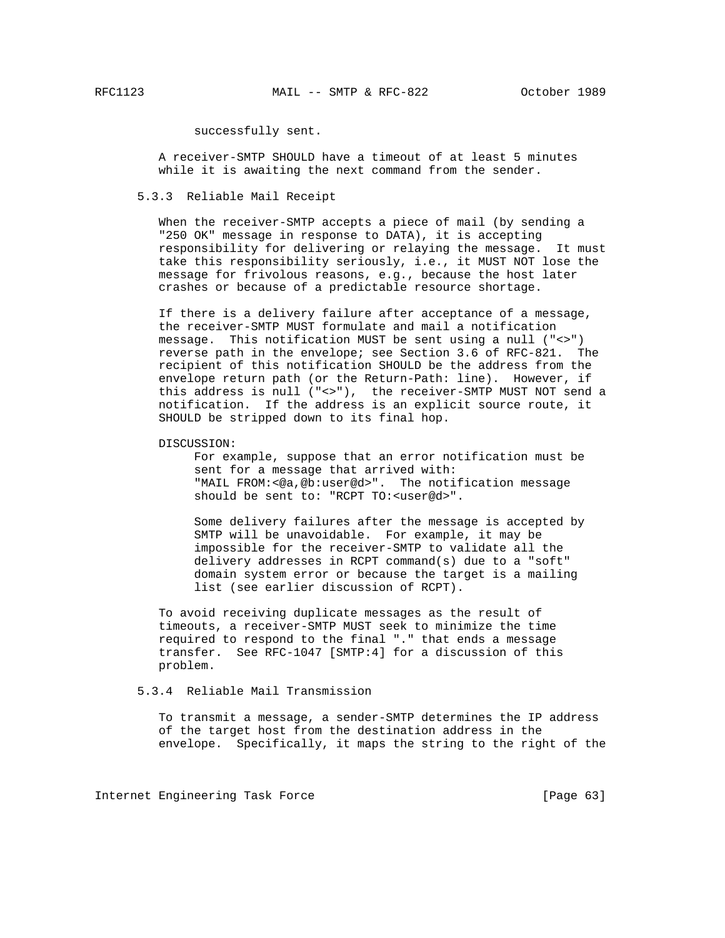successfully sent.

 A receiver-SMTP SHOULD have a timeout of at least 5 minutes while it is awaiting the next command from the sender.

5.3.3 Reliable Mail Receipt

 When the receiver-SMTP accepts a piece of mail (by sending a "250 OK" message in response to DATA), it is accepting responsibility for delivering or relaying the message. It must take this responsibility seriously, i.e., it MUST NOT lose the message for frivolous reasons, e.g., because the host later crashes or because of a predictable resource shortage.

 If there is a delivery failure after acceptance of a message, the receiver-SMTP MUST formulate and mail a notification message. This notification MUST be sent using a null ("<>") reverse path in the envelope; see Section 3.6 of RFC-821. The recipient of this notification SHOULD be the address from the envelope return path (or the Return-Path: line). However, if this address is null ("<>"), the receiver-SMTP MUST NOT send a notification. If the address is an explicit source route, it SHOULD be stripped down to its final hop.

DISCUSSION:

 For example, suppose that an error notification must be sent for a message that arrived with: "MAIL FROM:<@a,@b:user@d>". The notification message should be sent to: "RCPT TO:<user@d>".

 Some delivery failures after the message is accepted by SMTP will be unavoidable. For example, it may be impossible for the receiver-SMTP to validate all the delivery addresses in RCPT command(s) due to a "soft" domain system error or because the target is a mailing list (see earlier discussion of RCPT).

 To avoid receiving duplicate messages as the result of timeouts, a receiver-SMTP MUST seek to minimize the time required to respond to the final "." that ends a message transfer. See RFC-1047 [SMTP:4] for a discussion of this problem.

5.3.4 Reliable Mail Transmission

 To transmit a message, a sender-SMTP determines the IP address of the target host from the destination address in the envelope. Specifically, it maps the string to the right of the

Internet Engineering Task Force [Page 63]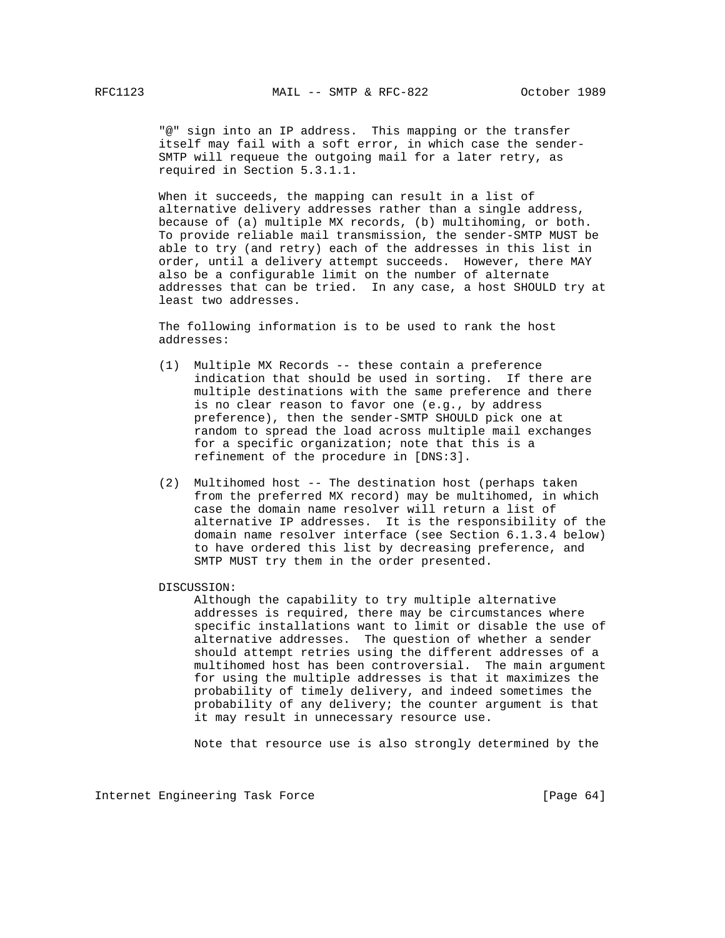"@" sign into an IP address. This mapping or the transfer itself may fail with a soft error, in which case the sender- SMTP will requeue the outgoing mail for a later retry, as required in Section 5.3.1.1.

 When it succeeds, the mapping can result in a list of alternative delivery addresses rather than a single address, because of (a) multiple MX records, (b) multihoming, or both. To provide reliable mail transmission, the sender-SMTP MUST be able to try (and retry) each of the addresses in this list in order, until a delivery attempt succeeds. However, there MAY also be a configurable limit on the number of alternate addresses that can be tried. In any case, a host SHOULD try at least two addresses.

 The following information is to be used to rank the host addresses:

- (1) Multiple MX Records -- these contain a preference indication that should be used in sorting. If there are multiple destinations with the same preference and there is no clear reason to favor one (e.g., by address preference), then the sender-SMTP SHOULD pick one at random to spread the load across multiple mail exchanges for a specific organization; note that this is a refinement of the procedure in [DNS:3].
- (2) Multihomed host -- The destination host (perhaps taken from the preferred MX record) may be multihomed, in which case the domain name resolver will return a list of alternative IP addresses. It is the responsibility of the domain name resolver interface (see Section 6.1.3.4 below) to have ordered this list by decreasing preference, and SMTP MUST try them in the order presented.

# DISCUSSION:

 Although the capability to try multiple alternative addresses is required, there may be circumstances where specific installations want to limit or disable the use of alternative addresses. The question of whether a sender should attempt retries using the different addresses of a multihomed host has been controversial. The main argument for using the multiple addresses is that it maximizes the probability of timely delivery, and indeed sometimes the probability of any delivery; the counter argument is that it may result in unnecessary resource use.

Note that resource use is also strongly determined by the

Internet Engineering Task Force [Page 64]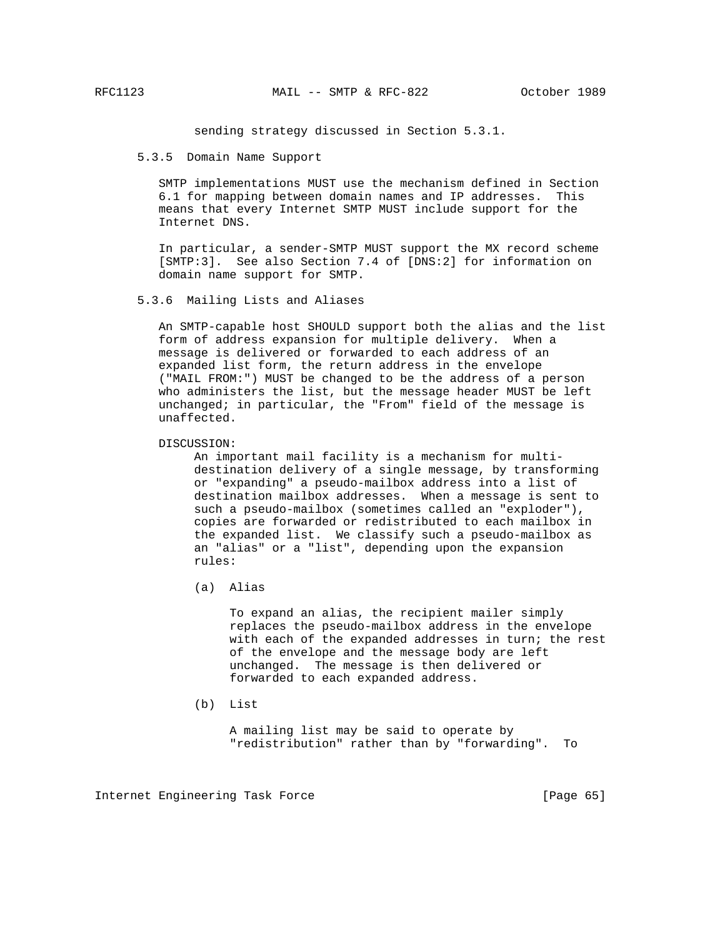sending strategy discussed in Section 5.3.1.

5.3.5 Domain Name Support

 SMTP implementations MUST use the mechanism defined in Section 6.1 for mapping between domain names and IP addresses. This means that every Internet SMTP MUST include support for the Internet DNS.

 In particular, a sender-SMTP MUST support the MX record scheme [SMTP:3]. See also Section 7.4 of [DNS:2] for information on domain name support for SMTP.

5.3.6 Mailing Lists and Aliases

 An SMTP-capable host SHOULD support both the alias and the list form of address expansion for multiple delivery. When a message is delivered or forwarded to each address of an expanded list form, the return address in the envelope ("MAIL FROM:") MUST be changed to be the address of a person who administers the list, but the message header MUST be left unchanged; in particular, the "From" field of the message is unaffected.

DISCUSSION:

 An important mail facility is a mechanism for multi destination delivery of a single message, by transforming or "expanding" a pseudo-mailbox address into a list of destination mailbox addresses. When a message is sent to such a pseudo-mailbox (sometimes called an "exploder"), copies are forwarded or redistributed to each mailbox in the expanded list. We classify such a pseudo-mailbox as an "alias" or a "list", depending upon the expansion rules:

(a) Alias

 To expand an alias, the recipient mailer simply replaces the pseudo-mailbox address in the envelope with each of the expanded addresses in turn; the rest of the envelope and the message body are left unchanged. The message is then delivered or forwarded to each expanded address.

(b) List

 A mailing list may be said to operate by "redistribution" rather than by "forwarding". To

Internet Engineering Task Force [Page 65]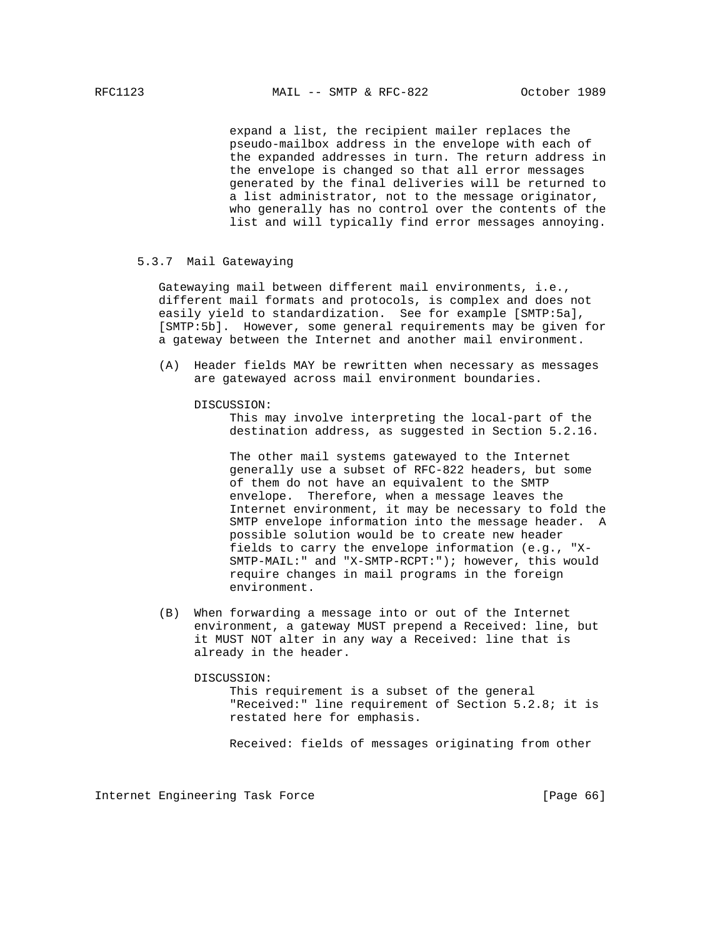expand a list, the recipient mailer replaces the pseudo-mailbox address in the envelope with each of the expanded addresses in turn. The return address in the envelope is changed so that all error messages generated by the final deliveries will be returned to a list administrator, not to the message originator, who generally has no control over the contents of the list and will typically find error messages annoying.

#### 5.3.7 Mail Gatewaying

 Gatewaying mail between different mail environments, i.e., different mail formats and protocols, is complex and does not easily yield to standardization. See for example [SMTP:5a], [SMTP:5b]. However, some general requirements may be given for a gateway between the Internet and another mail environment.

 (A) Header fields MAY be rewritten when necessary as messages are gatewayed across mail environment boundaries.

DISCUSSION:

 This may involve interpreting the local-part of the destination address, as suggested in Section 5.2.16.

 The other mail systems gatewayed to the Internet generally use a subset of RFC-822 headers, but some of them do not have an equivalent to the SMTP envelope. Therefore, when a message leaves the Internet environment, it may be necessary to fold the SMTP envelope information into the message header. A possible solution would be to create new header fields to carry the envelope information (e.g., "X- SMTP-MAIL:" and "X-SMTP-RCPT:"); however, this would require changes in mail programs in the foreign environment.

 (B) When forwarding a message into or out of the Internet environment, a gateway MUST prepend a Received: line, but it MUST NOT alter in any way a Received: line that is already in the header.

#### DISCUSSION:

 This requirement is a subset of the general "Received:" line requirement of Section 5.2.8; it is restated here for emphasis.

Received: fields of messages originating from other

Internet Engineering Task Force [Page 66]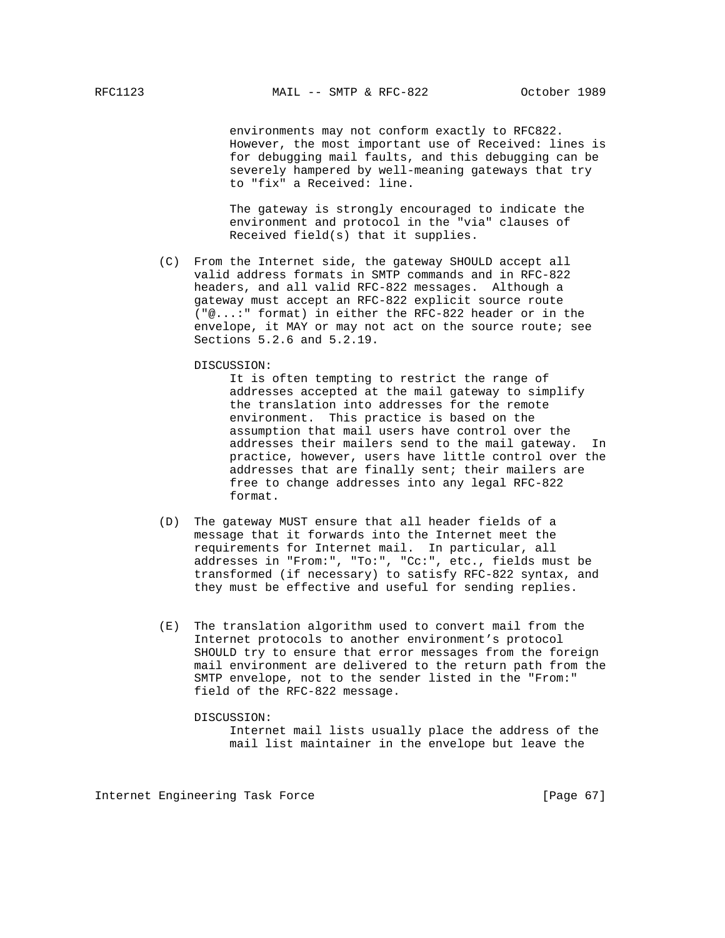environments may not conform exactly to RFC822. However, the most important use of Received: lines is for debugging mail faults, and this debugging can be severely hampered by well-meaning gateways that try to "fix" a Received: line.

 The gateway is strongly encouraged to indicate the environment and protocol in the "via" clauses of Received field(s) that it supplies.

 (C) From the Internet side, the gateway SHOULD accept all valid address formats in SMTP commands and in RFC-822 headers, and all valid RFC-822 messages. Although a gateway must accept an RFC-822 explicit source route ("@...:" format) in either the RFC-822 header or in the envelope, it MAY or may not act on the source route; see Sections 5.2.6 and 5.2.19.

DISCUSSION:

 It is often tempting to restrict the range of addresses accepted at the mail gateway to simplify the translation into addresses for the remote environment. This practice is based on the assumption that mail users have control over the addresses their mailers send to the mail gateway. In practice, however, users have little control over the addresses that are finally sent; their mailers are free to change addresses into any legal RFC-822 format.

- (D) The gateway MUST ensure that all header fields of a message that it forwards into the Internet meet the requirements for Internet mail. In particular, all addresses in "From:", "To:", "Cc:", etc., fields must be transformed (if necessary) to satisfy RFC-822 syntax, and they must be effective and useful for sending replies.
- (E) The translation algorithm used to convert mail from the Internet protocols to another environment's protocol SHOULD try to ensure that error messages from the foreign mail environment are delivered to the return path from the SMTP envelope, not to the sender listed in the "From:" field of the RFC-822 message.

DISCUSSION:

 Internet mail lists usually place the address of the mail list maintainer in the envelope but leave the

Internet Engineering Task Force [Page 67]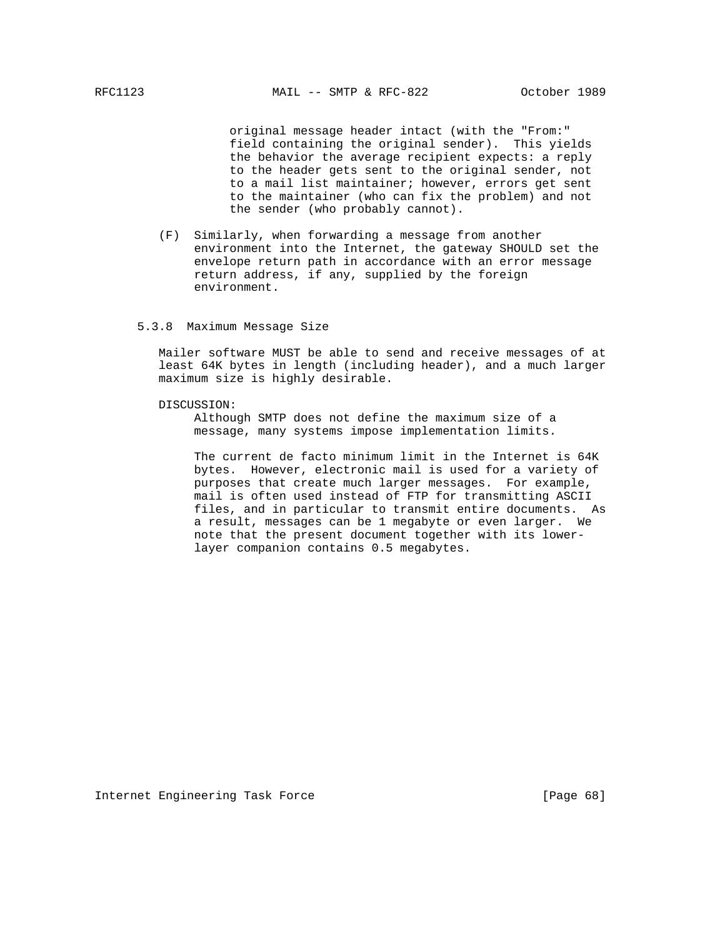original message header intact (with the "From:" field containing the original sender). This yields the behavior the average recipient expects: a reply to the header gets sent to the original sender, not to a mail list maintainer; however, errors get sent to the maintainer (who can fix the problem) and not the sender (who probably cannot).

 (F) Similarly, when forwarding a message from another environment into the Internet, the gateway SHOULD set the envelope return path in accordance with an error message return address, if any, supplied by the foreign environment.

# 5.3.8 Maximum Message Size

 Mailer software MUST be able to send and receive messages of at least 64K bytes in length (including header), and a much larger maximum size is highly desirable.

# DISCUSSION:

 Although SMTP does not define the maximum size of a message, many systems impose implementation limits.

 The current de facto minimum limit in the Internet is 64K bytes. However, electronic mail is used for a variety of purposes that create much larger messages. For example, mail is often used instead of FTP for transmitting ASCII files, and in particular to transmit entire documents. As a result, messages can be 1 megabyte or even larger. We note that the present document together with its lower layer companion contains 0.5 megabytes.

Internet Engineering Task Force [Page 68]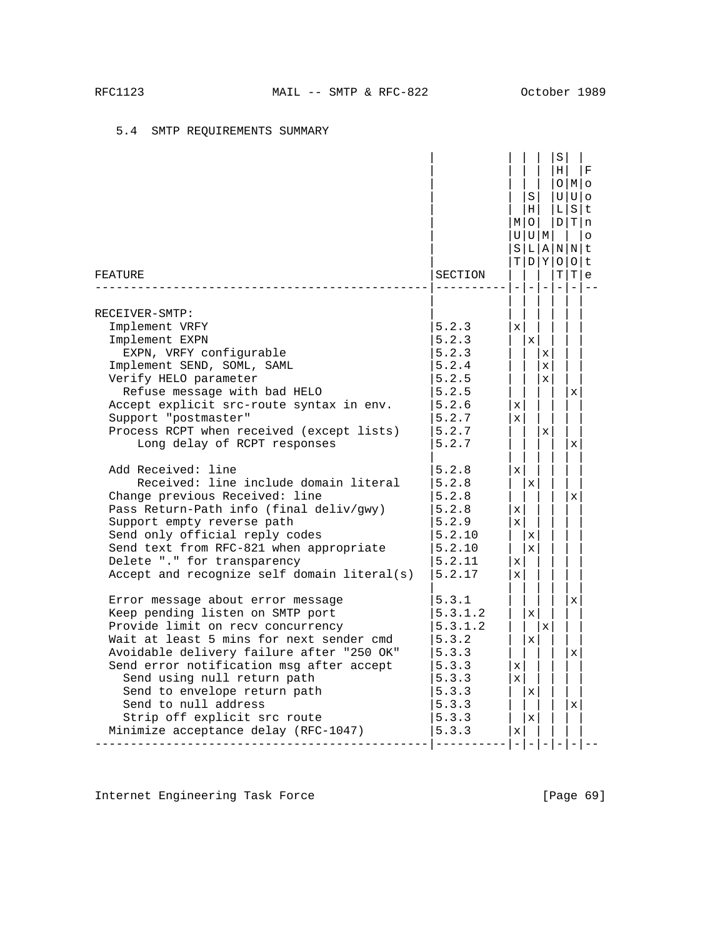# 5.4 SMTP REQUIREMENTS SUMMARY

| FEATURE                                                                                                                                                                                                                                                                                                                                                                                                        | SECTION                                                                                             | MO<br>S<br>т                               | S<br>н<br>UUM         |                                        | S<br>H <sub>1</sub><br>ΙI<br>L A N N<br>D Y 0 0<br>т | $O M $ o<br>UUlo<br>S<br>D/T n<br>ΙT | F<br>t<br>$\circ$<br>t<br>t<br>e |
|----------------------------------------------------------------------------------------------------------------------------------------------------------------------------------------------------------------------------------------------------------------------------------------------------------------------------------------------------------------------------------------------------------------|-----------------------------------------------------------------------------------------------------|--------------------------------------------|-----------------------|----------------------------------------|------------------------------------------------------|--------------------------------------|----------------------------------|
| RECEIVER-SMTP:<br>Implement VRFY<br>Implement EXPN<br>EXPN, VRFY configurable<br>Implement SEND, SOML, SAML<br>Verify HELO parameter<br>Refuse message with bad HELO<br>Accept explicit src-route syntax in env.<br>Support "postmaster"<br>Process RCPT when received (except lists)<br>Long delay of RCPT responses                                                                                          | 5.2.3<br>5.2.3<br>5.2.3<br>5.2.4<br>5.2.5<br>5.2.5<br>5.2.6<br>5.2.7<br>5.2.7<br>5.2.7              | х<br>x<br>X                                | $\mathbf x$           | x<br>$\mathbf{x}$<br>x<br>$\mathbf{x}$ |                                                      | x<br>x                               |                                  |
| Add Received: line<br>Received: line include domain literal<br>Change previous Received: line<br>Pass Return-Path info (final deliv/qwy)<br>Support empty reverse path<br>Send only official reply codes<br>Send text from RFC-821 when appropriate<br>Delete "." for transparency<br>Accept and recognize self domain literal(s)                                                                              | 5.2.8<br>5.2.8<br>5.2.8<br>5.2.8<br>5.2.9<br>5.2.10<br>5.2.10<br>5.2.11<br>5.2.17                   | x<br>х<br>$\mathbf x$<br>х<br>$\mathbf{x}$ | X<br>x<br>$\mathbf x$ |                                        |                                                      | X                                    |                                  |
| Error message about error message<br>Keep pending listen on SMTP port<br>Provide limit on recv concurrency<br>Wait at least 5 mins for next sender cmd<br>Avoidable delivery failure after "250 OK"<br>Send error notification msg after accept<br>Send using null return path<br>Send to envelope return path<br>Send to null address<br>Strip off explicit src route<br>Minimize acceptance delay (RFC-1047) | 5.3.1<br>5.3.1.2<br>5.3.1.2<br>5.3.2<br>5.3.3<br>5.3.3<br>5.3.3<br>5.3.3<br>5.3.3<br>5.3.3<br>5.3.3 | X<br>$\mathbf{x}$<br>х                     | x<br>x<br>х<br>X      | х                                      |                                                      | X<br>x<br>x                          |                                  |
|                                                                                                                                                                                                                                                                                                                                                                                                                |                                                                                                     |                                            |                       |                                        |                                                      |                                      |                                  |

Internet Engineering Task Force [Page 69]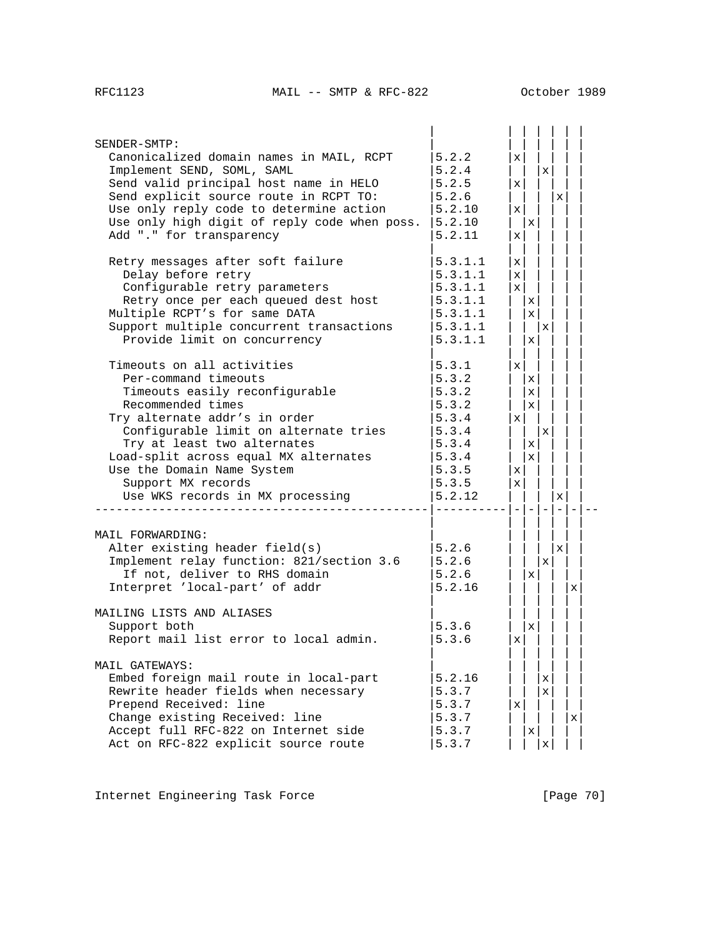| SENDER-SMTP:<br>Canonicalized domain names in MAIL, RCPT<br>Implement SEND, SOML, SAML<br>Send valid principal host name in HELO<br>Send explicit source route in RCPT TO:<br>Use only reply code to determine action<br>Use only high digit of reply code when poss.<br>Add "." for transparency                                                   | 5.2.2<br>5.2.4<br>5.2.5<br>5.2.6<br>5.2.10<br>5.2.10<br>5.2.11                                   | x<br>$\mathbf{x}$<br>x<br>x                  | X                                | $\mathbf{x}$                      | x |   |  |
|-----------------------------------------------------------------------------------------------------------------------------------------------------------------------------------------------------------------------------------------------------------------------------------------------------------------------------------------------------|--------------------------------------------------------------------------------------------------|----------------------------------------------|----------------------------------|-----------------------------------|---|---|--|
| Retry messages after soft failure<br>Delay before retry<br>Configurable retry parameters<br>Retry once per each queued dest host<br>Multiple RCPT's for same DATA<br>Support multiple concurrent transactions<br>Provide limit on concurrency                                                                                                       | 5.3.1.1<br>5.3.1.1<br>5.3.1.1<br>5.3.1.1<br>5.3.1.1<br>5.3.1.1<br>5.3.1.1                        | $\mathbf{x}$<br>$\mathbf{x}$<br>$\mathbf{x}$ | X<br>X<br>$\mathbf{x}$           | x                                 |   |   |  |
| Timeouts on all activities<br>Per-command timeouts<br>Timeouts easily reconfigurable<br>Recommended times<br>Try alternate addr's in order<br>Configurable limit on alternate tries<br>Try at least two alternates<br>Load-split across equal MX alternates<br>Use the Domain Name System<br>Support MX records<br>Use WKS records in MX processing | 5.3.1<br>5.3.2<br>5.3.2<br>5.3.2<br>5.3.4<br>5.3.4<br>5.3.4<br>5.3.4<br>5.3.5<br>5.3.5<br>5.2.12 | $\mathbf{x}$<br>$\mathbf{x}$<br>x<br>X       | x<br>x<br>$\mathbf{x}$<br>х<br>X | x                                 | x |   |  |
| MAIL FORWARDING:<br>Alter existing header field(s)<br>Implement relay function: 821/section 3.6<br>If not, deliver to RHS domain<br>Interpret 'local-part' of addr<br>MAILING LISTS AND ALIASES                                                                                                                                                     | 5.2.6<br>5.2.6<br>5.2.6<br>5.2.16                                                                |                                              | X                                | x                                 | X | х |  |
| Support both<br>Report mail list error to local admin.                                                                                                                                                                                                                                                                                              | 5.3.6<br>5.3.6                                                                                   | x                                            | X                                |                                   |   |   |  |
| MAIL GATEWAYS:<br>Embed foreign mail route in local-part<br>Rewrite header fields when necessary<br>Prepend Received: line<br>Change existing Received: line<br>Accept full RFC-822 on Internet side<br>Act on RFC-822 explicit source route                                                                                                        | 5.2.16<br>5.3.7<br>5.3.7<br>5.3.7<br>5.3.7<br>5.3.7                                              | x                                            | х                                | $\mathbf{x}$<br>$\mathbf{x}$<br>x |   | x |  |

Internet Engineering Task Force [Page 70]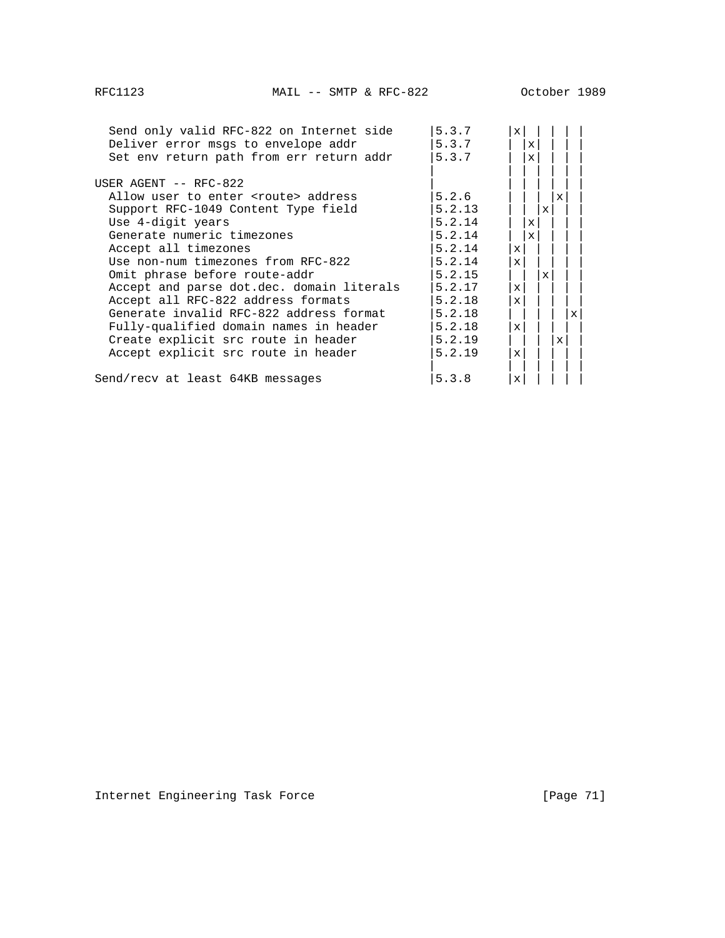| Send only valid RFC-822 on Internet side    | 5.3.7  | $\mathbf{x}$ |              |             |              |   |  |
|---------------------------------------------|--------|--------------|--------------|-------------|--------------|---|--|
| Deliver error msgs to envelope addr         | 5.3.7  |              | $\mathbf{x}$ |             |              |   |  |
| Set env return path from err return addr    | 5.3.7  |              | $\mathbf{x}$ |             |              |   |  |
| USER AGENT $--$ RFC-822                     |        |              |              |             |              |   |  |
| Allow user to enter <route> address</route> | 5.2.6  |              |              |             | $\mathbf{x}$ |   |  |
| Support RFC-1049 Content Type field         | 5.2.13 |              |              | X           |              |   |  |
| Use 4-digit years                           | 5.2.14 |              | $\mathbf{x}$ |             |              |   |  |
| Generate numeric timezones                  | 5.2.14 |              | $\mathbf{x}$ |             |              |   |  |
| Accept all timezones                        | 5.2.14 | x            |              |             |              |   |  |
| Use non-num timezones from RFC-822          | 5.2.14 | хI           |              |             |              |   |  |
| Omit phrase before route-addr               | 5.2.15 |              |              | $\mathbf x$ |              |   |  |
| Accept and parse dot.dec. domain literals   | 5.2.17 | X            |              |             |              |   |  |
| Accept all RFC-822 address formats          | 5.2.18 | $\mathbf{x}$ |              |             |              |   |  |
| Generate invalid RFC-822 address format     | 5.2.18 |              |              |             |              | x |  |
| Fully-qualified domain names in header      | 5.2.18 | $\mathbf{x}$ |              |             |              |   |  |
| Create explicit src route in header         | 5.2.19 |              |              |             | $\mathbf{x}$ |   |  |
| Accept explicit src route in header         | 5.2.19 | $\mathbf x$  |              |             |              |   |  |
| Send/recv at least 64KB messages            | 5.3.8  | х            |              |             |              |   |  |

Internet Engineering Task Force [Page 71]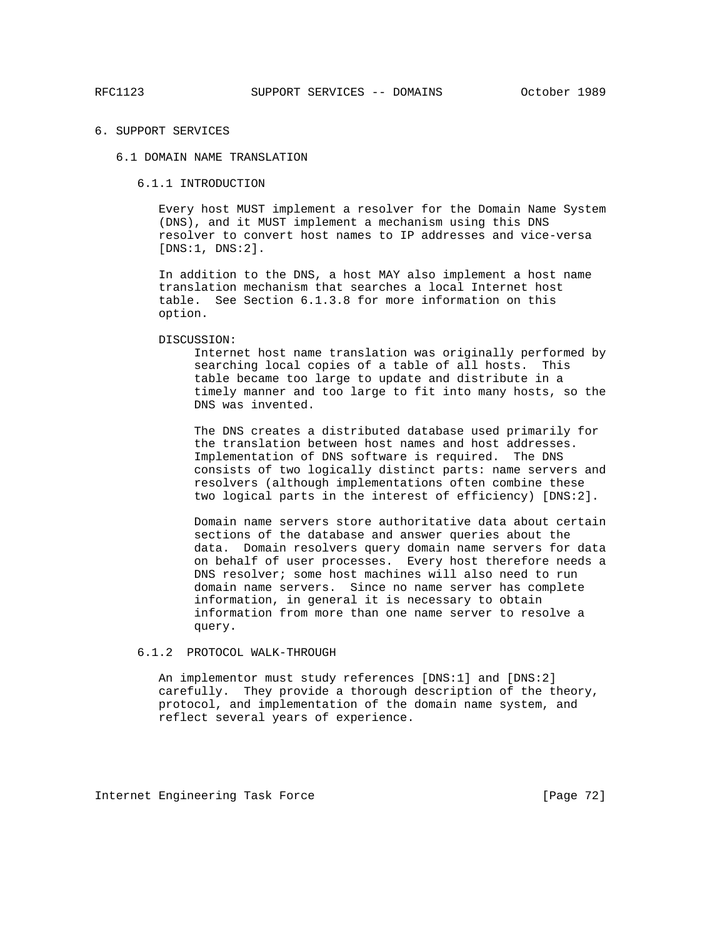#### 6. SUPPORT SERVICES

#### 6.1 DOMAIN NAME TRANSLATION

#### 6.1.1 INTRODUCTION

 Every host MUST implement a resolver for the Domain Name System (DNS), and it MUST implement a mechanism using this DNS resolver to convert host names to IP addresses and vice-versa [DNS:1, DNS:2].

 In addition to the DNS, a host MAY also implement a host name translation mechanism that searches a local Internet host table. See Section 6.1.3.8 for more information on this option.

DISCUSSION:

 Internet host name translation was originally performed by searching local copies of a table of all hosts. This table became too large to update and distribute in a timely manner and too large to fit into many hosts, so the DNS was invented.

 The DNS creates a distributed database used primarily for the translation between host names and host addresses. Implementation of DNS software is required. The DNS consists of two logically distinct parts: name servers and resolvers (although implementations often combine these two logical parts in the interest of efficiency) [DNS:2].

 Domain name servers store authoritative data about certain sections of the database and answer queries about the data. Domain resolvers query domain name servers for data on behalf of user processes. Every host therefore needs a DNS resolver; some host machines will also need to run domain name servers. Since no name server has complete information, in general it is necessary to obtain information from more than one name server to resolve a query.

# 6.1.2 PROTOCOL WALK-THROUGH

 An implementor must study references [DNS:1] and [DNS:2] carefully. They provide a thorough description of the theory, protocol, and implementation of the domain name system, and reflect several years of experience.

Internet Engineering Task Force [Page 72]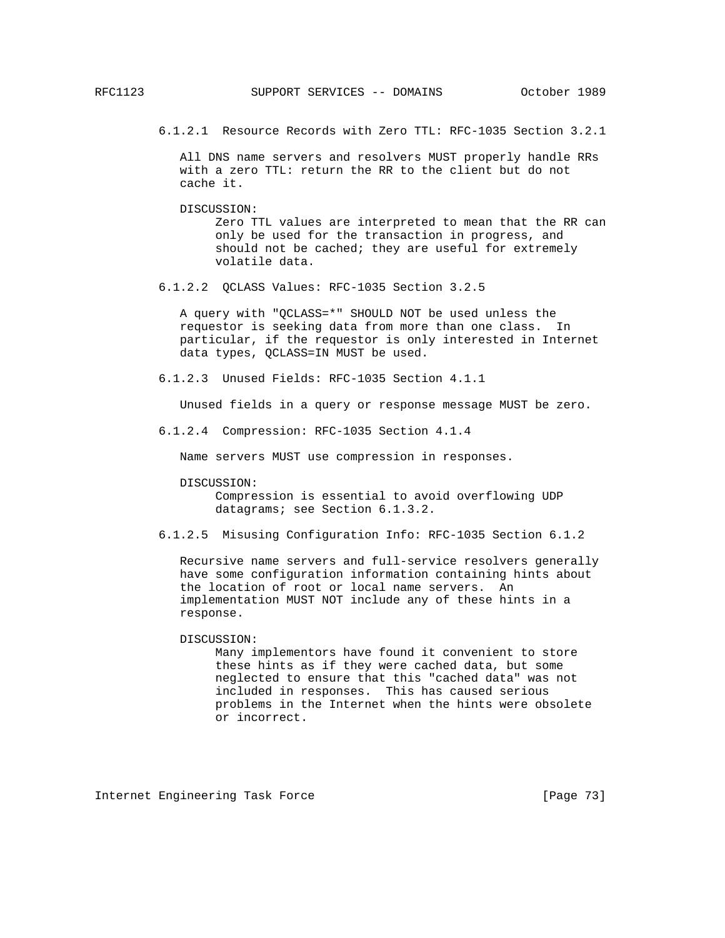6.1.2.1 Resource Records with Zero TTL: RFC-1035 Section 3.2.1

 All DNS name servers and resolvers MUST properly handle RRs with a zero TTL: return the RR to the client but do not cache it.

DISCUSSION:

 Zero TTL values are interpreted to mean that the RR can only be used for the transaction in progress, and should not be cached; they are useful for extremely volatile data.

6.1.2.2 QCLASS Values: RFC-1035 Section 3.2.5

 A query with "QCLASS=\*" SHOULD NOT be used unless the requestor is seeking data from more than one class. In particular, if the requestor is only interested in Internet data types, QCLASS=IN MUST be used.

6.1.2.3 Unused Fields: RFC-1035 Section 4.1.1

Unused fields in a query or response message MUST be zero.

6.1.2.4 Compression: RFC-1035 Section 4.1.4

Name servers MUST use compression in responses.

DISCUSSION:

 Compression is essential to avoid overflowing UDP datagrams; see Section 6.1.3.2.

6.1.2.5 Misusing Configuration Info: RFC-1035 Section 6.1.2

 Recursive name servers and full-service resolvers generally have some configuration information containing hints about the location of root or local name servers. An implementation MUST NOT include any of these hints in a response.

DISCUSSION:

 Many implementors have found it convenient to store these hints as if they were cached data, but some neglected to ensure that this "cached data" was not included in responses. This has caused serious problems in the Internet when the hints were obsolete or incorrect.

Internet Engineering Task Force [Page 73]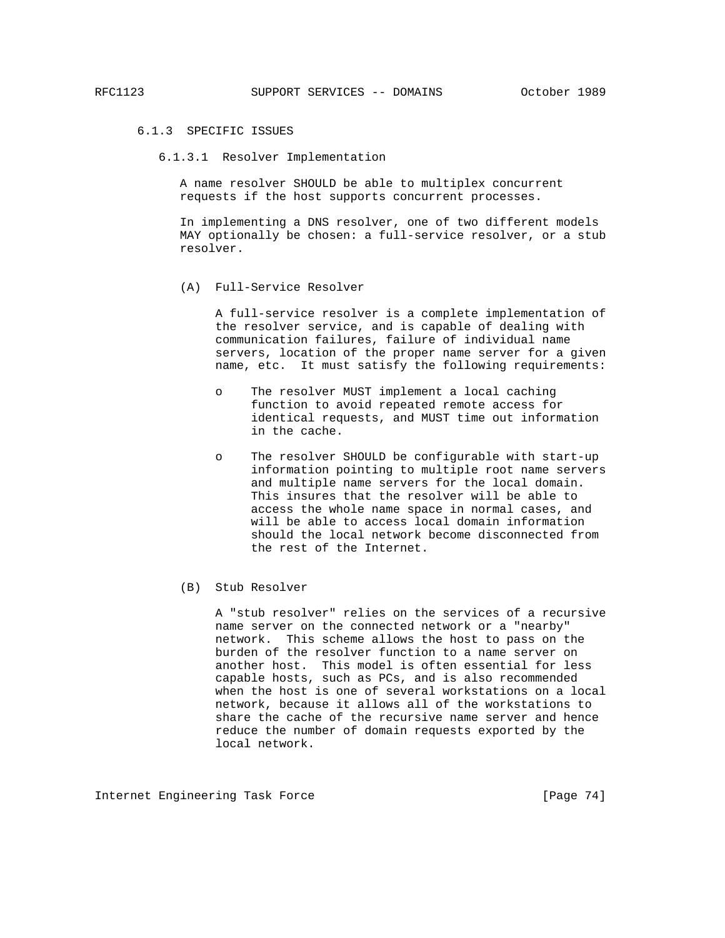# 6.1.3 SPECIFIC ISSUES

## 6.1.3.1 Resolver Implementation

 A name resolver SHOULD be able to multiplex concurrent requests if the host supports concurrent processes.

 In implementing a DNS resolver, one of two different models MAY optionally be chosen: a full-service resolver, or a stub resolver.

### (A) Full-Service Resolver

 A full-service resolver is a complete implementation of the resolver service, and is capable of dealing with communication failures, failure of individual name servers, location of the proper name server for a given name, etc. It must satisfy the following requirements:

- o The resolver MUST implement a local caching function to avoid repeated remote access for identical requests, and MUST time out information in the cache.
- o The resolver SHOULD be configurable with start-up information pointing to multiple root name servers and multiple name servers for the local domain. This insures that the resolver will be able to access the whole name space in normal cases, and will be able to access local domain information should the local network become disconnected from the rest of the Internet.
- (B) Stub Resolver

 A "stub resolver" relies on the services of a recursive name server on the connected network or a "nearby" network. This scheme allows the host to pass on the burden of the resolver function to a name server on another host. This model is often essential for less capable hosts, such as PCs, and is also recommended when the host is one of several workstations on a local network, because it allows all of the workstations to share the cache of the recursive name server and hence reduce the number of domain requests exported by the local network.

Internet Engineering Task Force [Page 74]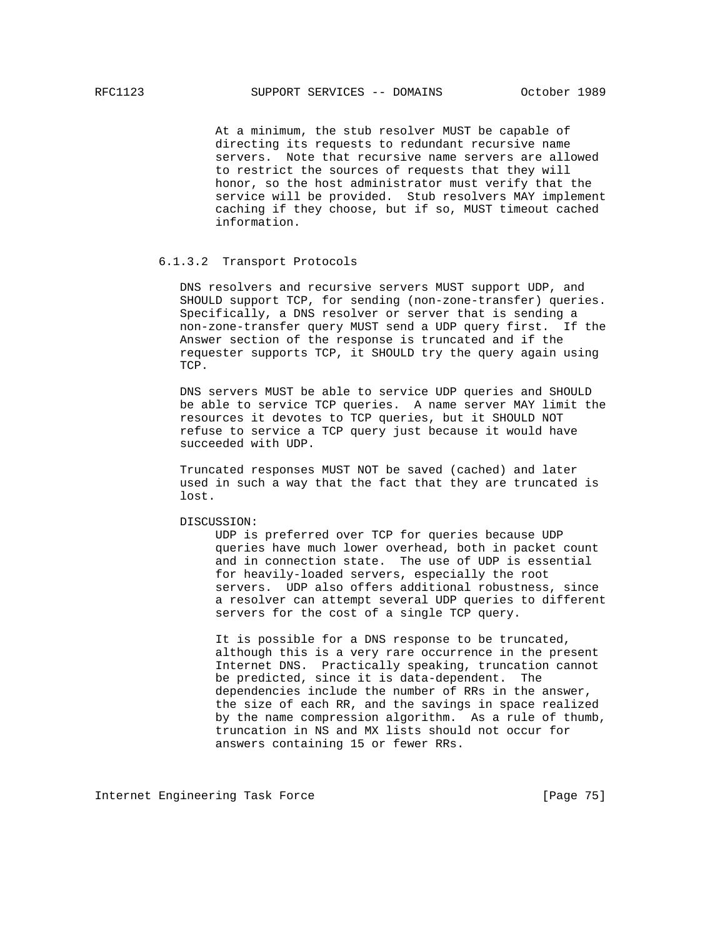At a minimum, the stub resolver MUST be capable of directing its requests to redundant recursive name servers. Note that recursive name servers are allowed to restrict the sources of requests that they will honor, so the host administrator must verify that the service will be provided. Stub resolvers MAY implement caching if they choose, but if so, MUST timeout cached information.

## 6.1.3.2 Transport Protocols

 DNS resolvers and recursive servers MUST support UDP, and SHOULD support TCP, for sending (non-zone-transfer) queries. Specifically, a DNS resolver or server that is sending a non-zone-transfer query MUST send a UDP query first. If the Answer section of the response is truncated and if the requester supports TCP, it SHOULD try the query again using TCP.

 DNS servers MUST be able to service UDP queries and SHOULD be able to service TCP queries. A name server MAY limit the resources it devotes to TCP queries, but it SHOULD NOT refuse to service a TCP query just because it would have succeeded with UDP.

 Truncated responses MUST NOT be saved (cached) and later used in such a way that the fact that they are truncated is lost.

#### DISCUSSION:

 UDP is preferred over TCP for queries because UDP queries have much lower overhead, both in packet count and in connection state. The use of UDP is essential for heavily-loaded servers, especially the root servers. UDP also offers additional robustness, since a resolver can attempt several UDP queries to different servers for the cost of a single TCP query.

 It is possible for a DNS response to be truncated, although this is a very rare occurrence in the present Internet DNS. Practically speaking, truncation cannot be predicted, since it is data-dependent. The dependencies include the number of RRs in the answer, the size of each RR, and the savings in space realized by the name compression algorithm. As a rule of thumb, truncation in NS and MX lists should not occur for answers containing 15 or fewer RRs.

Internet Engineering Task Force [Page 75]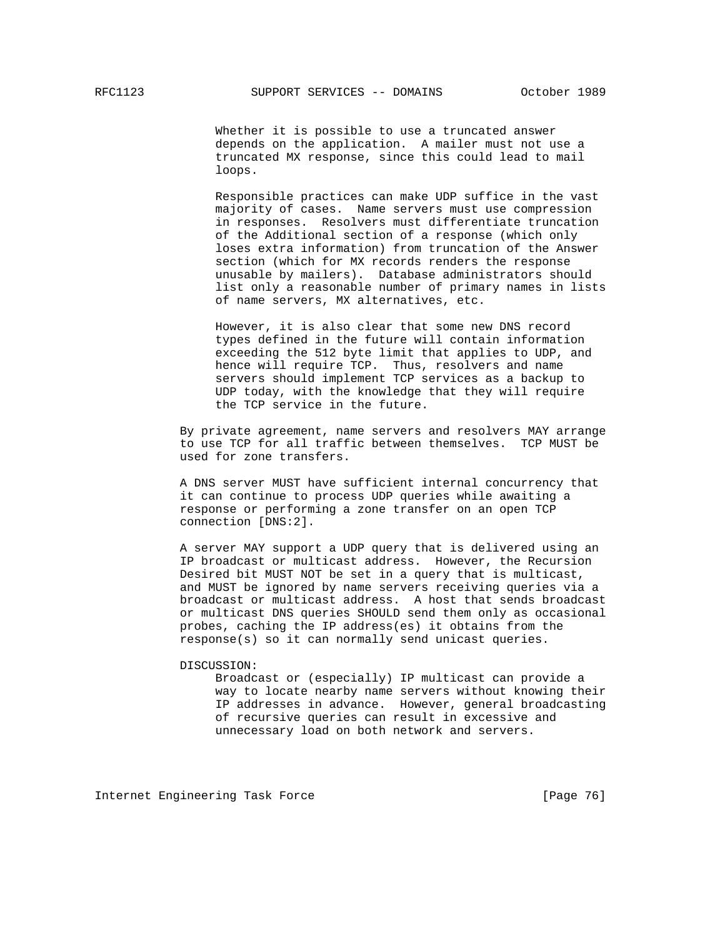Whether it is possible to use a truncated answer depends on the application. A mailer must not use a truncated MX response, since this could lead to mail loops.

 Responsible practices can make UDP suffice in the vast majority of cases. Name servers must use compression in responses. Resolvers must differentiate truncation of the Additional section of a response (which only loses extra information) from truncation of the Answer section (which for MX records renders the response unusable by mailers). Database administrators should list only a reasonable number of primary names in lists of name servers, MX alternatives, etc.

 However, it is also clear that some new DNS record types defined in the future will contain information exceeding the 512 byte limit that applies to UDP, and hence will require TCP. Thus, resolvers and name servers should implement TCP services as a backup to UDP today, with the knowledge that they will require the TCP service in the future.

 By private agreement, name servers and resolvers MAY arrange to use TCP for all traffic between themselves. TCP MUST be used for zone transfers.

 A DNS server MUST have sufficient internal concurrency that it can continue to process UDP queries while awaiting a response or performing a zone transfer on an open TCP connection [DNS:2].

 A server MAY support a UDP query that is delivered using an IP broadcast or multicast address. However, the Recursion Desired bit MUST NOT be set in a query that is multicast, and MUST be ignored by name servers receiving queries via a broadcast or multicast address. A host that sends broadcast or multicast DNS queries SHOULD send them only as occasional probes, caching the IP address(es) it obtains from the response(s) so it can normally send unicast queries.

## DISCUSSION:

 Broadcast or (especially) IP multicast can provide a way to locate nearby name servers without knowing their IP addresses in advance. However, general broadcasting of recursive queries can result in excessive and unnecessary load on both network and servers.

Internet Engineering Task Force [Page 76]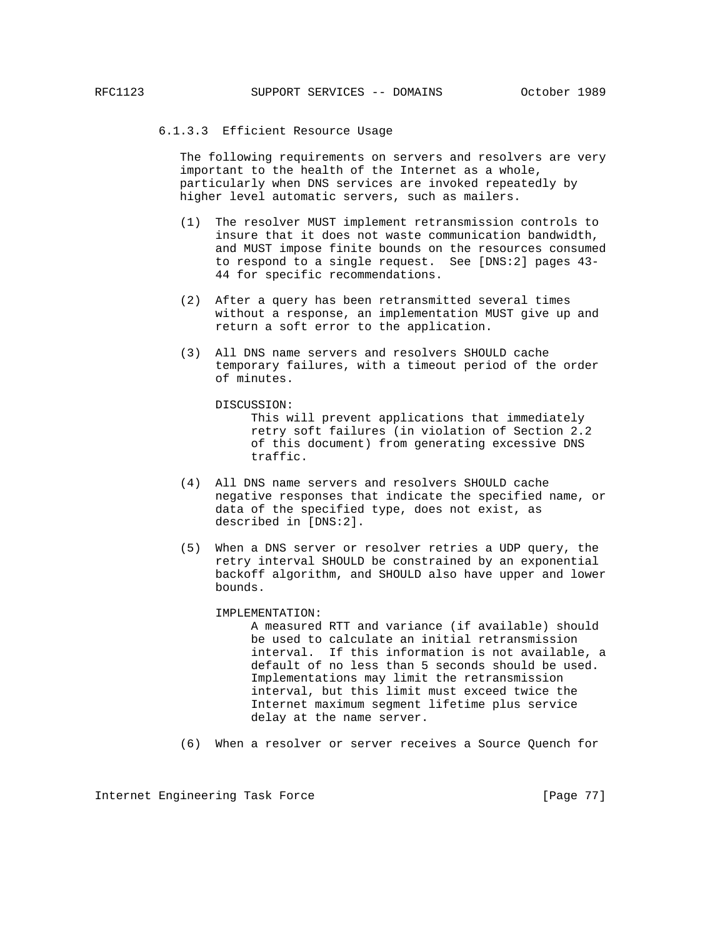## 6.1.3.3 Efficient Resource Usage

 The following requirements on servers and resolvers are very important to the health of the Internet as a whole, particularly when DNS services are invoked repeatedly by higher level automatic servers, such as mailers.

- (1) The resolver MUST implement retransmission controls to insure that it does not waste communication bandwidth, and MUST impose finite bounds on the resources consumed to respond to a single request. See [DNS:2] pages 43- 44 for specific recommendations.
- (2) After a query has been retransmitted several times without a response, an implementation MUST give up and return a soft error to the application.
- (3) All DNS name servers and resolvers SHOULD cache temporary failures, with a timeout period of the order of minutes.

 DISCUSSION: This will prevent applications that immediately retry soft failures (in violation of Section 2.2 of this document) from generating excessive DNS traffic.

- (4) All DNS name servers and resolvers SHOULD cache negative responses that indicate the specified name, or data of the specified type, does not exist, as described in [DNS:2].
- (5) When a DNS server or resolver retries a UDP query, the retry interval SHOULD be constrained by an exponential backoff algorithm, and SHOULD also have upper and lower bounds.

# IMPLEMENTATION: A measured RTT and variance (if available) should be used to calculate an initial retransmission interval. If this information is not available, a default of no less than 5 seconds should be used. Implementations may limit the retransmission interval, but this limit must exceed twice the Internet maximum segment lifetime plus service delay at the name server.

(6) When a resolver or server receives a Source Quench for

Internet Engineering Task Force [Page 77]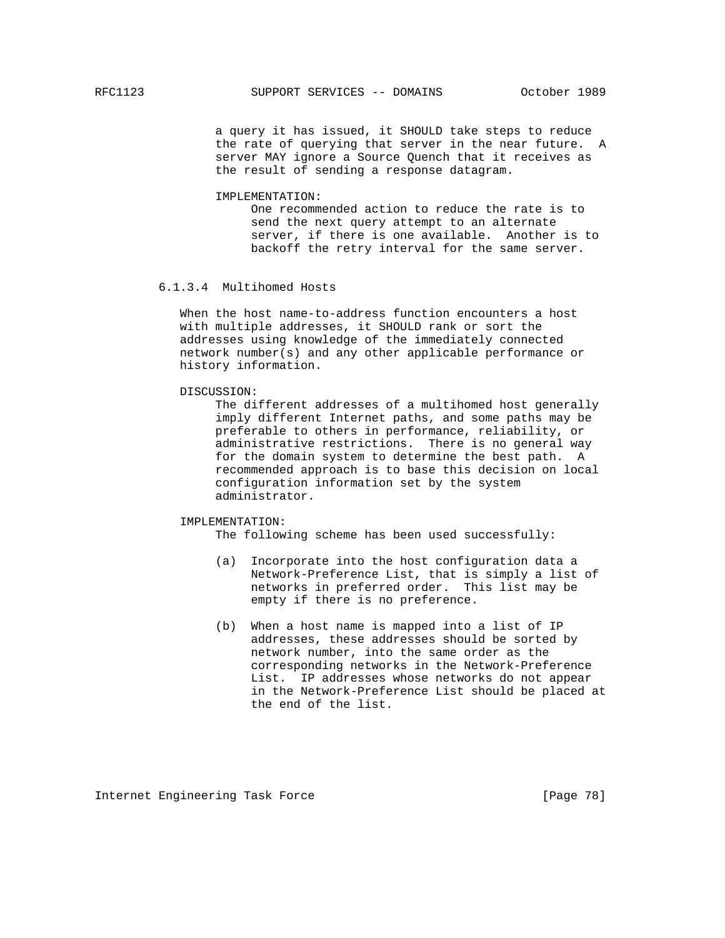a query it has issued, it SHOULD take steps to reduce the rate of querying that server in the near future. A server MAY ignore a Source Quench that it receives as the result of sending a response datagram.

IMPLEMENTATION:

 One recommended action to reduce the rate is to send the next query attempt to an alternate server, if there is one available. Another is to backoff the retry interval for the same server.

## 6.1.3.4 Multihomed Hosts

When the host name-to-address function encounters a host with multiple addresses, it SHOULD rank or sort the addresses using knowledge of the immediately connected network number(s) and any other applicable performance or history information.

DISCUSSION:

 The different addresses of a multihomed host generally imply different Internet paths, and some paths may be preferable to others in performance, reliability, or administrative restrictions. There is no general way for the domain system to determine the best path. A recommended approach is to base this decision on local configuration information set by the system administrator.

#### IMPLEMENTATION:

The following scheme has been used successfully:

- (a) Incorporate into the host configuration data a Network-Preference List, that is simply a list of networks in preferred order. This list may be empty if there is no preference.
- (b) When a host name is mapped into a list of IP addresses, these addresses should be sorted by network number, into the same order as the corresponding networks in the Network-Preference List. IP addresses whose networks do not appear in the Network-Preference List should be placed at the end of the list.

Internet Engineering Task Force [Page 78]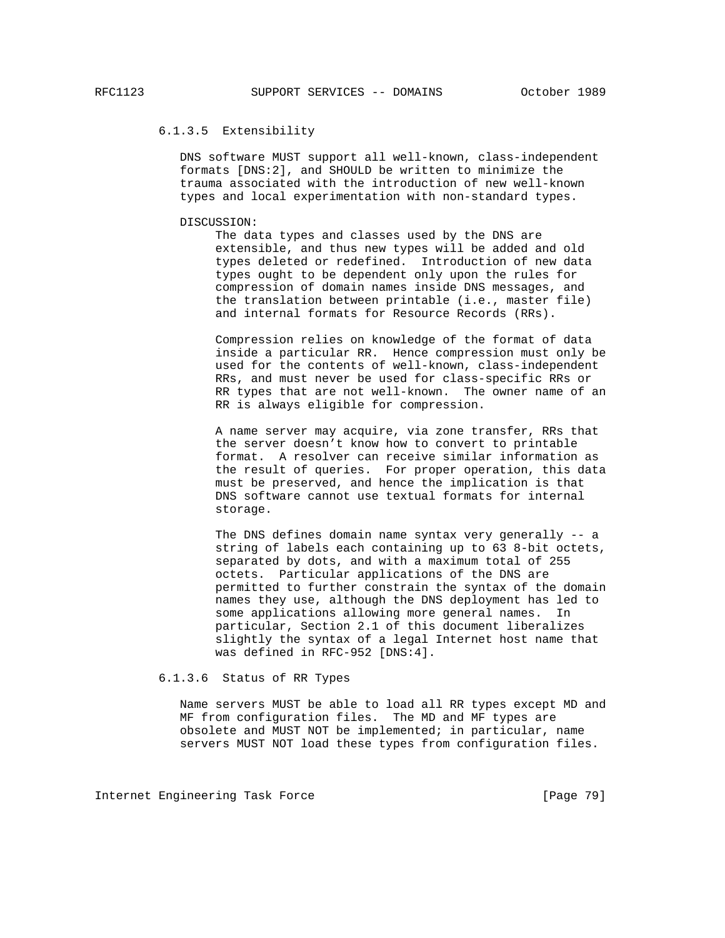## 6.1.3.5 Extensibility

 DNS software MUST support all well-known, class-independent formats [DNS:2], and SHOULD be written to minimize the trauma associated with the introduction of new well-known types and local experimentation with non-standard types.

#### DISCUSSION:

 The data types and classes used by the DNS are extensible, and thus new types will be added and old types deleted or redefined. Introduction of new data types ought to be dependent only upon the rules for compression of domain names inside DNS messages, and the translation between printable (i.e., master file) and internal formats for Resource Records (RRs).

 Compression relies on knowledge of the format of data inside a particular RR. Hence compression must only be used for the contents of well-known, class-independent RRs, and must never be used for class-specific RRs or RR types that are not well-known. The owner name of an RR is always eligible for compression.

 A name server may acquire, via zone transfer, RRs that the server doesn't know how to convert to printable format. A resolver can receive similar information as the result of queries. For proper operation, this data must be preserved, and hence the implication is that DNS software cannot use textual formats for internal storage.

 The DNS defines domain name syntax very generally -- a string of labels each containing up to 63 8-bit octets, separated by dots, and with a maximum total of 255 octets. Particular applications of the DNS are permitted to further constrain the syntax of the domain names they use, although the DNS deployment has led to some applications allowing more general names. In particular, Section 2.1 of this document liberalizes slightly the syntax of a legal Internet host name that was defined in RFC-952 [DNS:4].

# 6.1.3.6 Status of RR Types

 Name servers MUST be able to load all RR types except MD and MF from configuration files. The MD and MF types are obsolete and MUST NOT be implemented; in particular, name servers MUST NOT load these types from configuration files.

Internet Engineering Task Force [Page 79]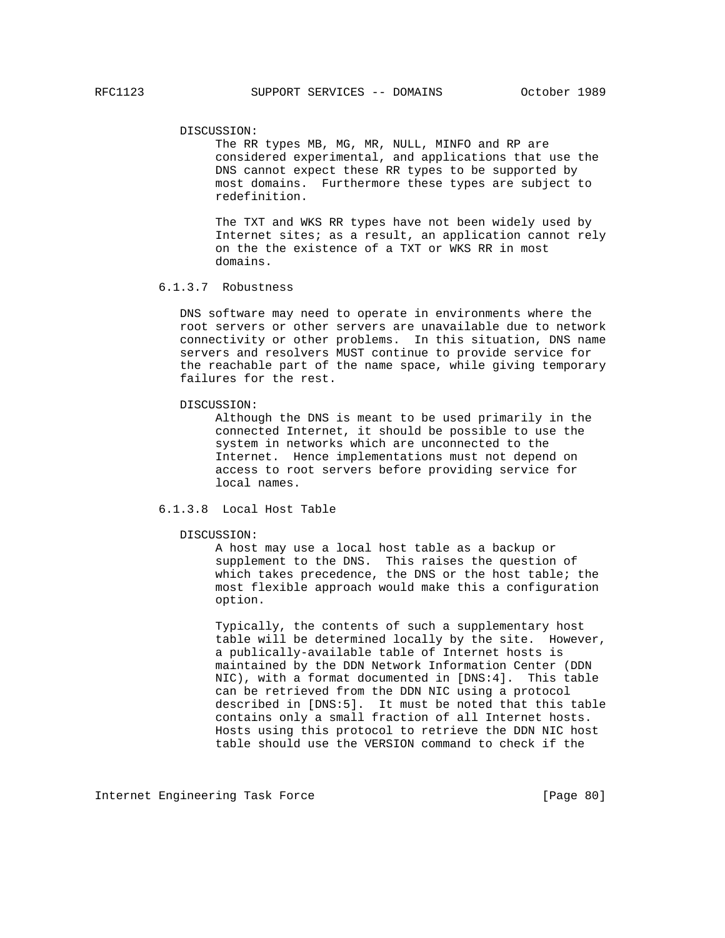#### DISCUSSION:

 The RR types MB, MG, MR, NULL, MINFO and RP are considered experimental, and applications that use the DNS cannot expect these RR types to be supported by most domains. Furthermore these types are subject to redefinition.

 The TXT and WKS RR types have not been widely used by Internet sites; as a result, an application cannot rely on the the existence of a TXT or WKS RR in most domains.

### 6.1.3.7 Robustness

 DNS software may need to operate in environments where the root servers or other servers are unavailable due to network connectivity or other problems. In this situation, DNS name servers and resolvers MUST continue to provide service for the reachable part of the name space, while giving temporary failures for the rest.

#### DISCUSSION:

 Although the DNS is meant to be used primarily in the connected Internet, it should be possible to use the system in networks which are unconnected to the Internet. Hence implementations must not depend on access to root servers before providing service for local names.

# 6.1.3.8 Local Host Table

#### DISCUSSION:

 A host may use a local host table as a backup or supplement to the DNS. This raises the question of which takes precedence, the DNS or the host table; the most flexible approach would make this a configuration option.

 Typically, the contents of such a supplementary host table will be determined locally by the site. However, a publically-available table of Internet hosts is maintained by the DDN Network Information Center (DDN NIC), with a format documented in [DNS:4]. This table can be retrieved from the DDN NIC using a protocol described in [DNS:5]. It must be noted that this table contains only a small fraction of all Internet hosts. Hosts using this protocol to retrieve the DDN NIC host table should use the VERSION command to check if the

Internet Engineering Task Force [Page 80]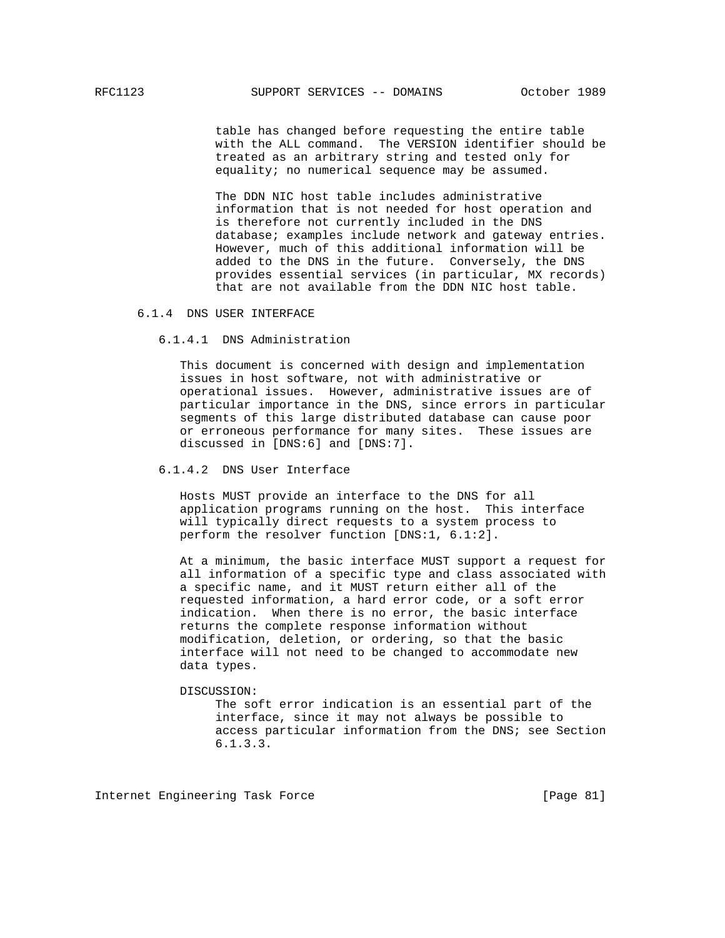table has changed before requesting the entire table with the ALL command. The VERSION identifier should be treated as an arbitrary string and tested only for equality; no numerical sequence may be assumed.

 The DDN NIC host table includes administrative information that is not needed for host operation and is therefore not currently included in the DNS database; examples include network and gateway entries. However, much of this additional information will be added to the DNS in the future. Conversely, the DNS provides essential services (in particular, MX records) that are not available from the DDN NIC host table.

# 6.1.4 DNS USER INTERFACE

6.1.4.1 DNS Administration

 This document is concerned with design and implementation issues in host software, not with administrative or operational issues. However, administrative issues are of particular importance in the DNS, since errors in particular segments of this large distributed database can cause poor or erroneous performance for many sites. These issues are discussed in [DNS:6] and [DNS:7].

# 6.1.4.2 DNS User Interface

 Hosts MUST provide an interface to the DNS for all application programs running on the host. This interface will typically direct requests to a system process to perform the resolver function [DNS:1, 6.1:2].

 At a minimum, the basic interface MUST support a request for all information of a specific type and class associated with a specific name, and it MUST return either all of the requested information, a hard error code, or a soft error indication. When there is no error, the basic interface returns the complete response information without modification, deletion, or ordering, so that the basic interface will not need to be changed to accommodate new data types.

#### DISCUSSION:

 The soft error indication is an essential part of the interface, since it may not always be possible to access particular information from the DNS; see Section 6.1.3.3.

Internet Engineering Task Force [Page 81]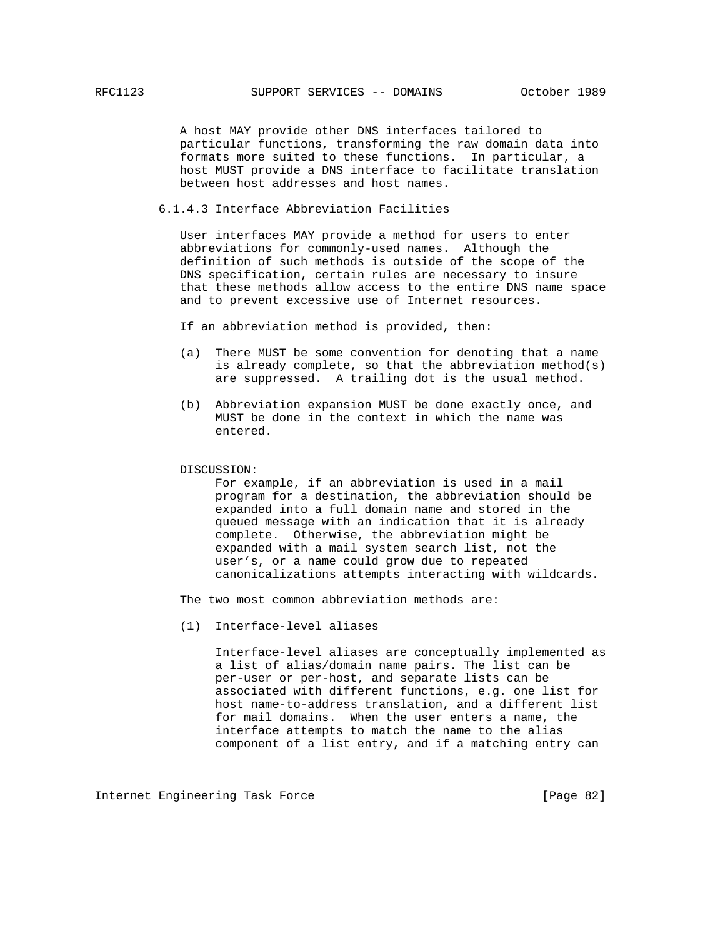A host MAY provide other DNS interfaces tailored to particular functions, transforming the raw domain data into formats more suited to these functions. In particular, a host MUST provide a DNS interface to facilitate translation between host addresses and host names.

# 6.1.4.3 Interface Abbreviation Facilities

 User interfaces MAY provide a method for users to enter abbreviations for commonly-used names. Although the definition of such methods is outside of the scope of the DNS specification, certain rules are necessary to insure that these methods allow access to the entire DNS name space and to prevent excessive use of Internet resources.

If an abbreviation method is provided, then:

- (a) There MUST be some convention for denoting that a name is already complete, so that the abbreviation method(s) are suppressed. A trailing dot is the usual method.
- (b) Abbreviation expansion MUST be done exactly once, and MUST be done in the context in which the name was entered.

DISCUSSION:

 For example, if an abbreviation is used in a mail program for a destination, the abbreviation should be expanded into a full domain name and stored in the queued message with an indication that it is already complete. Otherwise, the abbreviation might be expanded with a mail system search list, not the user's, or a name could grow due to repeated canonicalizations attempts interacting with wildcards.

The two most common abbreviation methods are:

(1) Interface-level aliases

 Interface-level aliases are conceptually implemented as a list of alias/domain name pairs. The list can be per-user or per-host, and separate lists can be associated with different functions, e.g. one list for host name-to-address translation, and a different list for mail domains. When the user enters a name, the interface attempts to match the name to the alias component of a list entry, and if a matching entry can

Internet Engineering Task Force [Page 82]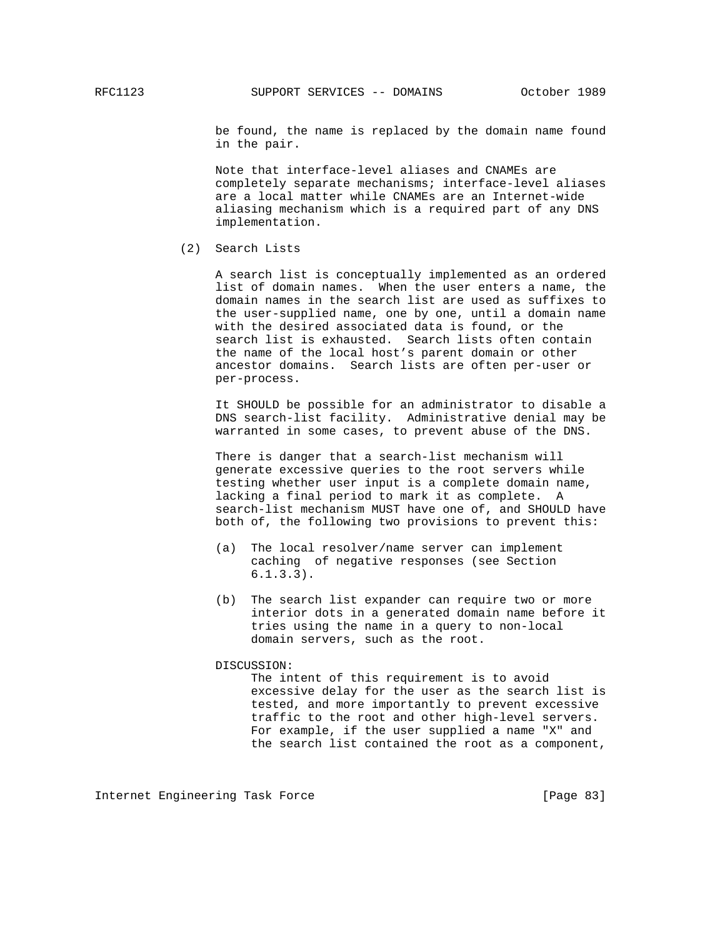be found, the name is replaced by the domain name found in the pair.

 Note that interface-level aliases and CNAMEs are completely separate mechanisms; interface-level aliases are a local matter while CNAMEs are an Internet-wide aliasing mechanism which is a required part of any DNS implementation.

(2) Search Lists

 A search list is conceptually implemented as an ordered list of domain names. When the user enters a name, the domain names in the search list are used as suffixes to the user-supplied name, one by one, until a domain name with the desired associated data is found, or the search list is exhausted. Search lists often contain the name of the local host's parent domain or other ancestor domains. Search lists are often per-user or per-process.

 It SHOULD be possible for an administrator to disable a DNS search-list facility. Administrative denial may be warranted in some cases, to prevent abuse of the DNS.

 There is danger that a search-list mechanism will generate excessive queries to the root servers while testing whether user input is a complete domain name, lacking a final period to mark it as complete. A search-list mechanism MUST have one of, and SHOULD have both of, the following two provisions to prevent this:

- (a) The local resolver/name server can implement caching of negative responses (see Section 6.1.3.3).
- (b) The search list expander can require two or more interior dots in a generated domain name before it tries using the name in a query to non-local domain servers, such as the root.

DISCUSSION:

 The intent of this requirement is to avoid excessive delay for the user as the search list is tested, and more importantly to prevent excessive traffic to the root and other high-level servers. For example, if the user supplied a name "X" and the search list contained the root as a component,

Internet Engineering Task Force [Page 83]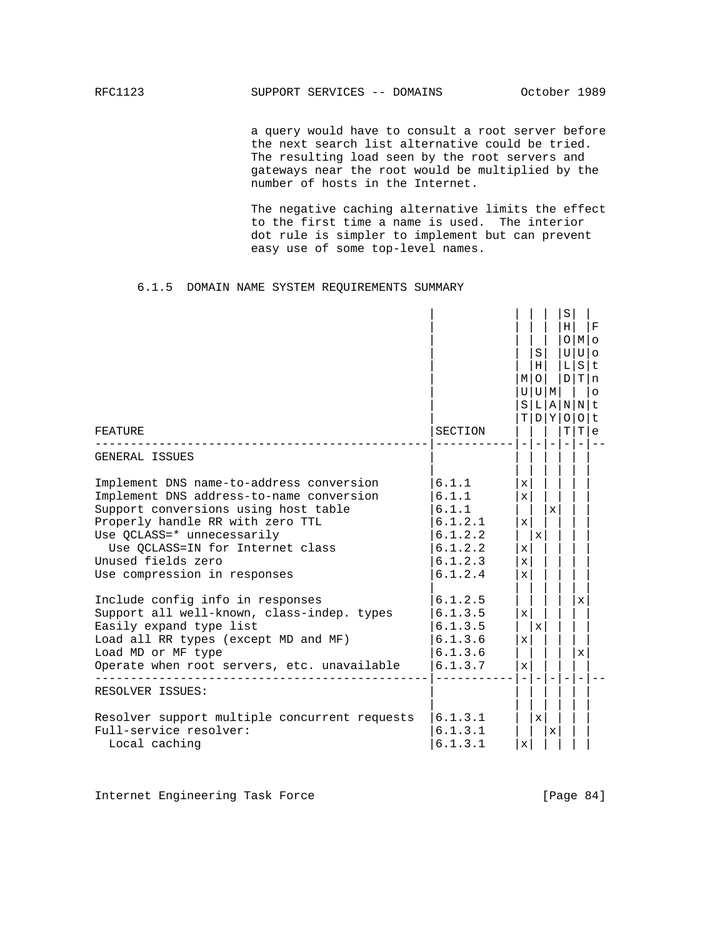a query would have to consult a root server before the next search list alternative could be tried. The resulting load seen by the root servers and gateways near the root would be multiplied by the number of hosts in the Internet.

 The negative caching alternative limits the effect to the first time a name is used. The interior dot rule is simpler to implement but can prevent easy use of some top-level names.

# 6.1.5 DOMAIN NAME SYSTEM REQUIREMENTS SUMMARY

| FEATURE<br>GENERAL ISSUES                                                                                                                                                                                                                                                                | SECTION                                                                        | M   O<br>U<br>S<br>T                                      | S<br>H <sub>1</sub> | U M <br>D Y 0 | S<br>н<br>$\circ$<br>U<br>L<br>D<br> L A N N t<br>т | МI<br>U<br>S<br>Tln<br>O<br>т | F<br>$\circ$<br>$\circ$<br>モ<br>$\circ$<br>t<br>e |
|------------------------------------------------------------------------------------------------------------------------------------------------------------------------------------------------------------------------------------------------------------------------------------------|--------------------------------------------------------------------------------|-----------------------------------------------------------|---------------------|---------------|-----------------------------------------------------|-------------------------------|---------------------------------------------------|
| Implement DNS name-to-address conversion<br>Implement DNS address-to-name conversion<br>Support conversions using host table<br>Properly handle RR with zero TTL<br>Use QCLASS=* unnecessarily<br>Use OCLASS=IN for Internet class<br>Unused fields zero<br>Use compression in responses | 6.1.1<br>6.1.1<br>6.1.1<br>6.1.2.1<br>6.1.2.2<br>6.1.2.2<br>6.1.2.3<br>6.1.2.4 | х<br>X<br>X<br>$\mathbf x$<br>$\mathbf x$<br>$\mathbf{x}$ | X                   | x             |                                                     |                               |                                                   |
| Include config info in responses<br>Support all well-known, class-indep. types<br>Easily expand type list<br>Load all RR types (except MD and MF)<br>Load MD or MF type<br>Operate when root servers, etc. unavailable                                                                   | 6.1.2.5<br>6.1.3.5<br>6.1.3.5<br>6.1.3.6<br>6.1.3.6<br>6.1.3.7                 | X<br>X<br>X                                               | $\mathbf x$         |               |                                                     | x<br>х                        |                                                   |
| RESOLVER ISSUES:<br>Resolver support multiple concurrent requests<br>Full-service resolver:<br>Local caching                                                                                                                                                                             | 6.1.3.1<br>6.1.3.1<br>6.1.3.1                                                  | $\mathbf x$                                               | X                   | x             |                                                     |                               |                                                   |

Internet Engineering Task Force [Page 84]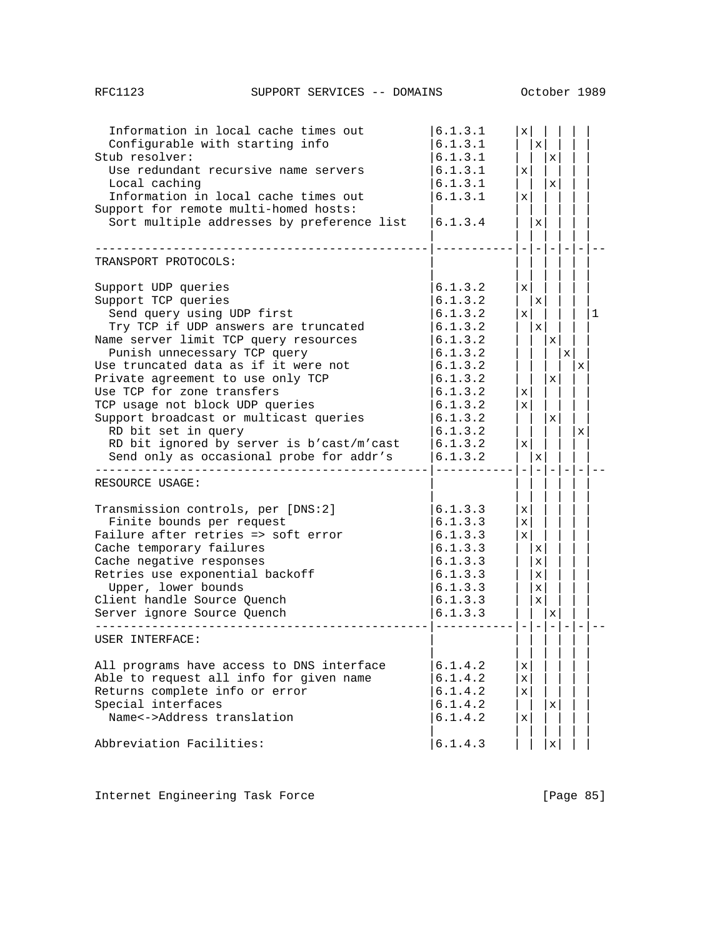| Information in local cache times out<br>Configurable with starting info<br>Stub resolver:<br>Use redundant recursive name servers<br>Local caching<br>Information in local cache times out<br>Support for remote multi-homed hosts:                                                    | 6.1.3.1<br>6.1.3.1<br>6.1.3.1<br>6.1.3.1<br>6.1.3.1<br>6.1.3.1                                  | $\mathbf{x}$<br> x <br>l x<br>$\mathbf{x}$<br>$\mathbf x$<br>$\mathbf x$                                    |        |
|----------------------------------------------------------------------------------------------------------------------------------------------------------------------------------------------------------------------------------------------------------------------------------------|-------------------------------------------------------------------------------------------------|-------------------------------------------------------------------------------------------------------------|--------|
| Sort multiple addresses by preference list                                                                                                                                                                                                                                             | 6.1.3.4                                                                                         | x                                                                                                           |        |
| TRANSPORT PROTOCOLS:                                                                                                                                                                                                                                                                   |                                                                                                 |                                                                                                             |        |
| Support UDP queries<br>Support TCP queries<br>Send query using UDP first<br>Try TCP if UDP answers are truncated<br>Name server limit TCP query resources<br>Punish unnecessary TCP query                                                                                              | 6.1.3.2<br>6.1.3.2<br>6.1.3.2<br>6.1.3.2<br>6.1.3.2<br>6.1.3.2                                  | $\mathbf{x}$<br>$\mathbf{x}$<br>хI<br>$\mathbf{x}$<br>X                                                     | 1<br>x |
| Use truncated data as if it were not<br>Private agreement to use only TCP<br>Use TCP for zone transfers<br>TCP usage not block UDP queries<br>Support broadcast or multicast queries                                                                                                   | 6.1.3.2<br>6.1.3.2<br>6.1.3.2<br>6.1.3.2<br>6.1.3.2                                             | x  <br>x<br>$\mathbf{x}$<br>X                                                                               | x      |
| RD bit set in query<br>RD bit ignored by server is b'cast/m'cast<br>Send only as occasional probe for addr's                                                                                                                                                                           | 6.1.3.2<br>6.1.3.2<br>6.1.3.2                                                                   | $\mathbf{x}$<br>X                                                                                           | х      |
| RESOURCE USAGE:                                                                                                                                                                                                                                                                        |                                                                                                 |                                                                                                             |        |
| Transmission controls, per [DNS:2]<br>Finite bounds per request<br>Failure after retries => soft error<br>Cache temporary failures<br>Cache negative responses<br>Retries use exponential backoff<br>Upper, lower bounds<br>Client handle Source Quench<br>Server ignore Source Quench | 6.1.3.3<br>6.1.3.3<br>6.1.3.3<br>6.1.3.3<br>6.1.3.3<br>6.1.3.3<br>6.1.3.3<br>6.1.3.3<br>6.1.3.3 | $\mathbf{x}$<br>$\mathbf{x}$<br>$\mathbf{x}$<br>$\mathbf{x}$<br>$\mathbf{x}$<br>$\mathbf{x}$<br>x<br>X<br>X |        |
| USER INTERFACE:                                                                                                                                                                                                                                                                        |                                                                                                 |                                                                                                             |        |
| All programs have access to DNS interface<br>Able to request all info for given name<br>Returns complete info or error<br>Special interfaces<br>Name<->Address translation                                                                                                             | 6.1.4.2<br>6.1.4.2<br>6.1.4.2<br>6.1.4.2<br>6.1.4.2                                             | х<br>$\mathbf{x}$<br>$\mathbf{x}$<br>x<br>$\mathbf{x}$                                                      |        |
| Abbreviation Facilities:                                                                                                                                                                                                                                                               | 6.1.4.3                                                                                         | x                                                                                                           |        |

Internet Engineering Task Force [Page 85]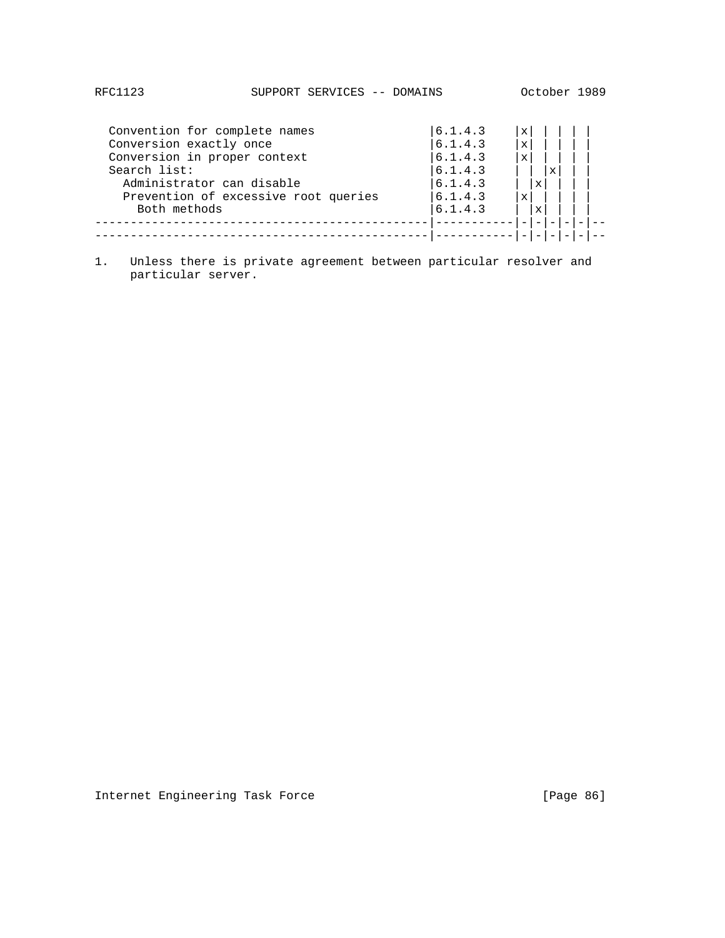| Convention for complete names        | 6.1.4.3 | $\mathbf x$  |              |             |  |  |
|--------------------------------------|---------|--------------|--------------|-------------|--|--|
| Conversion exactly once              | 6.1.4.3 | $\mathbf x$  |              |             |  |  |
| Conversion in proper context         | 6.1.4.3 | $\mathbf x$  |              |             |  |  |
| Search list:                         | 6.1.4.3 |              |              | $\mathbf x$ |  |  |
| Administrator can disable            | 6.1.4.3 |              | $\mathbf{x}$ |             |  |  |
| Prevention of excessive root queries | 6.1.4.3 | $\mathbf{x}$ |              |             |  |  |
| Both methods                         | 6.1.4.3 |              | $\mathbf{x}$ |             |  |  |
|                                      |         |              |              |             |  |  |
|                                      |         |              |              |             |  |  |
|                                      |         |              |              |             |  |  |

1. Unless there is private agreement between particular resolver and particular server.

Internet Engineering Task Force [Page 86]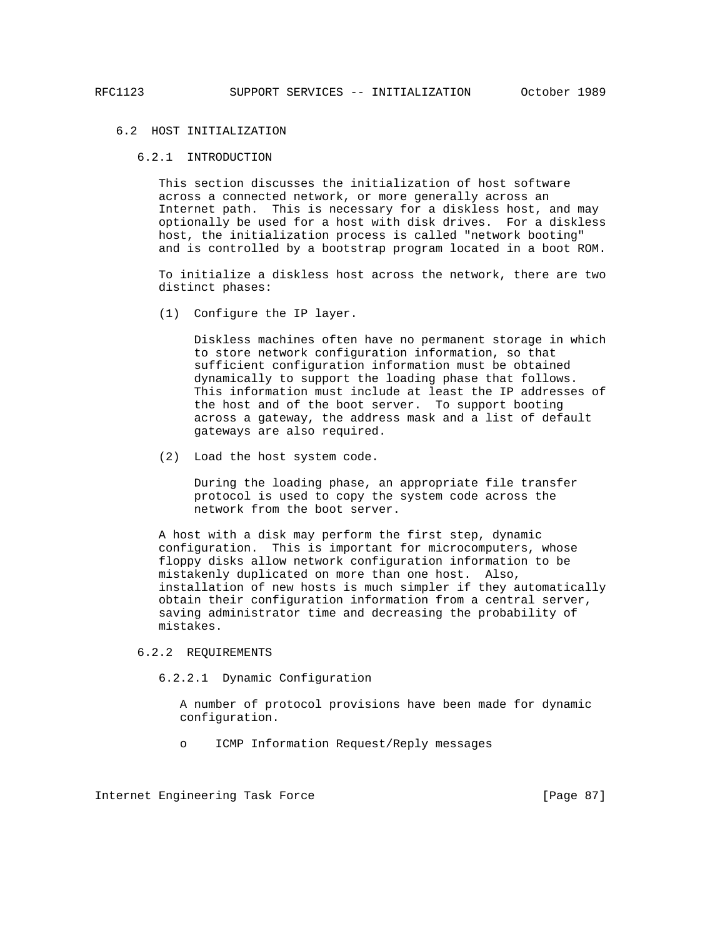#### 6.2 HOST INITIALIZATION

# 6.2.1 INTRODUCTION

 This section discusses the initialization of host software across a connected network, or more generally across an Internet path. This is necessary for a diskless host, and may optionally be used for a host with disk drives. For a diskless host, the initialization process is called "network booting" and is controlled by a bootstrap program located in a boot ROM.

 To initialize a diskless host across the network, there are two distinct phases:

(1) Configure the IP layer.

 Diskless machines often have no permanent storage in which to store network configuration information, so that sufficient configuration information must be obtained dynamically to support the loading phase that follows. This information must include at least the IP addresses of the host and of the boot server. To support booting across a gateway, the address mask and a list of default gateways are also required.

(2) Load the host system code.

 During the loading phase, an appropriate file transfer protocol is used to copy the system code across the network from the boot server.

 A host with a disk may perform the first step, dynamic configuration. This is important for microcomputers, whose floppy disks allow network configuration information to be mistakenly duplicated on more than one host. Also, installation of new hosts is much simpler if they automatically obtain their configuration information from a central server, saving administrator time and decreasing the probability of mistakes.

## 6.2.2 REQUIREMENTS

## 6.2.2.1 Dynamic Configuration

 A number of protocol provisions have been made for dynamic configuration.

o ICMP Information Request/Reply messages

Internet Engineering Task Force [Page 87]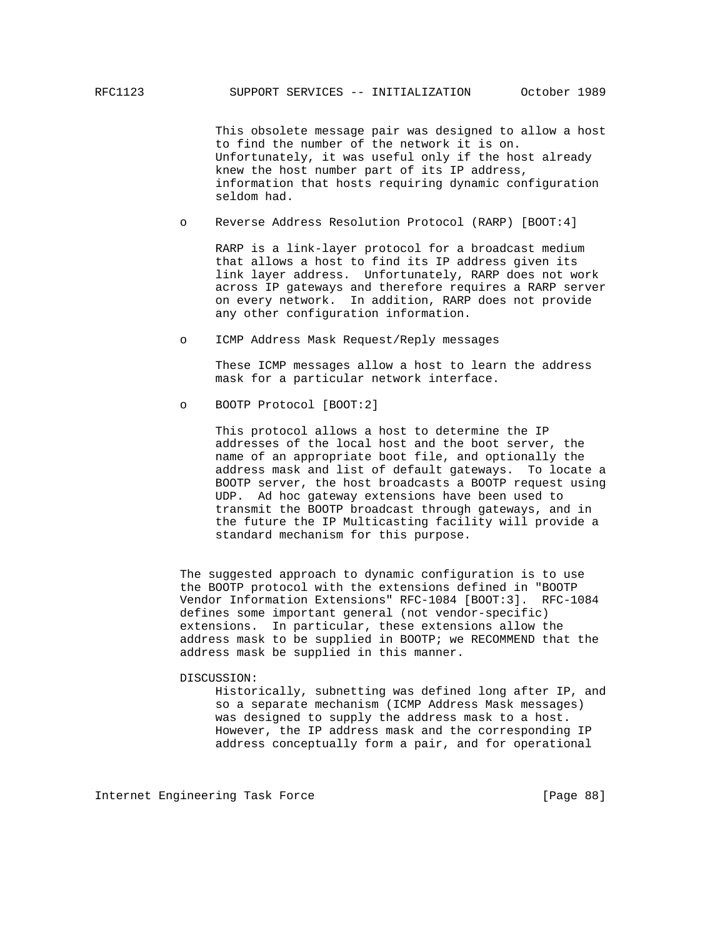This obsolete message pair was designed to allow a host to find the number of the network it is on. Unfortunately, it was useful only if the host already knew the host number part of its IP address, information that hosts requiring dynamic configuration seldom had.

o Reverse Address Resolution Protocol (RARP) [BOOT:4]

 RARP is a link-layer protocol for a broadcast medium that allows a host to find its IP address given its link layer address. Unfortunately, RARP does not work across IP gateways and therefore requires a RARP server on every network. In addition, RARP does not provide any other configuration information.

o ICMP Address Mask Request/Reply messages

 These ICMP messages allow a host to learn the address mask for a particular network interface.

o BOOTP Protocol [BOOT:2]

 This protocol allows a host to determine the IP addresses of the local host and the boot server, the name of an appropriate boot file, and optionally the address mask and list of default gateways. To locate a BOOTP server, the host broadcasts a BOOTP request using UDP. Ad hoc gateway extensions have been used to transmit the BOOTP broadcast through gateways, and in the future the IP Multicasting facility will provide a standard mechanism for this purpose.

 The suggested approach to dynamic configuration is to use the BOOTP protocol with the extensions defined in "BOOTP Vendor Information Extensions" RFC-1084 [BOOT:3]. RFC-1084 defines some important general (not vendor-specific) extensions. In particular, these extensions allow the address mask to be supplied in BOOTP; we RECOMMEND that the address mask be supplied in this manner.

#### DISCUSSION:

 Historically, subnetting was defined long after IP, and so a separate mechanism (ICMP Address Mask messages) was designed to supply the address mask to a host. However, the IP address mask and the corresponding IP address conceptually form a pair, and for operational

Internet Engineering Task Force [Page 88]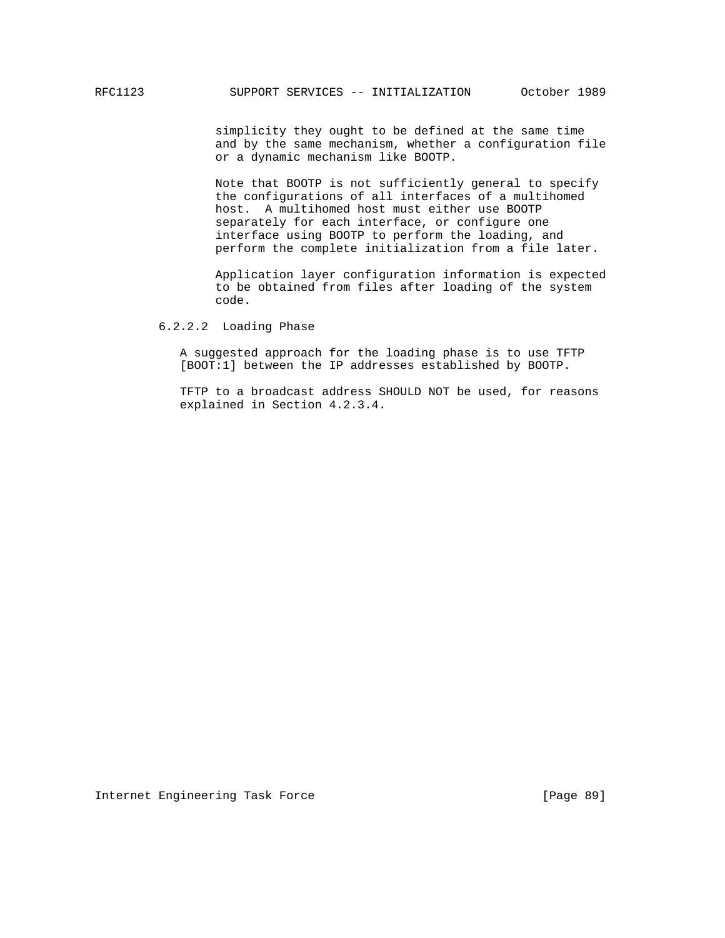simplicity they ought to be defined at the same time and by the same mechanism, whether a configuration file or a dynamic mechanism like BOOTP.

 Note that BOOTP is not sufficiently general to specify the configurations of all interfaces of a multihomed host. A multihomed host must either use BOOTP separately for each interface, or configure one interface using BOOTP to perform the loading, and perform the complete initialization from a file later.

 Application layer configuration information is expected to be obtained from files after loading of the system code.

6.2.2.2 Loading Phase

 A suggested approach for the loading phase is to use TFTP [BOOT:1] between the IP addresses established by BOOTP.

 TFTP to a broadcast address SHOULD NOT be used, for reasons explained in Section 4.2.3.4.

Internet Engineering Task Force [Page 89]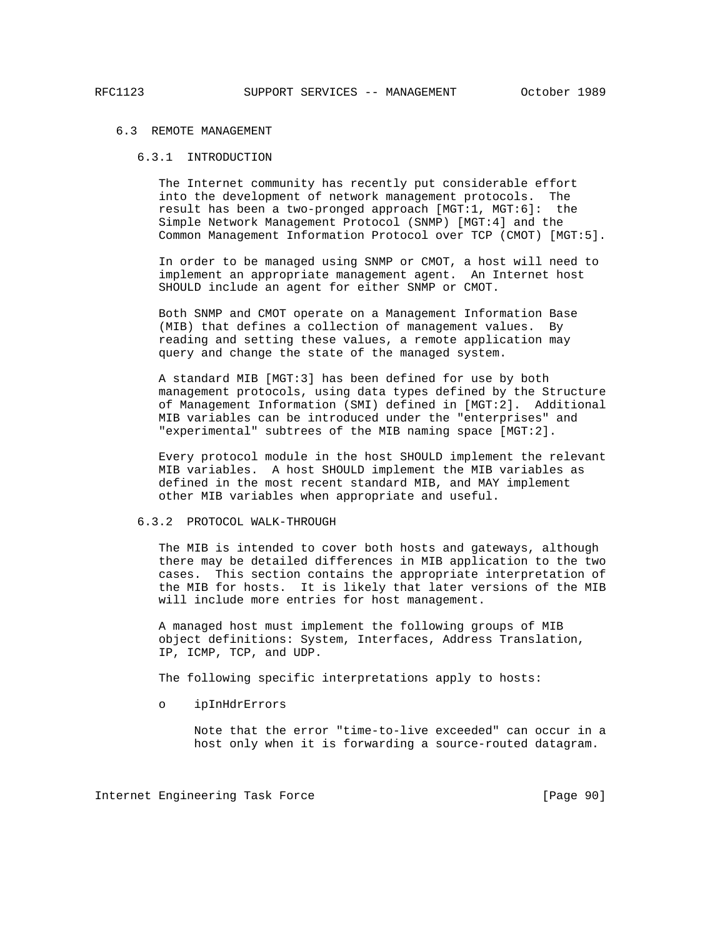#### 6.3 REMOTE MANAGEMENT

# 6.3.1 INTRODUCTION

 The Internet community has recently put considerable effort into the development of network management protocols. The result has been a two-pronged approach [MGT:1, MGT:6]: the Simple Network Management Protocol (SNMP) [MGT:4] and the Common Management Information Protocol over TCP (CMOT) [MGT:5].

 In order to be managed using SNMP or CMOT, a host will need to implement an appropriate management agent. An Internet host SHOULD include an agent for either SNMP or CMOT.

 Both SNMP and CMOT operate on a Management Information Base (MIB) that defines a collection of management values. By reading and setting these values, a remote application may query and change the state of the managed system.

 A standard MIB [MGT:3] has been defined for use by both management protocols, using data types defined by the Structure of Management Information (SMI) defined in [MGT:2]. Additional MIB variables can be introduced under the "enterprises" and "experimental" subtrees of the MIB naming space [MGT:2].

 Every protocol module in the host SHOULD implement the relevant MIB variables. A host SHOULD implement the MIB variables as defined in the most recent standard MIB, and MAY implement other MIB variables when appropriate and useful.

#### 6.3.2 PROTOCOL WALK-THROUGH

 The MIB is intended to cover both hosts and gateways, although there may be detailed differences in MIB application to the two cases. This section contains the appropriate interpretation of the MIB for hosts. It is likely that later versions of the MIB will include more entries for host management.

 A managed host must implement the following groups of MIB object definitions: System, Interfaces, Address Translation, IP, ICMP, TCP, and UDP.

The following specific interpretations apply to hosts:

o ipInHdrErrors

 Note that the error "time-to-live exceeded" can occur in a host only when it is forwarding a source-routed datagram.

Internet Engineering Task Force [Page 90]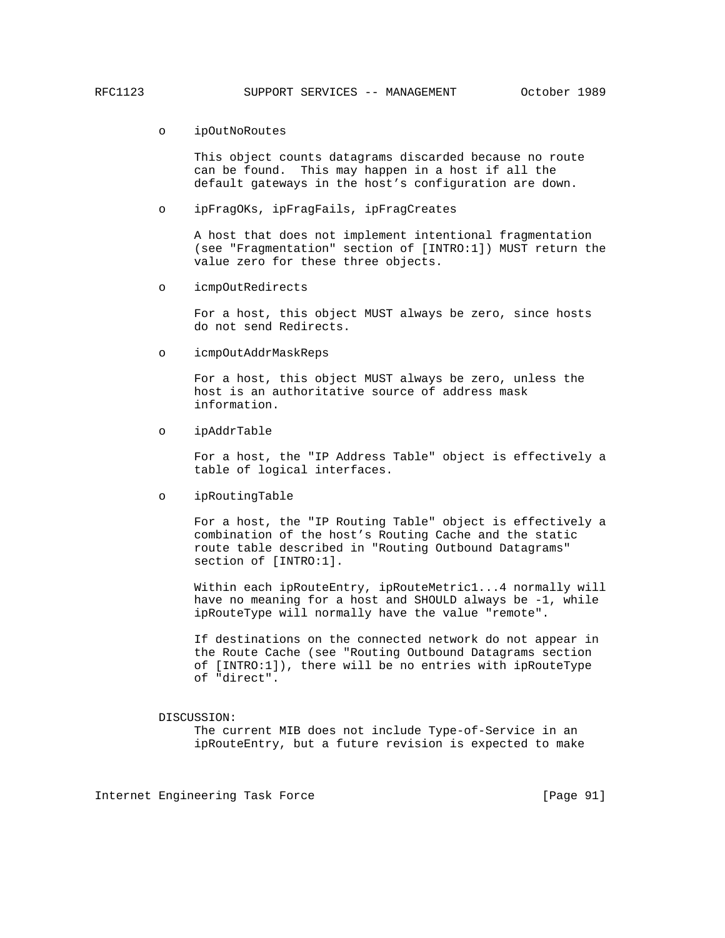## o ipOutNoRoutes

 This object counts datagrams discarded because no route can be found. This may happen in a host if all the default gateways in the host's configuration are down.

o ipFragOKs, ipFragFails, ipFragCreates

 A host that does not implement intentional fragmentation (see "Fragmentation" section of [INTRO:1]) MUST return the value zero for these three objects.

o icmpOutRedirects

 For a host, this object MUST always be zero, since hosts do not send Redirects.

o icmpOutAddrMaskReps

 For a host, this object MUST always be zero, unless the host is an authoritative source of address mask information.

o ipAddrTable

 For a host, the "IP Address Table" object is effectively a table of logical interfaces.

o ipRoutingTable

 For a host, the "IP Routing Table" object is effectively a combination of the host's Routing Cache and the static route table described in "Routing Outbound Datagrams" section of [INTRO:1].

 Within each ipRouteEntry, ipRouteMetric1...4 normally will have no meaning for a host and SHOULD always be -1, while ipRouteType will normally have the value "remote".

 If destinations on the connected network do not appear in the Route Cache (see "Routing Outbound Datagrams section of [INTRO:1]), there will be no entries with ipRouteType of "direct".

 The current MIB does not include Type-of-Service in an ipRouteEntry, but a future revision is expected to make

Internet Engineering Task Force [Page 91]

DISCUSSION: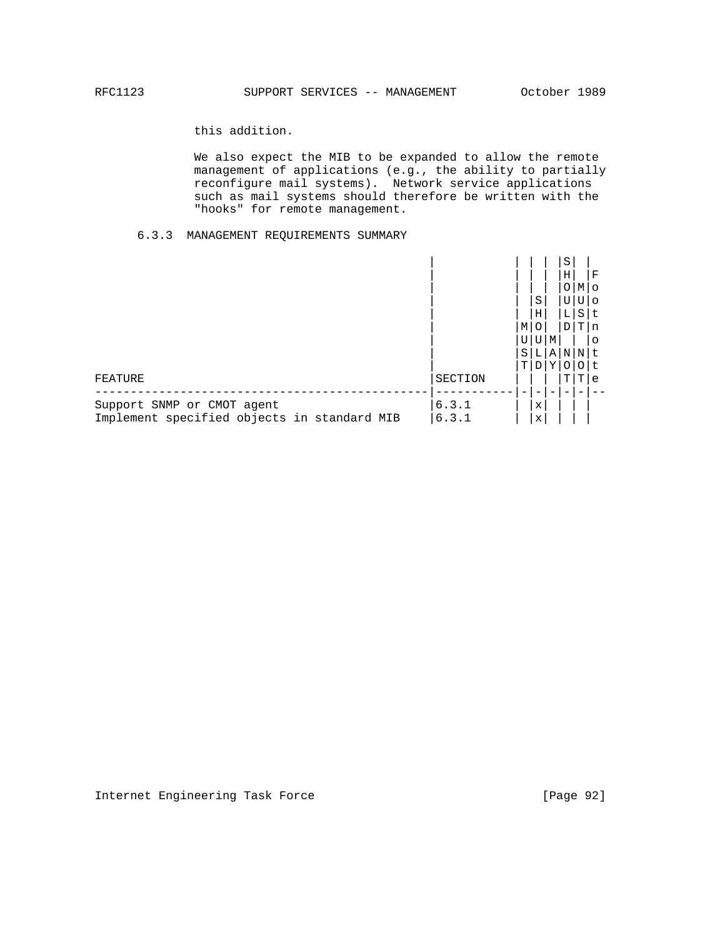this addition.

 We also expect the MIB to be expanded to allow the remote management of applications (e.g., the ability to partially reconfigure mail systems). Network service applications such as mail systems should therefore be written with the "hooks" for remote management.

# 6.3.3 MANAGEMENT REQUIREMENTS SUMMARY

|                                             |         |     |                |     | S       |     |         |
|---------------------------------------------|---------|-----|----------------|-----|---------|-----|---------|
|                                             |         |     |                |     | Н       |     | F       |
|                                             |         |     |                |     | O       | МI  | $\circ$ |
|                                             |         |     | S              |     | U       |     | $\circ$ |
|                                             |         |     | н              |     | L       | SIt |         |
|                                             |         | ΜI  | ۰٥۰            |     | D       | Τl  | l n     |
|                                             |         |     |                | UIM |         |     | ∩       |
|                                             |         | S I |                |     | L  A  N | N   |         |
|                                             |         | ΤI  | D <sub>1</sub> | Y   | ∩       |     |         |
| FEATURE                                     | SECTION |     |                |     | т       | т   | e       |
|                                             |         |     |                |     |         |     |         |
| Support SNMP or CMOT agent                  | 6.3.1   |     | $\mathbf{x}$   |     |         |     |         |
| Implement specified objects in standard MIB | 6.3.1   |     | X              |     |         |     |         |

Internet Engineering Task Force [Page 92]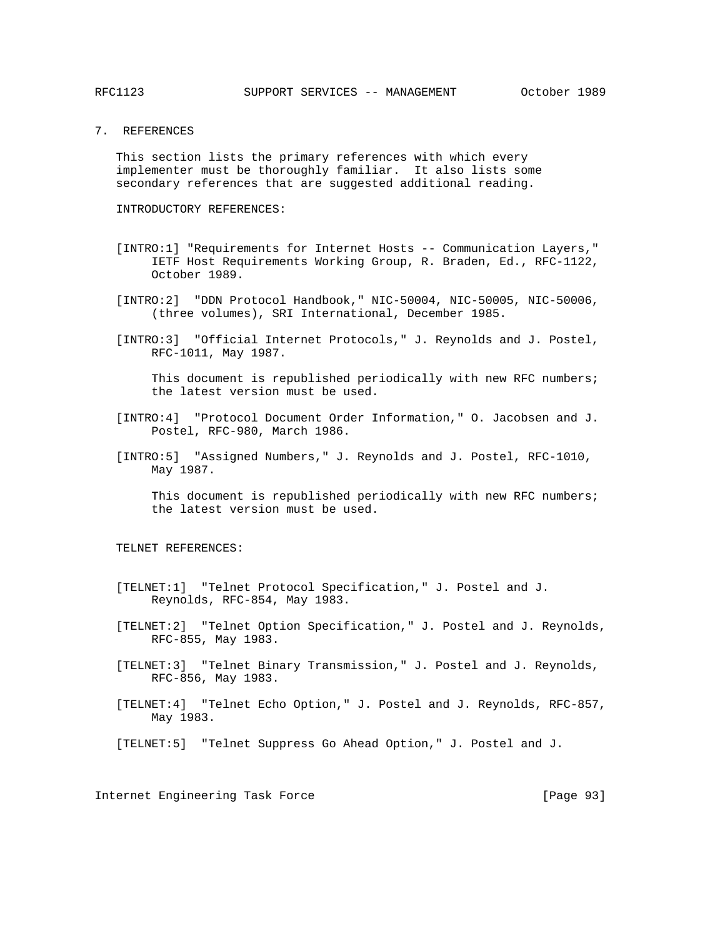7. REFERENCES

 This section lists the primary references with which every implementer must be thoroughly familiar. It also lists some secondary references that are suggested additional reading.

INTRODUCTORY REFERENCES:

- [INTRO:1] "Requirements for Internet Hosts -- Communication Layers," IETF Host Requirements Working Group, R. Braden, Ed., RFC-1122, October 1989.
- [INTRO:2] "DDN Protocol Handbook," NIC-50004, NIC-50005, NIC-50006, (three volumes), SRI International, December 1985.
- [INTRO:3] "Official Internet Protocols," J. Reynolds and J. Postel, RFC-1011, May 1987.

 This document is republished periodically with new RFC numbers; the latest version must be used.

- [INTRO:4] "Protocol Document Order Information," O. Jacobsen and J. Postel, RFC-980, March 1986.
- [INTRO:5] "Assigned Numbers," J. Reynolds and J. Postel, RFC-1010, May 1987.

 This document is republished periodically with new RFC numbers; the latest version must be used.

TELNET REFERENCES:

- [TELNET:1] "Telnet Protocol Specification," J. Postel and J. Reynolds, RFC-854, May 1983.
- [TELNET:2] "Telnet Option Specification," J. Postel and J. Reynolds, RFC-855, May 1983.
- [TELNET:3] "Telnet Binary Transmission," J. Postel and J. Reynolds, RFC-856, May 1983.
- [TELNET:4] "Telnet Echo Option," J. Postel and J. Reynolds, RFC-857, May 1983.

[TELNET:5] "Telnet Suppress Go Ahead Option," J. Postel and J.

Internet Engineering Task Force [Page 93]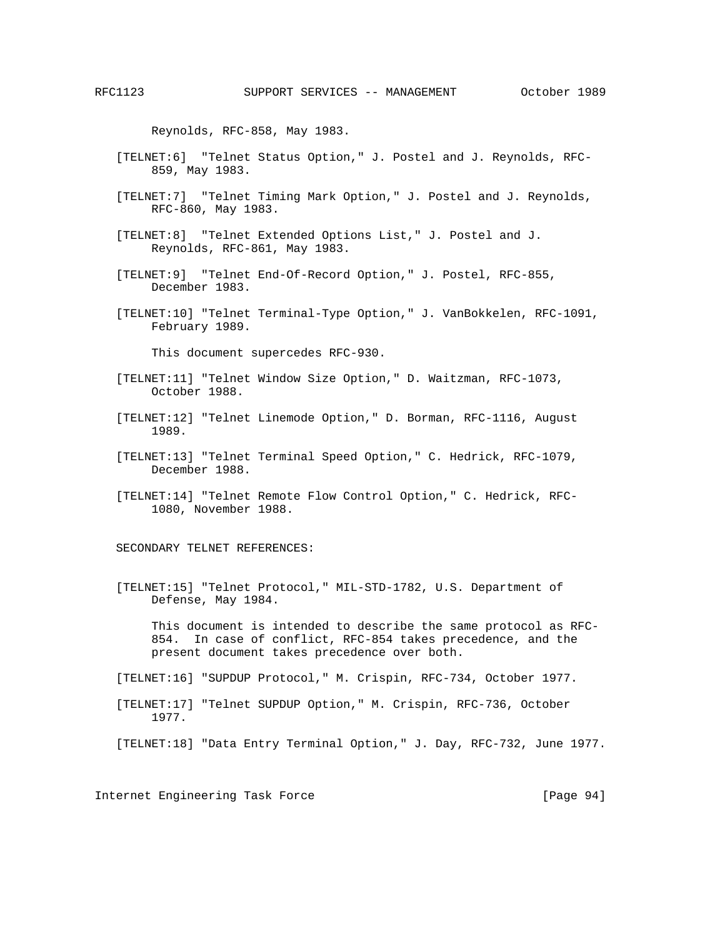Reynolds, RFC-858, May 1983.

- [TELNET:6] "Telnet Status Option," J. Postel and J. Reynolds, RFC- 859, May 1983.
- [TELNET:7] "Telnet Timing Mark Option," J. Postel and J. Reynolds, RFC-860, May 1983.
- [TELNET:8] "Telnet Extended Options List," J. Postel and J. Reynolds, RFC-861, May 1983.
- [TELNET:9] "Telnet End-Of-Record Option," J. Postel, RFC-855, December 1983.
- [TELNET:10] "Telnet Terminal-Type Option," J. VanBokkelen, RFC-1091, February 1989.

This document supercedes RFC-930.

- [TELNET:11] "Telnet Window Size Option," D. Waitzman, RFC-1073, October 1988.
- [TELNET:12] "Telnet Linemode Option," D. Borman, RFC-1116, August 1989.
- [TELNET:13] "Telnet Terminal Speed Option," C. Hedrick, RFC-1079, December 1988.
- [TELNET:14] "Telnet Remote Flow Control Option," C. Hedrick, RFC- 1080, November 1988.

SECONDARY TELNET REFERENCES:

 [TELNET:15] "Telnet Protocol," MIL-STD-1782, U.S. Department of Defense, May 1984.

 This document is intended to describe the same protocol as RFC- 854. In case of conflict, RFC-854 takes precedence, and the present document takes precedence over both.

[TELNET:16] "SUPDUP Protocol," M. Crispin, RFC-734, October 1977.

 [TELNET:17] "Telnet SUPDUP Option," M. Crispin, RFC-736, October 1977.

[TELNET:18] "Data Entry Terminal Option," J. Day, RFC-732, June 1977.

Internet Engineering Task Force [Page 94]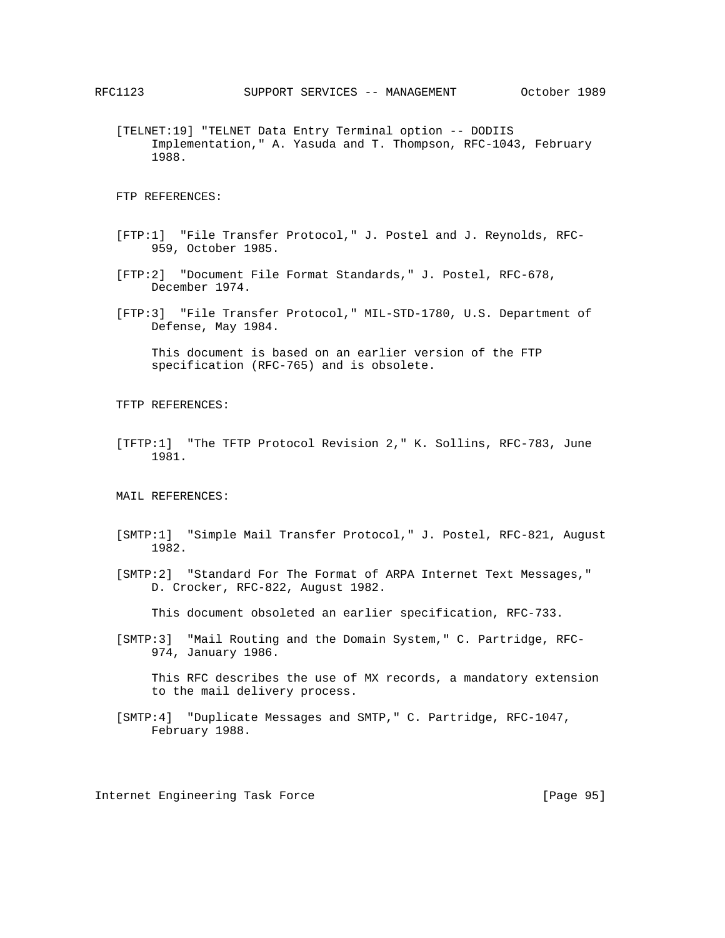[TELNET:19] "TELNET Data Entry Terminal option -- DODIIS Implementation," A. Yasuda and T. Thompson, RFC-1043, February 1988.

FTP REFERENCES:

- [FTP:1] "File Transfer Protocol," J. Postel and J. Reynolds, RFC- 959, October 1985.
- [FTP:2] "Document File Format Standards," J. Postel, RFC-678, December 1974.
- [FTP:3] "File Transfer Protocol," MIL-STD-1780, U.S. Department of Defense, May 1984.

 This document is based on an earlier version of the FTP specification (RFC-765) and is obsolete.

TFTP REFERENCES:

 [TFTP:1] "The TFTP Protocol Revision 2," K. Sollins, RFC-783, June 1981.

MAIL REFERENCES:

- [SMTP:1] "Simple Mail Transfer Protocol," J. Postel, RFC-821, August 1982.
- [SMTP:2] "Standard For The Format of ARPA Internet Text Messages," D. Crocker, RFC-822, August 1982.

This document obsoleted an earlier specification, RFC-733.

 [SMTP:3] "Mail Routing and the Domain System," C. Partridge, RFC- 974, January 1986.

 This RFC describes the use of MX records, a mandatory extension to the mail delivery process.

 [SMTP:4] "Duplicate Messages and SMTP," C. Partridge, RFC-1047, February 1988.

Internet Engineering Task Force [Page 95]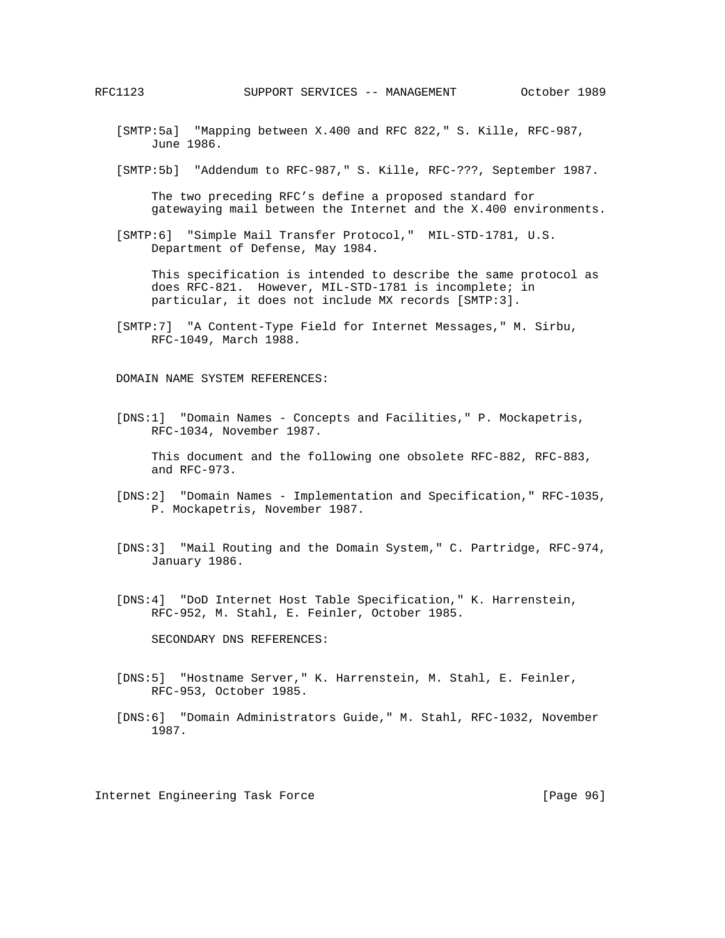- [SMTP:5a] "Mapping between X.400 and RFC 822," S. Kille, RFC-987, June 1986.
- [SMTP:5b] "Addendum to RFC-987," S. Kille, RFC-???, September 1987.

 The two preceding RFC's define a proposed standard for gatewaying mail between the Internet and the X.400 environments.

 [SMTP:6] "Simple Mail Transfer Protocol," MIL-STD-1781, U.S. Department of Defense, May 1984.

 This specification is intended to describe the same protocol as does RFC-821. However, MIL-STD-1781 is incomplete; in particular, it does not include MX records [SMTP:3].

 [SMTP:7] "A Content-Type Field for Internet Messages," M. Sirbu, RFC-1049, March 1988.

DOMAIN NAME SYSTEM REFERENCES:

 [DNS:1] "Domain Names - Concepts and Facilities," P. Mockapetris, RFC-1034, November 1987.

 This document and the following one obsolete RFC-882, RFC-883, and RFC-973.

- [DNS:2] "Domain Names Implementation and Specification," RFC-1035, P. Mockapetris, November 1987.
- [DNS:3] "Mail Routing and the Domain System," C. Partridge, RFC-974, January 1986.
- [DNS:4] "DoD Internet Host Table Specification," K. Harrenstein, RFC-952, M. Stahl, E. Feinler, October 1985.

SECONDARY DNS REFERENCES:

- [DNS:5] "Hostname Server," K. Harrenstein, M. Stahl, E. Feinler, RFC-953, October 1985.
- [DNS:6] "Domain Administrators Guide," M. Stahl, RFC-1032, November 1987.

Internet Engineering Task Force [Page 96]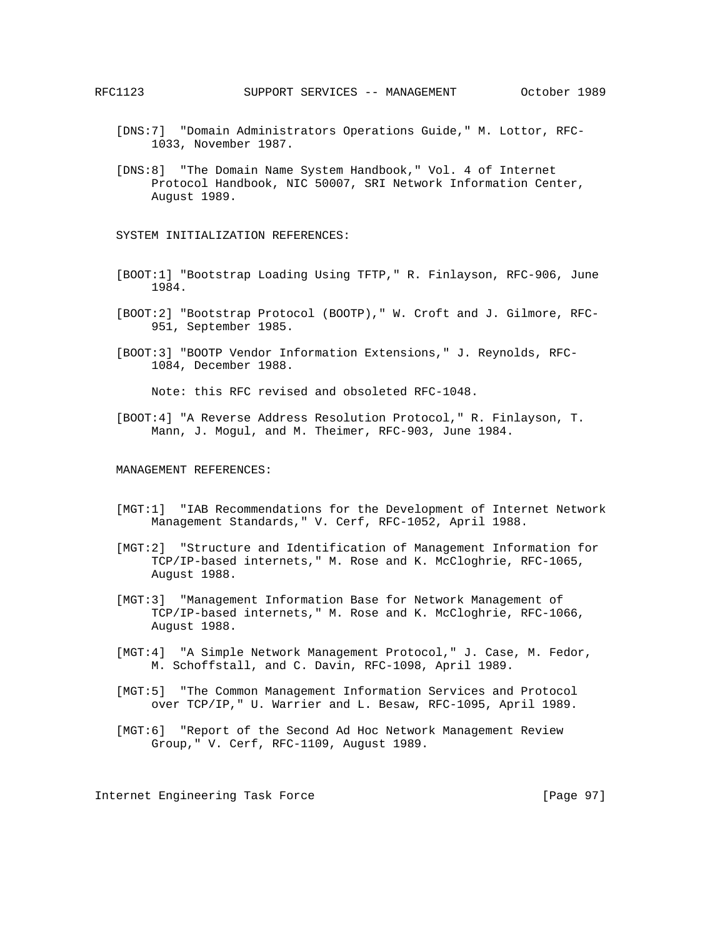- [DNS:7] "Domain Administrators Operations Guide," M. Lottor, RFC- 1033, November 1987.
- [DNS:8] "The Domain Name System Handbook," Vol. 4 of Internet Protocol Handbook, NIC 50007, SRI Network Information Center, August 1989.

SYSTEM INITIALIZATION REFERENCES:

- [BOOT:1] "Bootstrap Loading Using TFTP," R. Finlayson, RFC-906, June 1984.
- [BOOT:2] "Bootstrap Protocol (BOOTP)," W. Croft and J. Gilmore, RFC- 951, September 1985.
- [BOOT:3] "BOOTP Vendor Information Extensions," J. Reynolds, RFC- 1084, December 1988.

Note: this RFC revised and obsoleted RFC-1048.

 [BOOT:4] "A Reverse Address Resolution Protocol," R. Finlayson, T. Mann, J. Mogul, and M. Theimer, RFC-903, June 1984.

MANAGEMENT REFERENCES:

- [MGT:1] "IAB Recommendations for the Development of Internet Network Management Standards," V. Cerf, RFC-1052, April 1988.
- [MGT:2] "Structure and Identification of Management Information for TCP/IP-based internets," M. Rose and K. McCloghrie, RFC-1065, August 1988.
- [MGT:3] "Management Information Base for Network Management of TCP/IP-based internets," M. Rose and K. McCloghrie, RFC-1066, August 1988.
- [MGT:4] "A Simple Network Management Protocol," J. Case, M. Fedor, M. Schoffstall, and C. Davin, RFC-1098, April 1989.
- [MGT:5] "The Common Management Information Services and Protocol over TCP/IP," U. Warrier and L. Besaw, RFC-1095, April 1989.
- [MGT:6] "Report of the Second Ad Hoc Network Management Review Group," V. Cerf, RFC-1109, August 1989.

Internet Engineering Task Force [Page 97]